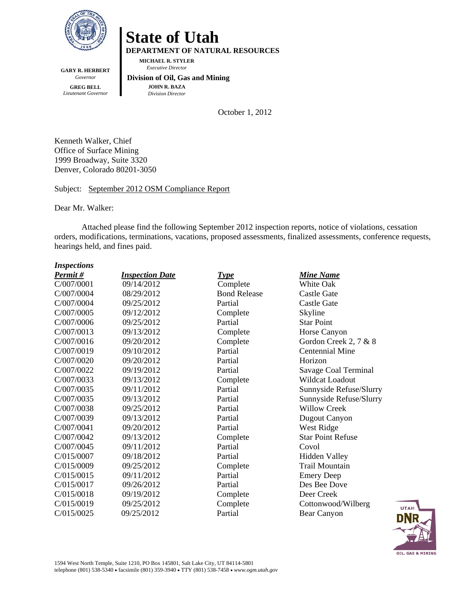

**GARY R. HERBERT DEPARTMENT OF NATURAL RESOURCES MICHAEL R. STYLER**   *Executive Director* 

*Governor*  **GREG BELL**  *Lieutenant Governor* 

 **Division of Oil, Gas and Mining JOHN R. BAZA**  *Division Director*

**State of Utah** 

October 1, 2012

Kenneth Walker, Chief Office of Surface Mining 1999 Broadway, Suite 3320 Denver, Colorado 80201-3050

Subject: September 2012 OSM Compliance Report

Dear Mr. Walker:

Attached please find the following September 2012 inspection reports, notice of violations, cessation orders, modifications, terminations, vacations, proposed assessments, finalized assessments, conference requests, hearings held, and fines paid.

#### *Inspections*

| <b>Inspection Date</b> | <b>Type</b>         | <b>Mine Name</b>         |
|------------------------|---------------------|--------------------------|
| 09/14/2012             | Complete            | White Oak                |
| 08/29/2012             | <b>Bond Release</b> | Castle Gate              |
| 09/25/2012             | Partial             | Castle Gate              |
| 09/12/2012             | Complete            | Skyline                  |
| 09/25/2012             | Partial             | <b>Star Point</b>        |
| 09/13/2012             | Complete            | Horse Canyon             |
| 09/20/2012             | Complete            | Gordon Creek 2, 7 & 8    |
| 09/10/2012             | Partial             | <b>Centennial Mine</b>   |
| 09/20/2012             | Partial             | Horizon                  |
| 09/19/2012             | Partial             | Savage Coal Terminal     |
| 09/13/2012             | Complete            | Wildcat Loadout          |
| 09/11/2012             | Partial             | Sunnyside Refuse/Slurry  |
| 09/13/2012             | Partial             | Sunnyside Refuse/Slurry  |
| 09/25/2012             | Partial             | <b>Willow Creek</b>      |
| 09/13/2012             | Partial             | Dugout Canyon            |
| 09/20/2012             | Partial             | West Ridge               |
| 09/13/2012             | Complete            | <b>Star Point Refuse</b> |
| 09/11/2012             | Partial             | Covol                    |
| 09/18/2012             | Partial             | <b>Hidden Valley</b>     |
| 09/25/2012             | Complete            | <b>Trail Mountain</b>    |
| 09/11/2012             | Partial             | <b>Emery Deep</b>        |
| 09/26/2012             | Partial             | Des Bee Dove             |
| 09/19/2012             | Complete            | Deer Creek               |
| 09/25/2012             | Complete            | Cottonwood/Wilberg       |
| 09/25/2012             | Partial             | Bear Canyon              |
|                        |                     |                          |

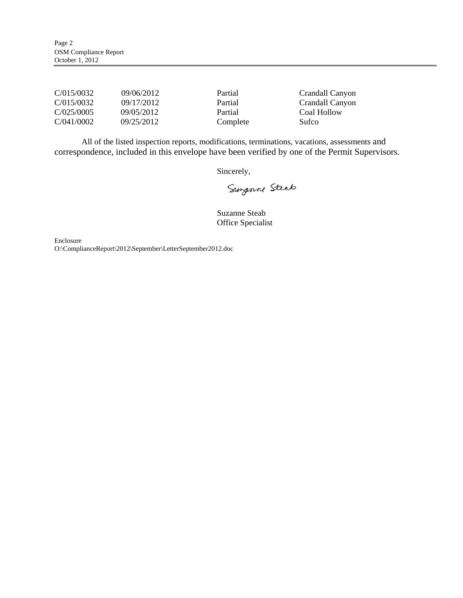| C/015/0032 | 09/06/2012 | Partial  | Crandall Canyon |
|------------|------------|----------|-----------------|
| C/015/0032 | 09/17/2012 | Partial  | Crandall Canyon |
| C/025/0005 | 09/05/2012 | Partial  | Coal Hollow     |
| C/041/0002 | 09/25/2012 | Complete | Sufco           |

All of the listed inspection reports, modifications, terminations, vacations, assessments and correspondence, included in this envelope have been verified by one of the Permit Supervisors.

Sincerely,

Surgenne Steab

Suzanne Steab Office Specialist

Enclosure O:\ComplianceReport\2012\September\LetterSeptember2012.doc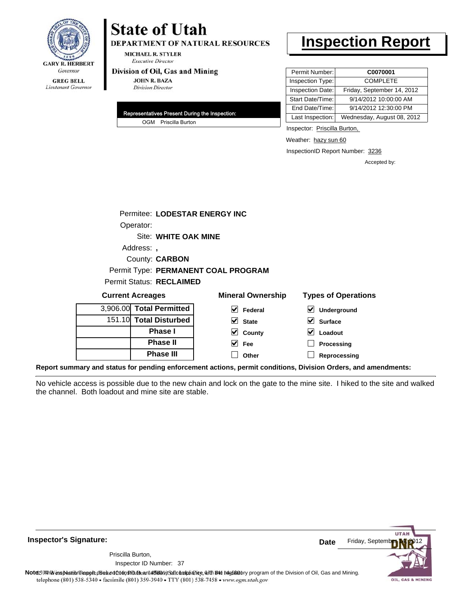

Lieutenant Governor

## **DEPARTMENT OF NATURAL RESOURCES MICHAEL R. STYLER**

**Executive Director** 

## Division of Oil, Gas and Mining

**State of Utah** 

**JOHN R. BAZA Division Director** 

| Representatives Present During the Inspection: |                      |  |
|------------------------------------------------|----------------------|--|
|                                                | OGM Priscilla Burton |  |

## **Inspection Report**

| Permit Number:   | C0070001                   |
|------------------|----------------------------|
| Inspection Type: | <b>COMPLETE</b>            |
| Inspection Date: | Friday, September 14, 2012 |
| Start Date/Time: | 9/14/2012 10:00:00 AM      |
| End Date/Time:   | 9/14/2012 12:30:00 PM      |
| Last Inspection: | Wednesday, August 08, 2012 |

Inspector: Priscilla Burton,

Weather: hazy sun 60

InspectionID Report Number: 3236

Accepted by:

| Permitee: LODESTAR ENERGY INC       |                          |                            |
|-------------------------------------|--------------------------|----------------------------|
| Operator:                           |                          |                            |
| Site: WHITE OAK MINE                |                          |                            |
| Address:,                           |                          |                            |
| County: <b>CARBON</b>               |                          |                            |
| Permit Type: PERMANENT COAL PROGRAM |                          |                            |
| <b>Permit Status: RECLAIMED</b>     |                          |                            |
| <b>Current Acreages</b>             | <b>Mineral Ownership</b> | <b>Types of Operations</b> |
| 3,906.00 Total Permitted            | Federal                  | Underground                |

| 3,906.00 Total Permitted |
|--------------------------|
| 151.10 Total Disturbed   |
| <b>Phase I</b>           |
| <b>Phase II</b>          |
| <b>Phase III</b>         |

| eral Ownership |                               |  |
|----------------|-------------------------------|--|
|                | $\triangledown$ Federal       |  |
|                | $\vee$ State                  |  |
|                | $\vee$ County                 |  |
|                | $\overline{\smash{\vee}}$ Fee |  |

| $\triangledown$ Underground      |
|----------------------------------|
| $\vee$ Surface                   |
| $\vert \mathbf{v} \vert$ Loadout |
|                                  |

**Processing**

**Reprocessing**

**Report summary and status for pending enforcement actions, permit conditions, Division Orders, and amendments:**

No vehicle access is possible due to the new chain and lock on the gate to the mine site. I hiked to the site and walked the channel. Both loadout and mine site are stable.

**Other**



**Inspector's Signature:**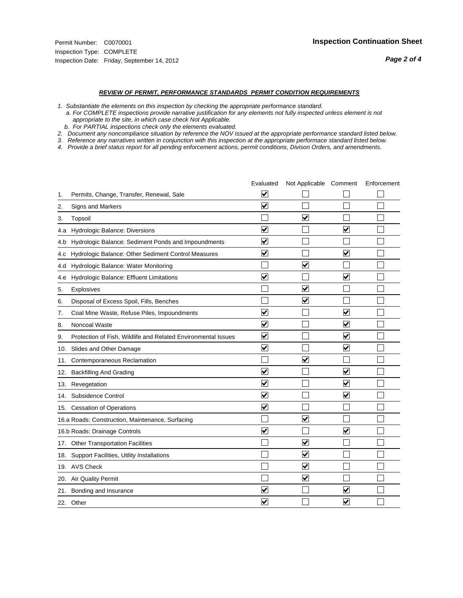#### *REVIEW OF PERMIT, PERFORMANCE STANDARDS PERMIT CONDITION REQUIREMENTS*

*1. Substantiate the elements on this inspection by checking the appropriate performance standard.*

 *a. For COMPLETE inspections provide narrative justification for any elements not fully inspected unless element is not appropriate to the site, in which case check Not Applicable.*

 *b. For PARTIAL inspections check only the elements evaluated.*

*2. Document any noncompliance situation by reference the NOV issued at the appropriate performance standard listed below.*

*3. Reference any narratives written in conjunction with this inspection at the appropriate performace standard listed below.*

*4. Provide a brief status report for all pending enforcement actions, permit conditions, Divison Orders, and amendments.*

|     |                                                               | Evaluated               | Not Applicable Comment  |                         | Enforcement |
|-----|---------------------------------------------------------------|-------------------------|-------------------------|-------------------------|-------------|
| 1.  | Permits, Change, Transfer, Renewal, Sale                      | V                       |                         |                         |             |
| 2.  | Signs and Markers                                             | $\overline{\mathbf{v}}$ |                         |                         |             |
| 3.  | Topsoil                                                       |                         | $\overline{\mathbf{v}}$ |                         |             |
| 4.a | Hydrologic Balance: Diversions                                | ⊽                       |                         | $\overline{\mathbf{v}}$ |             |
| 4.b | Hydrologic Balance: Sediment Ponds and Impoundments           | $\blacktriangledown$    |                         |                         |             |
| 4.C | Hydrologic Balance: Other Sediment Control Measures           | $\overline{\mathbf{v}}$ |                         | $\overline{\mathsf{v}}$ |             |
| 4.d | Hydrologic Balance: Water Monitoring                          |                         | ☑                       |                         |             |
| 4.e | Hydrologic Balance: Effluent Limitations                      | $\overline{\mathbf{v}}$ |                         | $\overline{\mathbf{v}}$ |             |
| 5.  | <b>Explosives</b>                                             |                         | $\blacktriangledown$    |                         |             |
| 6.  | Disposal of Excess Spoil, Fills, Benches                      |                         | ⊻                       |                         |             |
| 7.  | Coal Mine Waste, Refuse Piles, Impoundments                   | $\overline{\mathbf{v}}$ |                         | $\overline{\mathbf{v}}$ |             |
| 8.  | Noncoal Waste                                                 | $\overline{\mathbf{v}}$ |                         | $\overline{\mathbf{v}}$ |             |
| 9.  | Protection of Fish, Wildlife and Related Environmental Issues | $\overline{\mathsf{v}}$ |                         | $\overline{\mathbf{v}}$ |             |
|     | 10. Slides and Other Damage                                   | ⊽                       |                         | $\overline{\mathbf{v}}$ |             |
| 11. | Contemporaneous Reclamation                                   |                         | ⊻                       |                         |             |
| 12. | <b>Backfilling And Grading</b>                                | $\overline{\mathbf{v}}$ |                         | $\overline{\mathbf{v}}$ |             |
|     | 13. Revegetation                                              | $\overline{\mathbf{v}}$ |                         | $\overline{\mathbf{v}}$ |             |
|     | 14. Subsidence Control                                        | ⊽                       |                         | $\overline{\mathbf{v}}$ |             |
|     | 15. Cessation of Operations                                   | $\blacktriangledown$    |                         |                         |             |
|     | 16.a Roads: Construction, Maintenance, Surfacing              |                         | ⊻                       |                         |             |
|     | 16.b Roads: Drainage Controls                                 | V                       |                         | $\overline{\mathbf{v}}$ |             |
|     | 17. Other Transportation Facilities                           |                         | $\blacktriangledown$    |                         |             |
| 18. | Support Facilities, Utility Installations                     |                         | $\blacktriangledown$    |                         |             |
|     | 19. AVS Check                                                 |                         | ☑                       |                         |             |
|     | 20. Air Quality Permit                                        |                         | $\blacktriangledown$    |                         |             |
|     | 21. Bonding and Insurance                                     | V                       |                         | V                       |             |
|     | 22. Other                                                     | ⊽                       |                         | $\overline{\mathbf{v}}$ |             |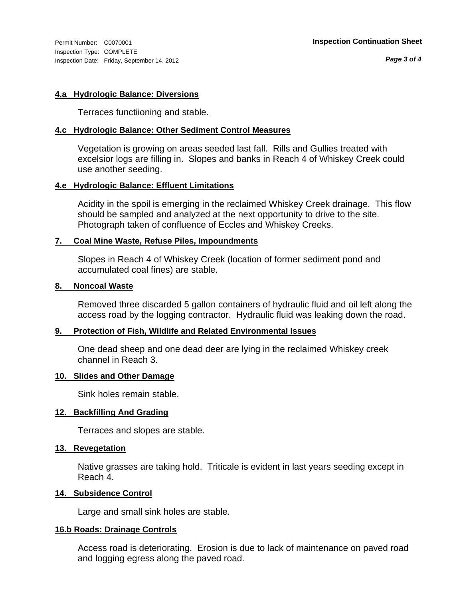Inspection Type: COMPLETE Inspection Date: Friday, September 14, 2012

## **4.a Hydrologic Balance: Diversions**

Terraces functiioning and stable.

## **4.c Hydrologic Balance: Other Sediment Control Measures**

Vegetation is growing on areas seeded last fall. Rills and Gullies treated with excelsior logs are filling in. Slopes and banks in Reach 4 of Whiskey Creek could use another seeding.

## **4.e Hydrologic Balance: Effluent Limitations**

Acidity in the spoil is emerging in the reclaimed Whiskey Creek drainage. This flow should be sampled and analyzed at the next opportunity to drive to the site. Photograph taken of confluence of Eccles and Whiskey Creeks.

## **7. Coal Mine Waste, Refuse Piles, Impoundments**

Slopes in Reach 4 of Whiskey Creek (location of former sediment pond and accumulated coal fines) are stable.

## **8. Noncoal Waste**

Removed three discarded 5 gallon containers of hydraulic fluid and oil left along the access road by the logging contractor. Hydraulic fluid was leaking down the road.

## **9. Protection of Fish, Wildlife and Related Environmental Issues**

One dead sheep and one dead deer are lying in the reclaimed Whiskey creek channel in Reach 3.

## **10. Slides and Other Damage**

Sink holes remain stable.

## **12. Backfilling And Grading**

Terraces and slopes are stable.

## **13. Revegetation**

Native grasses are taking hold. Triticale is evident in last years seeding except in Reach 4.

## **14. Subsidence Control**

Large and small sink holes are stable.

## **16.b Roads: Drainage Controls**

Access road is deteriorating. Erosion is due to lack of maintenance on paved road and logging egress along the paved road.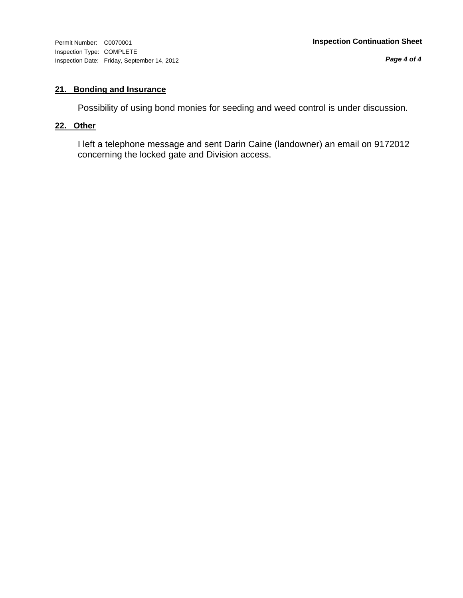Inspection Type: COMPLETE Inspection Date: Friday, September 14, 2012

*Page 4 of 4*

## **21. Bonding and Insurance**

Possibility of using bond monies for seeding and weed control is under discussion.

## **22. Other**

I left a telephone message and sent Darin Caine (landowner) an email on 9172012 concerning the locked gate and Division access.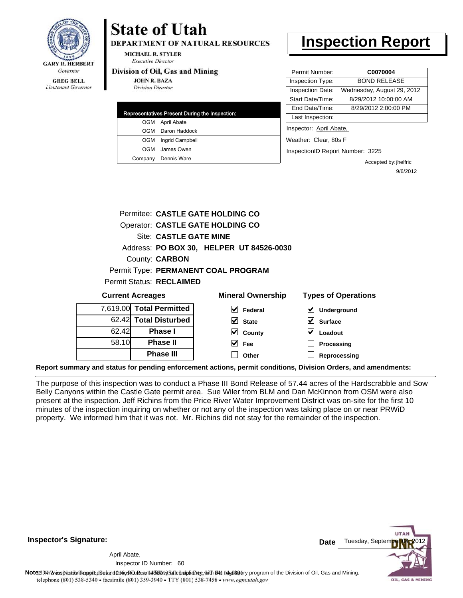

**GREG BELL** Lieutenant Governor

# **State of Utah**

**DEPARTMENT OF NATURAL RESOURCES** 

**MICHAEL R. STYLER Executive Director** 

#### Division of Oil, Gas and Mining

**JOHN R. BAZA Division Director** 

| Representatives Present During the Inspection: |                   |  |
|------------------------------------------------|-------------------|--|
| OGM                                            | April Abate       |  |
|                                                | OGM Daron Haddock |  |
| OGM                                            | Ingrid Campbell   |  |
| OGM                                            | James Owen        |  |
| Company                                        | Dennis Ware       |  |

# **Inspection Report**

| Permit Number:   | C0070004                   |
|------------------|----------------------------|
| Inspection Type: | <b>BOND RELEASE</b>        |
| Inspection Date: | Wednesday, August 29, 2012 |
| Start Date/Time: | 8/29/2012 10:00:00 AM      |
| End Date/Time:   | 8/29/2012 2:00:00 PM       |
| Last Inspection: |                            |
|                  |                            |

Inspector: April Abate,

Weather: Clear, 80s F

InspectionID Report Number: 3225

Accepted by: jhelfric 9/6/2012

|                                                                                   |                                  | Permitee: CASTLE GATE HOLDING CO         |                                            |  |  |  |
|-----------------------------------------------------------------------------------|----------------------------------|------------------------------------------|--------------------------------------------|--|--|--|
|                                                                                   | Operator: CASTLE GATE HOLDING CO |                                          |                                            |  |  |  |
|                                                                                   | <b>Site: CASTLE GATE MINE</b>    |                                          |                                            |  |  |  |
|                                                                                   |                                  | Address: PO BOX 30, HELPER UT 84526-0030 |                                            |  |  |  |
|                                                                                   | <b>County: CARBON</b>            |                                          |                                            |  |  |  |
|                                                                                   |                                  | Permit Type: PERMANENT COAL PROGRAM      |                                            |  |  |  |
|                                                                                   | Permit Status: RECLAIMED         |                                          |                                            |  |  |  |
| <b>Mineral Ownership</b><br><b>Types of Operations</b><br><b>Current Acreages</b> |                                  |                                          |                                            |  |  |  |
|                                                                                   | 7,619.00 Total Permitted         | V<br>Federal                             | $\vert\bm{\checkmark}\vert$<br>Underground |  |  |  |
|                                                                                   | 62.42 Total Disturbed            | $\vee$ State                             | V<br><b>Surface</b>                        |  |  |  |
| 62.42                                                                             | <b>Phase I</b>                   | $\vee$ County                            | Loadout<br>M                               |  |  |  |
| 58.10                                                                             | <b>Phase II</b>                  | M<br>Fee                                 | Processing                                 |  |  |  |
|                                                                                   | <b>Phase III</b>                 | Other                                    | Reprocessing                               |  |  |  |

**Report summary and status for pending enforcement actions, permit conditions, Division Orders, and amendments:**

The purpose of this inspection was to conduct a Phase III Bond Release of 57.44 acres of the Hardscrabble and Sow Belly Canyons within the Castle Gate permit area. Sue Wiler from BLM and Dan McKinnon from OSM were also present at the inspection. Jeff Richins from the Price River Water Improvement District was on-site for the first 10 minutes of the inspection inquiring on whether or not any of the inspection was taking place on or near PRWiD property. We informed him that it was not. Mr. Richins did not stay for the remainder of the inspection.

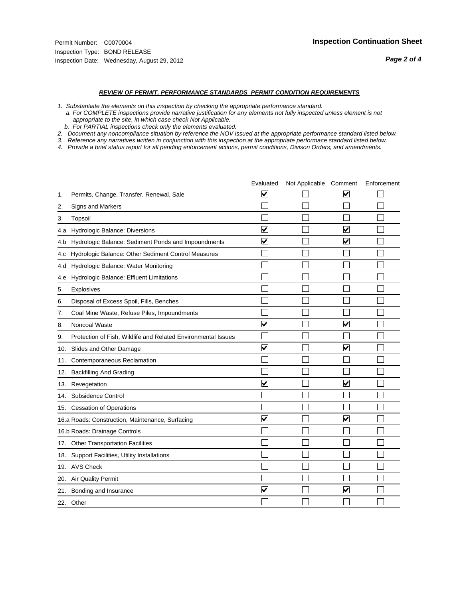#### *REVIEW OF PERMIT, PERFORMANCE STANDARDS PERMIT CONDITION REQUIREMENTS*

- *1. Substantiate the elements on this inspection by checking the appropriate performance standard.*
- *a. For COMPLETE inspections provide narrative justification for any elements not fully inspected unless element is not appropriate to the site, in which case check Not Applicable.*
- *b. For PARTIAL inspections check only the elements evaluated.*
- *2. Document any noncompliance situation by reference the NOV issued at the appropriate performance standard listed below.*
- *3. Reference any narratives written in conjunction with this inspection at the appropriate performace standard listed below.*
- *4. Provide a brief status report for all pending enforcement actions, permit conditions, Divison Orders, and amendments.*

|     |                                                               | Evaluated               | Not Applicable Comment |                         | Enforcement |
|-----|---------------------------------------------------------------|-------------------------|------------------------|-------------------------|-------------|
| 1.  | Permits, Change, Transfer, Renewal, Sale                      | $\overline{\mathbf{v}}$ |                        | V                       |             |
| 2.  | Signs and Markers                                             |                         |                        |                         |             |
| 3.  | Topsoil                                                       |                         |                        |                         |             |
| 4.a | Hydrologic Balance: Diversions                                | $\blacktriangledown$    |                        | V                       |             |
| 4.b | Hydrologic Balance: Sediment Ponds and Impoundments           | V                       |                        | V                       |             |
| 4.c | Hydrologic Balance: Other Sediment Control Measures           |                         |                        |                         |             |
| 4.d | Hydrologic Balance: Water Monitoring                          |                         |                        |                         |             |
| 4.e | Hydrologic Balance: Effluent Limitations                      |                         |                        |                         |             |
| 5.  | <b>Explosives</b>                                             |                         |                        |                         |             |
| 6.  | Disposal of Excess Spoil, Fills, Benches                      |                         |                        |                         |             |
| 7.  | Coal Mine Waste, Refuse Piles, Impoundments                   |                         |                        |                         |             |
| 8.  | Noncoal Waste                                                 | $\overline{\mathsf{v}}$ |                        | V                       |             |
| 9.  | Protection of Fish, Wildlife and Related Environmental Issues |                         |                        |                         |             |
|     | 10. Slides and Other Damage                                   | $\overline{\mathbf{v}}$ |                        | ☑                       |             |
| 11. | Contemporaneous Reclamation                                   |                         |                        |                         |             |
| 12. | <b>Backfilling And Grading</b>                                |                         |                        |                         |             |
| 13. | Revegetation                                                  | $\overline{\mathbf{v}}$ |                        | $\overline{\mathbf{v}}$ |             |
| 14. | Subsidence Control                                            |                         |                        |                         |             |
|     | 15. Cessation of Operations                                   |                         |                        |                         |             |
|     | 16.a Roads: Construction, Maintenance, Surfacing              | $\blacktriangledown$    |                        | $\blacktriangledown$    |             |
|     | 16.b Roads: Drainage Controls                                 |                         |                        |                         |             |
| 17. | <b>Other Transportation Facilities</b>                        |                         |                        |                         |             |
| 18. | Support Facilities, Utility Installations                     |                         |                        |                         |             |
|     | 19. AVS Check                                                 |                         |                        |                         |             |
| 20. | <b>Air Quality Permit</b>                                     |                         |                        |                         |             |
|     | 21. Bonding and Insurance                                     | $\overline{\mathbf{v}}$ |                        | $\blacktriangledown$    |             |
|     | 22. Other                                                     |                         |                        |                         |             |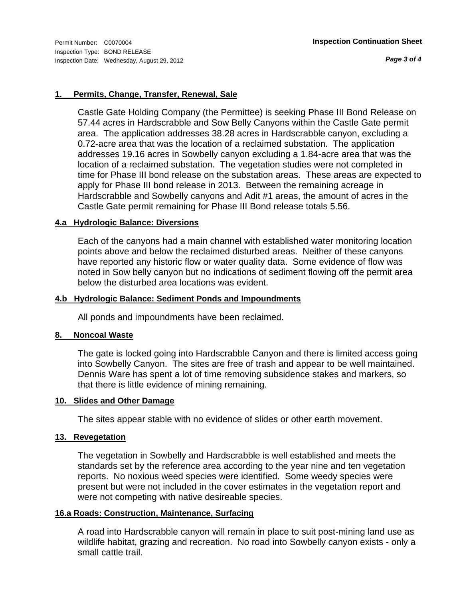*Page 3 of 4*

## **1. Permits, Change, Transfer, Renewal, Sale**

Castle Gate Holding Company (the Permittee) is seeking Phase III Bond Release on 57.44 acres in Hardscrabble and Sow Belly Canyons within the Castle Gate permit area. The application addresses 38.28 acres in Hardscrabble canyon, excluding a 0.72-acre area that was the location of a reclaimed substation. The application addresses 19.16 acres in Sowbelly canyon excluding a 1.84-acre area that was the location of a reclaimed substation. The vegetation studies were not completed in time for Phase III bond release on the substation areas. These areas are expected to apply for Phase III bond release in 2013. Between the remaining acreage in Hardscrabble and Sowbelly canyons and Adit #1 areas, the amount of acres in the Castle Gate permit remaining for Phase III Bond release totals 5.56.

## **4.a Hydrologic Balance: Diversions**

Each of the canyons had a main channel with established water monitoring location points above and below the reclaimed disturbed areas. Neither of these canyons have reported any historic flow or water quality data. Some evidence of flow was noted in Sow belly canyon but no indications of sediment flowing off the permit area below the disturbed area locations was evident.

## **4.b Hydrologic Balance: Sediment Ponds and Impoundments**

All ponds and impoundments have been reclaimed.

## **8. Noncoal Waste**

The gate is locked going into Hardscrabble Canyon and there is limited access going into Sowbelly Canyon. The sites are free of trash and appear to be well maintained. Dennis Ware has spent a lot of time removing subsidence stakes and markers, so that there is little evidence of mining remaining.

## **10. Slides and Other Damage**

The sites appear stable with no evidence of slides or other earth movement.

## **13. Revegetation**

The vegetation in Sowbelly and Hardscrabble is well established and meets the standards set by the reference area according to the year nine and ten vegetation reports. No noxious weed species were identified. Some weedy species were present but were not included in the cover estimates in the vegetation report and were not competing with native desireable species.

## **16.a Roads: Construction, Maintenance, Surfacing**

A road into Hardscrabble canyon will remain in place to suit post-mining land use as wildlife habitat, grazing and recreation. No road into Sowbelly canyon exists - only a small cattle trail.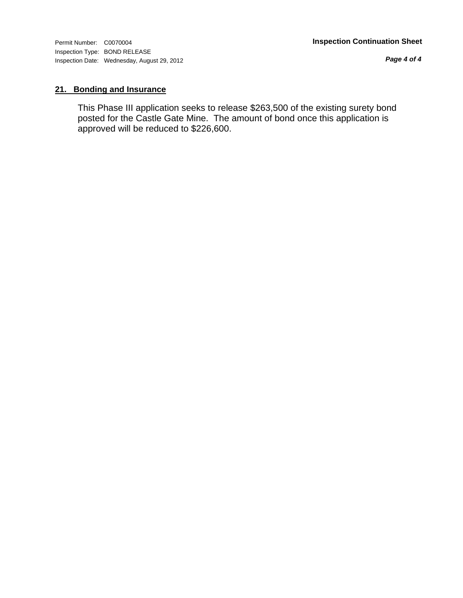*Page 4 of 4*

## **21. Bonding and Insurance**

This Phase III application seeks to release \$263,500 of the existing surety bond posted for the Castle Gate Mine. The amount of bond once this application is approved will be reduced to \$226,600.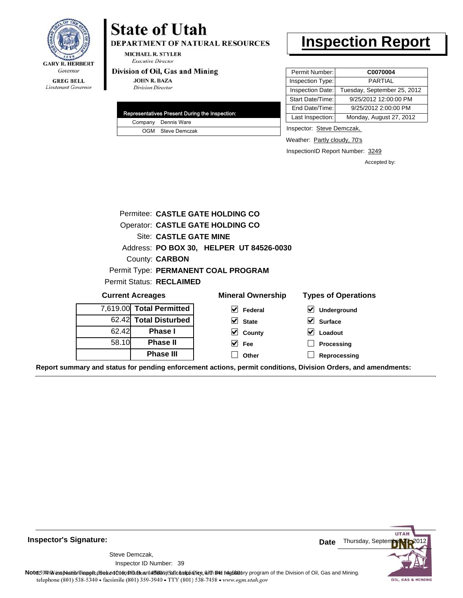

## Lieutenant Governor

# **State of Utah**

DEPARTMENT OF NATURAL RESOURCES

**MICHAEL R. STYLER Executive Director** 

#### Division of Oil, Gas and Mining

**JOHN R. BAZA Division Director** 

|  | Representatives Present During the Inspection: |
|--|------------------------------------------------|
|  | Company Dennis Ware                            |
|  | OGM Steve Demczak                              |

## **Inspection Report**

| Permit Number:   | C0070004                    |
|------------------|-----------------------------|
| Inspection Type: | <b>PARTIAL</b>              |
| Inspection Date: | Tuesday, September 25, 2012 |
| Start Date/Time: | 9/25/2012 12:00:00 PM       |
| End Date/Time:   | 9/25/2012 2:00:00 PM        |
| Last Inspection: | Monday, August 27, 2012     |

Inspector: Steve Demczak,

Weather: Partly cloudy, 70's

**Processing**

InspectionID Report Number: 3249

Accepted by:

|                                                                                   | Permitee: CASTLE GATE HOLDING CO |                                          |                                          |  |  |
|-----------------------------------------------------------------------------------|----------------------------------|------------------------------------------|------------------------------------------|--|--|
|                                                                                   | Operator: CASTLE GATE HOLDING CO |                                          |                                          |  |  |
|                                                                                   | Site: CASTLE GATE MINE           |                                          |                                          |  |  |
|                                                                                   |                                  | Address: PO BOX 30, HELPER UT 84526-0030 |                                          |  |  |
|                                                                                   | <b>County: CARBON</b>            |                                          |                                          |  |  |
|                                                                                   |                                  | Permit Type: PERMANENT COAL PROGRAM      |                                          |  |  |
|                                                                                   | <b>Permit Status: RECLAIMED</b>  |                                          |                                          |  |  |
| <b>Mineral Ownership</b><br><b>Types of Operations</b><br><b>Current Acreages</b> |                                  |                                          |                                          |  |  |
| 7.619.00                                                                          | <b>Total Permitted</b>           | V<br>Federal                             | $\boldsymbol{\mathsf{v}}$<br>Underground |  |  |
|                                                                                   | 62.42 Total Disturbed            | <b>State</b>                             | <b>Surface</b>                           |  |  |
| 62.42                                                                             | <b>Phase I</b>                   | County                                   | Loadout                                  |  |  |

**Fee Other**

**Reprocessing Report summary and status for pending enforcement actions, permit conditions, Division Orders, and amendments:**

**Phase II Phase III**



Inspector ID Number: 39 Steve Demczak,

58.10

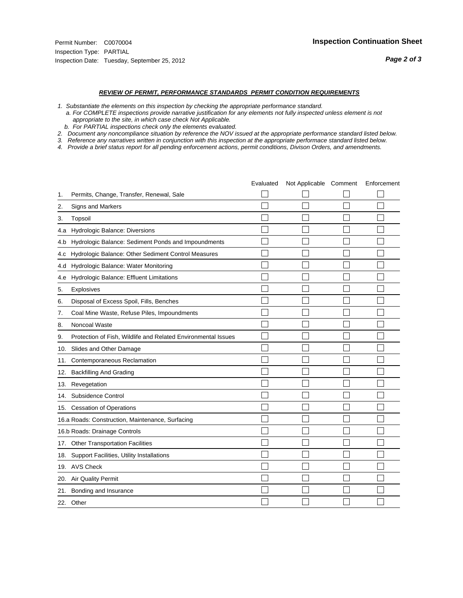#### *REVIEW OF PERMIT, PERFORMANCE STANDARDS PERMIT CONDITION REQUIREMENTS*

- *1. Substantiate the elements on this inspection by checking the appropriate performance standard.*
- *a. For COMPLETE inspections provide narrative justification for any elements not fully inspected unless element is not appropriate to the site, in which case check Not Applicable.*
- *b. For PARTIAL inspections check only the elements evaluated.*
- *2. Document any noncompliance situation by reference the NOV issued at the appropriate performance standard listed below.*
- *3. Reference any narratives written in conjunction with this inspection at the appropriate performace standard listed below.*
- *4. Provide a brief status report for all pending enforcement actions, permit conditions, Divison Orders, and amendments.*

|     |                                                               | Evaluated | Not Applicable Comment | Enforcement |
|-----|---------------------------------------------------------------|-----------|------------------------|-------------|
| 1.  | Permits, Change, Transfer, Renewal, Sale                      |           |                        |             |
| 2.  | <b>Signs and Markers</b>                                      |           |                        |             |
| 3.  | Topsoil                                                       |           |                        |             |
| 4.a | Hydrologic Balance: Diversions                                |           |                        |             |
| 4.b | Hydrologic Balance: Sediment Ponds and Impoundments           |           |                        |             |
| 4.c | Hydrologic Balance: Other Sediment Control Measures           |           |                        |             |
| 4.d | Hydrologic Balance: Water Monitoring                          |           |                        |             |
| 4.e | Hydrologic Balance: Effluent Limitations                      |           |                        |             |
| 5.  | <b>Explosives</b>                                             |           |                        |             |
| 6.  | Disposal of Excess Spoil, Fills, Benches                      |           |                        |             |
| 7.  | Coal Mine Waste, Refuse Piles, Impoundments                   |           |                        |             |
| 8.  | Noncoal Waste                                                 |           |                        |             |
| 9.  | Protection of Fish, Wildlife and Related Environmental Issues |           |                        |             |
|     | 10. Slides and Other Damage                                   |           |                        |             |
| 11. | Contemporaneous Reclamation                                   |           |                        |             |
| 12. | <b>Backfilling And Grading</b>                                |           |                        |             |
| 13. | Revegetation                                                  |           |                        |             |
| 14. | Subsidence Control                                            |           |                        |             |
|     | 15. Cessation of Operations                                   |           |                        |             |
|     | 16.a Roads: Construction, Maintenance, Surfacing              |           |                        |             |
|     | 16.b Roads: Drainage Controls                                 |           |                        |             |
|     | 17. Other Transportation Facilities                           |           |                        |             |
| 18. | Support Facilities, Utility Installations                     |           |                        |             |
|     | 19. AVS Check                                                 |           |                        |             |
| 20. | Air Quality Permit                                            |           |                        |             |
| 21. | Bonding and Insurance                                         |           |                        |             |
|     | 22. Other                                                     |           |                        |             |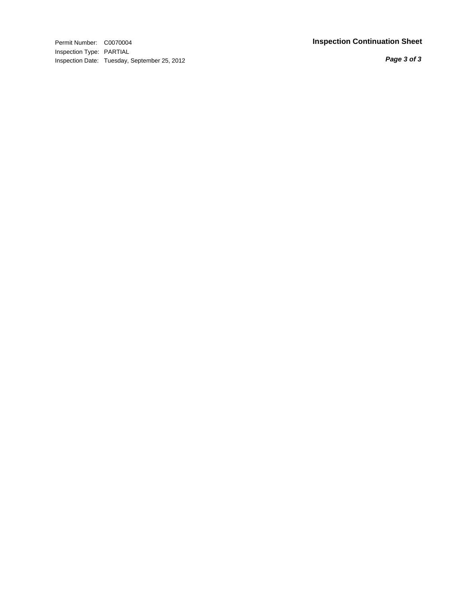Permit Number: C0070004 **Inspection Continuation Shee t** Inspection Type: PARTIAL Inspection Date: Tuesday, September 25, 2012

*Page 3 of 3*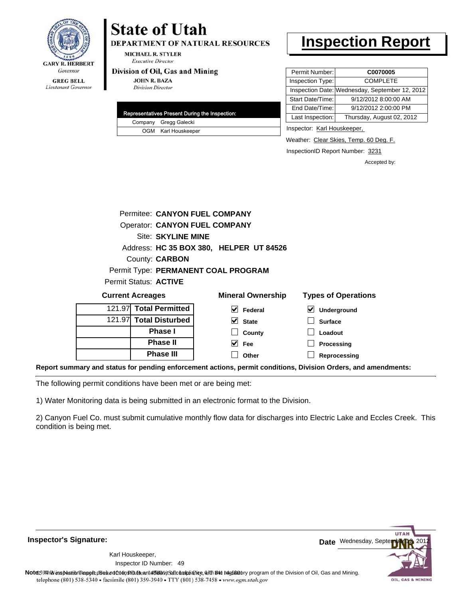

# **State of Utah**

**DEPARTMENT OF NATURAL RESOURCES** 

**MICHAEL R. STYLER Executive Director** 

#### Division of Oil, Gas and Mining

**JOHN R. BAZA Division Director** 

|  |  | <b>Representatives Present During the Inspection:</b> |
|--|--|-------------------------------------------------------|
|  |  | Company Gregg Galecki                                 |
|  |  | OGM Karl Houskeeper                                   |

## **Inspection Report**

| Permit Number:   | C0070005                                       |
|------------------|------------------------------------------------|
| Inspection Type: | <b>COMPLETE</b>                                |
|                  | Inspection Date: Wednesday, September 12, 2012 |
| Start Date/Time: | 9/12/2012 8:00:00 AM                           |
| End Date/Time:   | 9/12/2012 2:00:00 PM                           |
| Last Inspection: | Thursday, August 02, 2012                      |

Inspector: Karl Houskeeper,

Weather: Clear Skies, Temp. 60 Deg. F.

InspectionID Report Number: 3231

Accepted by:

|                       | <b>Operator: CANYON FUEL COMPANY</b><br>Site: SKYLINE MINE |                                         |            |
|-----------------------|------------------------------------------------------------|-----------------------------------------|------------|
|                       |                                                            | Address: HC 35 BOX 380, HELPER UT 84526 |            |
|                       | County: <b>CARBON</b>                                      |                                         |            |
|                       | Permit Type: PERMANENT COAL PROGRAM                        |                                         |            |
| Permit Status: ACTIVE |                                                            |                                         |            |
| Currant Acraanac      |                                                            | Minaral Ownarchin                       | Tynes of O |

| <b>Current Acreages</b> | <b>Mineral Ownership</b> | <b>Types of Operations</b> |
|-------------------------|--------------------------|----------------------------|
| 121.97 Total Permitted  | V<br>Federal             | V<br>Underground           |
| 121.97 Total Disturbed  | V<br><b>State</b>        | <b>Surface</b>             |
| <b>Phase I</b>          | County                   | Loadout                    |
| <b>Phase II</b>         | V<br>Fee                 | Processing                 |
| <b>Phase III</b>        | Other                    | Reprocessing               |
|                         |                          |                            |

**Report summary and status for pending enforcement actions, permit conditions, Division Orders, and amendments:**

The following permit conditions have been met or are being met:

1) Water Monitoring data is being submitted in an electronic format to the Division.

2) Canyon Fuel Co. must submit cumulative monthly flow data for discharges into Electric Lake and Eccles Creek. This condition is being met.

**Inspector's Signature:**

49 Inspector ID Number:Karl Houskeeper,

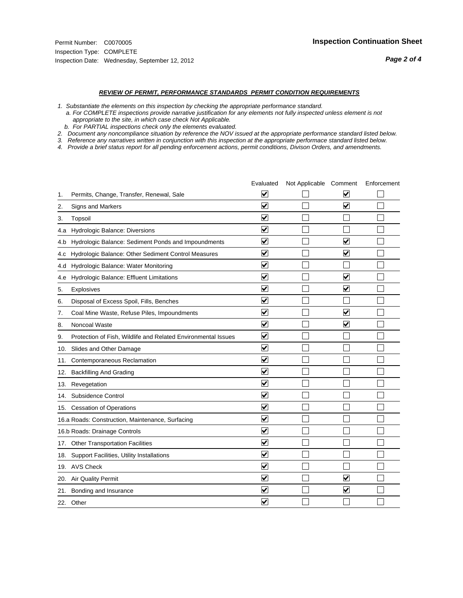#### *REVIEW OF PERMIT, PERFORMANCE STANDARDS PERMIT CONDITION REQUIREMENTS*

*1. Substantiate the elements on this inspection by checking the appropriate performance standard.*

 *a. For COMPLETE inspections provide narrative justification for any elements not fully inspected unless element is not appropriate to the site, in which case check Not Applicable.*

 *b. For PARTIAL inspections check only the elements evaluated.*

*2. Document any noncompliance situation by reference the NOV issued at the appropriate performance standard listed below.*

*3. Reference any narratives written in conjunction with this inspection at the appropriate performace standard listed below.*

*4. Provide a brief status report for all pending enforcement actions, permit conditions, Divison Orders, and amendments.*

|     |                                                               | Evaluated               | Not Applicable Comment |                         | Enforcement |
|-----|---------------------------------------------------------------|-------------------------|------------------------|-------------------------|-------------|
| 1.  | Permits, Change, Transfer, Renewal, Sale                      | $\overline{\mathbf{v}}$ |                        | V                       |             |
| 2.  | Signs and Markers                                             | $\overline{\mathbf{v}}$ |                        | $\blacktriangledown$    |             |
| 3.  | Topsoil                                                       | $\overline{\mathbf{v}}$ |                        |                         |             |
| 4.a | Hydrologic Balance: Diversions                                | $\overline{\mathbf{v}}$ |                        |                         |             |
| 4.b | Hydrologic Balance: Sediment Ponds and Impoundments           | $\blacktriangledown$    |                        | V                       |             |
| 4.C | Hydrologic Balance: Other Sediment Control Measures           | $\overline{\mathbf{v}}$ |                        | $\blacktriangledown$    |             |
| 4.d | Hydrologic Balance: Water Monitoring                          | $\overline{\mathbf{v}}$ |                        |                         |             |
| 4.e | Hydrologic Balance: Effluent Limitations                      | $\overline{\mathbf{v}}$ |                        | $\overline{\mathbf{v}}$ |             |
| 5.  | <b>Explosives</b>                                             | $\overline{\mathbf{v}}$ |                        | ⊽                       |             |
| 6.  | Disposal of Excess Spoil, Fills, Benches                      | $\blacktriangledown$    |                        |                         |             |
| 7.  | Coal Mine Waste, Refuse Piles, Impoundments                   | $\overline{\mathsf{v}}$ |                        | $\overline{\mathbf{v}}$ |             |
| 8.  | Noncoal Waste                                                 | $\overline{\mathbf{v}}$ |                        | $\overline{\mathbf{v}}$ |             |
| 9.  | Protection of Fish, Wildlife and Related Environmental Issues | $\overline{\mathbf{v}}$ |                        |                         |             |
|     | 10. Slides and Other Damage                                   | $\overline{\mathbf{v}}$ |                        |                         |             |
| 11. | Contemporaneous Reclamation                                   | ⊽                       |                        |                         |             |
| 12. | <b>Backfilling And Grading</b>                                | $\overline{\mathbf{v}}$ |                        |                         |             |
| 13. | Revegetation                                                  | $\overline{\mathbf{v}}$ |                        |                         |             |
| 14. | Subsidence Control                                            | $\overline{\mathbf{v}}$ |                        |                         |             |
|     | 15. Cessation of Operations                                   | $\overline{\mathbf{v}}$ |                        |                         |             |
|     | 16.a Roads: Construction, Maintenance, Surfacing              | $\blacktriangledown$    |                        |                         |             |
|     | 16.b Roads: Drainage Controls                                 | $\overline{\mathbf{v}}$ |                        |                         |             |
| 17. | <b>Other Transportation Facilities</b>                        | $\overline{\mathbf{v}}$ |                        |                         |             |
| 18. | Support Facilities, Utility Installations                     | $\overline{\mathbf{v}}$ |                        |                         |             |
|     | 19. AVS Check                                                 | $\overline{\mathbf{v}}$ |                        |                         |             |
| 20. | <b>Air Quality Permit</b>                                     | $\checkmark$            |                        | $\blacktriangledown$    |             |
| 21. | Bonding and Insurance                                         | $\blacktriangledown$    |                        | $\blacktriangledown$    |             |
|     | 22. Other                                                     | $\overline{\mathbf{v}}$ |                        |                         |             |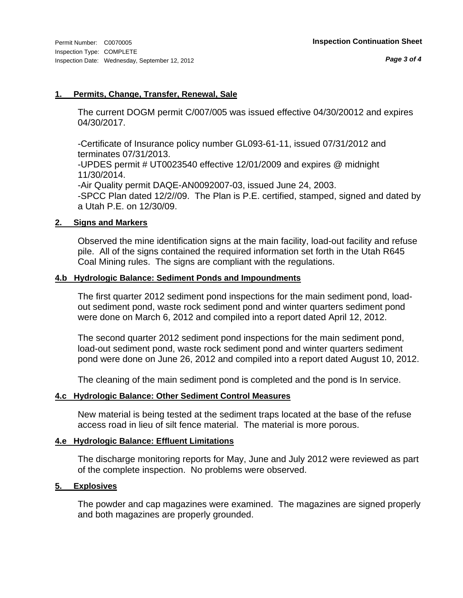## **1. Permits, Change, Transfer, Renewal, Sale**

The current DOGM permit C/007/005 was issued effective 04/30/20012 and expires 04/30/2017.

-Certificate of Insurance policy number GL093-61-11, issued 07/31/2012 and terminates 07/31/2013.

-UPDES permit # UT0023540 effective 12/01/2009 and expires @ midnight 11/30/2014.

-Air Quality permit DAQE-AN0092007-03, issued June 24, 2003.

-SPCC Plan dated 12/2//09. The Plan is P.E. certified, stamped, signed and dated by a Utah P.E. on 12/30/09.

## **2. Signs and Markers**

Observed the mine identification signs at the main facility, load-out facility and refuse pile. All of the signs contained the required information set forth in the Utah R645 Coal Mining rules. The signs are compliant with the regulations.

## **4.b Hydrologic Balance: Sediment Ponds and Impoundments**

The first quarter 2012 sediment pond inspections for the main sediment pond, loadout sediment pond, waste rock sediment pond and winter quarters sediment pond were done on March 6, 2012 and compiled into a report dated April 12, 2012.

The second quarter 2012 sediment pond inspections for the main sediment pond, load-out sediment pond, waste rock sediment pond and winter quarters sediment pond were done on June 26, 2012 and compiled into a report dated August 10, 2012.

The cleaning of the main sediment pond is completed and the pond is In service.

## **4.c Hydrologic Balance: Other Sediment Control Measures**

New material is being tested at the sediment traps located at the base of the refuse access road in lieu of silt fence material. The material is more porous.

## **4.e Hydrologic Balance: Effluent Limitations**

The discharge monitoring reports for May, June and July 2012 were reviewed as part of the complete inspection. No problems were observed.

## **5. Explosives**

The powder and cap magazines were examined. The magazines are signed properly and both magazines are properly grounded.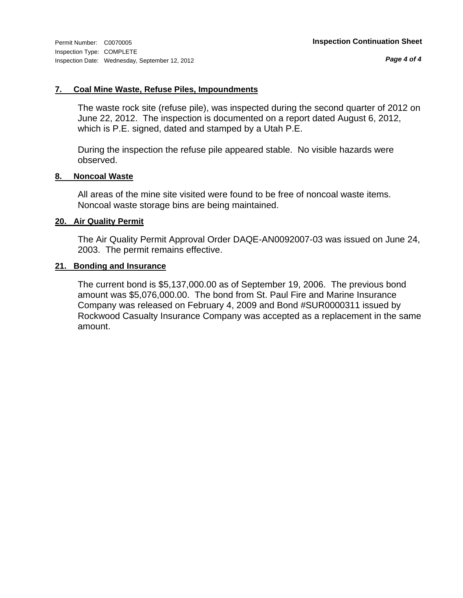## **7. Coal Mine Waste, Refuse Piles, Impoundments**

The waste rock site (refuse pile), was inspected during the second quarter of 2012 on June 22, 2012. The inspection is documented on a report dated August 6, 2012, which is P.E. signed, dated and stamped by a Utah P.E.

During the inspection the refuse pile appeared stable. No visible hazards were observed.

## **8. Noncoal Waste**

All areas of the mine site visited were found to be free of noncoal waste items. Noncoal waste storage bins are being maintained.

## **20. Air Quality Permit**

The Air Quality Permit Approval Order DAQE-AN0092007-03 was issued on June 24, 2003. The permit remains effective.

## **21. Bonding and Insurance**

The current bond is \$5,137,000.00 as of September 19, 2006. The previous bond amount was \$5,076,000.00. The bond from St. Paul Fire and Marine Insurance Company was released on February 4, 2009 and Bond #SUR0000311 issued by Rockwood Casualty Insurance Company was accepted as a replacement in the same amount.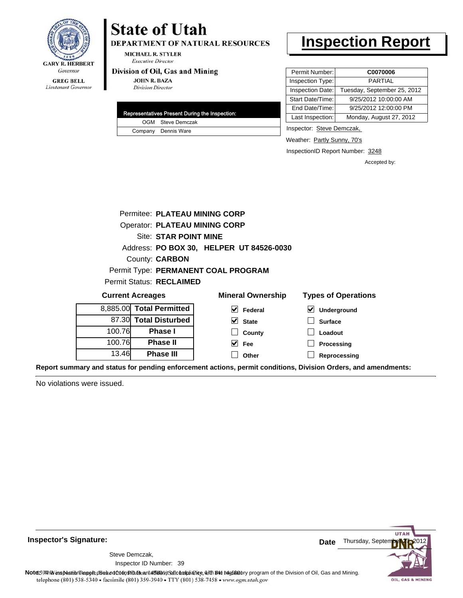

Lieutenant Governor

# **State of Utah**

DEPARTMENT OF NATURAL RESOURCES

**MICHAEL R. STYLER Executive Director** 

#### Division of Oil, Gas and Mining

**JOHN R. BAZA Division Director** 

|  | Representatives Present During the Inspection: |
|--|------------------------------------------------|
|  | OGM Steve Demczak                              |
|  | Company Dennis Ware                            |

## **Inspection Report**

| Permit Number:   | C0070006                    |
|------------------|-----------------------------|
| Inspection Type: | <b>PARTIAL</b>              |
| Inspection Date: | Tuesday, September 25, 2012 |
| Start Date/Time: | 9/25/2012 10:00:00 AM       |
| End Date/Time:   | 9/25/2012 12:00:00 PM       |
| Last Inspection: | Monday, August 27, 2012     |

Inspector: Steve Demczak,

Weather: Partly Sunny, 70's

InspectionID Report Number: 3248

**Reprocessing**

Accepted by:

|        | Permitee: PLATEAU MINING CORP        |                                          |                                            |
|--------|--------------------------------------|------------------------------------------|--------------------------------------------|
|        | <b>Operator: PLATEAU MINING CORP</b> |                                          |                                            |
|        | Site: STAR POINT MINE                |                                          |                                            |
|        |                                      | Address: PO BOX 30, HELPER UT 84526-0030 |                                            |
|        | County: <b>CARBON</b>                |                                          |                                            |
|        |                                      | Permit Type: PERMANENT COAL PROGRAM      |                                            |
|        | <b>Permit Status: RECLAIMED</b>      |                                          |                                            |
|        | <b>Current Acreages</b>              | <b>Mineral Ownership</b>                 | <b>Types of Operations</b>                 |
|        | 8,885.00 Total Permitted             | V<br>Federal                             | $\vert\bm{\checkmark}\vert$<br>Underground |
|        | 87.30 Total Disturbed                | M<br><b>State</b>                        | <b>Surface</b>                             |
| 100.76 | <b>Phase I</b>                       | County                                   | Loadout                                    |
| 100.76 | <b>Phase II</b>                      | V<br>Fee                                 | <b>Processing</b>                          |
| 13.46  | <b>Phase III</b>                     | Other                                    | Reprocessing                               |

**Report summary and status for pending enforcement actions, permit conditions, Division Orders, and amendments:**

No violations were issued.



Inspector ID Number: 39 Steve Demczak,



Note: 59 This inspection report does not do an affidavit Suite and Affidavit Constitute and Division of Coli, Gas and Mining.<br>telephone (801) 538-5340 • facsimile (801) 359-3940 • TTY (801) 538-7458 • www.ogm.utah.gov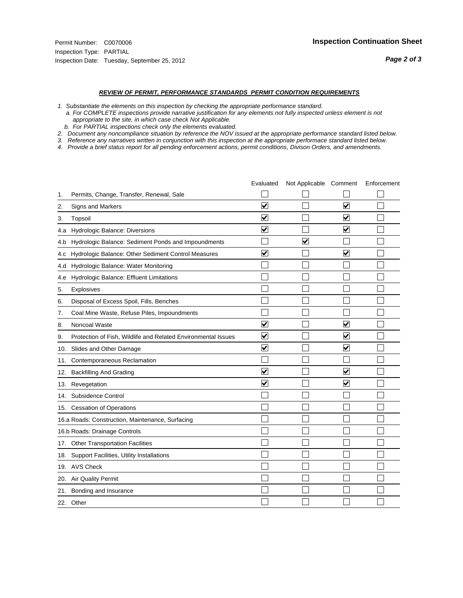#### *REVIEW OF PERMIT, PERFORMANCE STANDARDS PERMIT CONDITION REQUIREMENTS*

- *1. Substantiate the elements on this inspection by checking the appropriate performance standard.*
- *a. For COMPLETE inspections provide narrative justification for any elements not fully inspected unless element is not appropriate to the site, in which case check Not Applicable.*
- *b. For PARTIAL inspections check only the elements evaluated.*
- *2. Document any noncompliance situation by reference the NOV issued at the appropriate performance standard listed below.*
- *3. Reference any narratives written in conjunction with this inspection at the appropriate performace standard listed below.*
- *4. Provide a brief status report for all pending enforcement actions, permit conditions, Divison Orders, and amendments.*

|     |                                                               | Evaluated               | Not Applicable Comment |                         | Enforcement |
|-----|---------------------------------------------------------------|-------------------------|------------------------|-------------------------|-------------|
| 1.  | Permits, Change, Transfer, Renewal, Sale                      |                         |                        |                         |             |
| 2.  | <b>Signs and Markers</b>                                      | $\overline{\mathbf{v}}$ |                        | $\blacktriangledown$    |             |
| 3.  | Topsoil                                                       | $\overline{\mathbf{v}}$ |                        | $\overline{\mathsf{v}}$ |             |
| 4.a | Hydrologic Balance: Diversions                                | $\blacktriangledown$    |                        | $\blacktriangledown$    |             |
| 4.b | Hydrologic Balance: Sediment Ponds and Impoundments           |                         | V                      |                         |             |
| 4.c | Hydrologic Balance: Other Sediment Control Measures           | $\overline{\mathbf{v}}$ |                        | $\blacktriangledown$    |             |
| 4.d | Hydrologic Balance: Water Monitoring                          |                         |                        |                         |             |
| 4.e | Hydrologic Balance: Effluent Limitations                      |                         |                        |                         |             |
| 5.  | <b>Explosives</b>                                             |                         |                        |                         |             |
| 6.  | Disposal of Excess Spoil, Fills, Benches                      |                         |                        |                         |             |
| 7.  | Coal Mine Waste, Refuse Piles, Impoundments                   |                         |                        |                         |             |
| 8.  | Noncoal Waste                                                 | $\overline{\mathbf{v}}$ |                        | $\overline{\mathbf{v}}$ |             |
| 9.  | Protection of Fish, Wildlife and Related Environmental Issues | $\overline{\mathbf{v}}$ |                        | ☑                       |             |
|     | 10. Slides and Other Damage                                   | $\overline{\mathbf{v}}$ |                        | $\blacktriangledown$    |             |
| 11. | Contemporaneous Reclamation                                   |                         |                        |                         |             |
| 12. | <b>Backfilling And Grading</b>                                | $\blacktriangledown$    |                        | $\blacktriangledown$    |             |
| 13. | Revegetation                                                  | $\overline{\mathbf{v}}$ |                        | $\overline{\mathbf{v}}$ |             |
| 14. | Subsidence Control                                            |                         |                        |                         |             |
|     | 15. Cessation of Operations                                   |                         |                        |                         |             |
|     | 16.a Roads: Construction, Maintenance, Surfacing              |                         |                        |                         |             |
|     | 16.b Roads: Drainage Controls                                 |                         |                        |                         |             |
|     | 17. Other Transportation Facilities                           |                         |                        |                         |             |
| 18. | Support Facilities, Utility Installations                     |                         |                        |                         |             |
|     | 19. AVS Check                                                 |                         |                        |                         |             |
| 20. | Air Quality Permit                                            |                         |                        |                         |             |
| 21. | Bonding and Insurance                                         |                         |                        |                         |             |
|     | 22. Other                                                     |                         |                        |                         |             |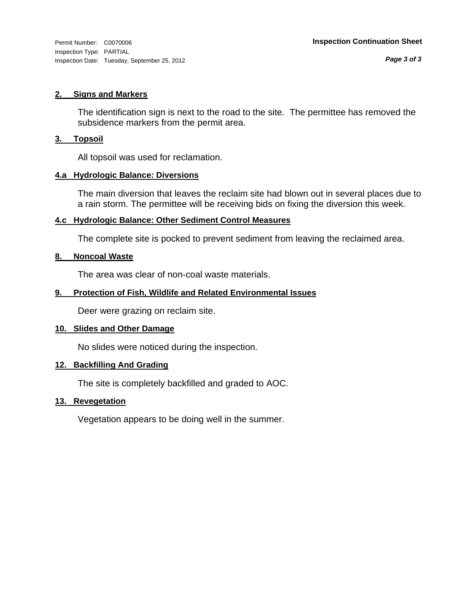## **2. Signs and Markers**

The identification sign is next to the road to the site. The permittee has removed the subsidence markers from the permit area.

## **3. Topsoil**

All topsoil was used for reclamation.

## **4.a Hydrologic Balance: Diversions**

The main diversion that leaves the reclaim site had blown out in several places due to a rain storm. The permittee will be receiving bids on fixing the diversion this week.

## **4.c Hydrologic Balance: Other Sediment Control Measures**

The complete site is pocked to prevent sediment from leaving the reclaimed area.

## **8. Noncoal Waste**

The area was clear of non-coal waste materials.

## **9. Protection of Fish, Wildlife and Related Environmental Issues**

Deer were grazing on reclaim site.

## **10. Slides and Other Damage**

No slides were noticed during the inspection.

## **12. Backfilling And Grading**

The site is completely backfilled and graded to AOC.

## **13. Revegetation**

Vegetation appears to be doing well in the summer.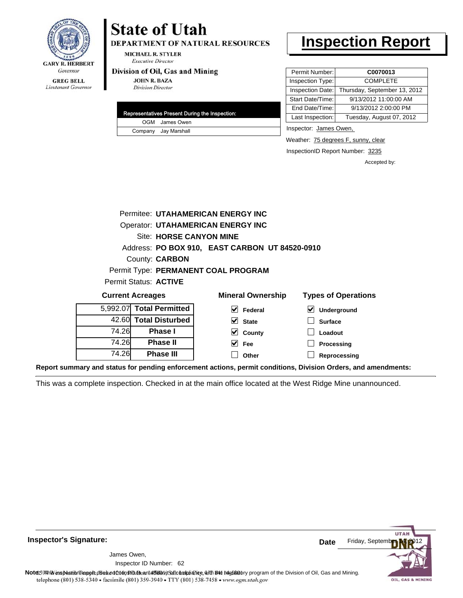

# **State of Utah**

**DEPARTMENT OF NATURAL RESOURCES** 

**MICHAEL R. STYLER Executive Director** 

### Division of Oil, Gas and Mining

**JOHN R. BAZA Division Director** 

| Representatives Present During the Inspection: |                      |  |  |  |
|------------------------------------------------|----------------------|--|--|--|
|                                                | OGM James Owen       |  |  |  |
|                                                | Company Jay Marshall |  |  |  |

## **Inspection Report**

| Permit Number:   | C0070013                     |
|------------------|------------------------------|
| Inspection Type: | <b>COMPLETE</b>              |
| Inspection Date: | Thursday, September 13, 2012 |
| Start Date/Time: | 9/13/2012 11:00:00 AM        |
| End Date/Time:   | 9/13/2012 2:00:00 PM         |
| Last Inspection: | Tuesday, August 07, 2012     |

Inspector: James Owen,

Weather: 75 degrees F, sunny, clear

InspectionID Report Number: 3235

Accepted by:

|                         |  |                          | Permitee: UTAHAMERICAN ENERGY INC        |                                                |                            |  |
|-------------------------|--|--------------------------|------------------------------------------|------------------------------------------------|----------------------------|--|
|                         |  |                          | <b>Operator: UTAHAMERICAN ENERGY INC</b> |                                                |                            |  |
|                         |  |                          | <b>Site: HORSE CANYON MINE</b>           |                                                |                            |  |
|                         |  |                          |                                          | Address: PO BOX 910, EAST CARBON UT 84520-0910 |                            |  |
| <b>County: CARBON</b>   |  |                          |                                          |                                                |                            |  |
|                         |  |                          | Permit Type: PERMANENT COAL PROGRAM      |                                                |                            |  |
|                         |  | Permit Status: ACTIVE    |                                          |                                                |                            |  |
| <b>Current Acreages</b> |  |                          |                                          | <b>Mineral Ownership</b>                       | <b>Types of Operations</b> |  |
|                         |  | 5,992.07 Total Permitted | M                                        | Federal                                        | Underground                |  |
|                         |  | 42.60 Total Disturbed    |                                          | <b>State</b>                                   | <b>Surface</b>             |  |

**County Fee Other**

| $0,002.01$ TULAI FUITHLIUM |       |
|----------------------------|-------|
| 42.60 Total Disturbed      |       |
| <b>Phase</b> I             | 74.26 |
| <b>Phase II</b>            | 74.26 |
| <b>Phase III</b>           | 74.26 |

| $\vee$ Underground |
|--------------------|
| $\Box$ Surface     |
| $\Box$ Loadout     |
| $\Box$ Processing  |

**Reprocessing**

**Report summary and status for pending enforcement actions, permit conditions, Division Orders, and amendments:**

This was a complete inspection. Checked in at the main office located at the West Ridge Mine unannounced.



James Owen,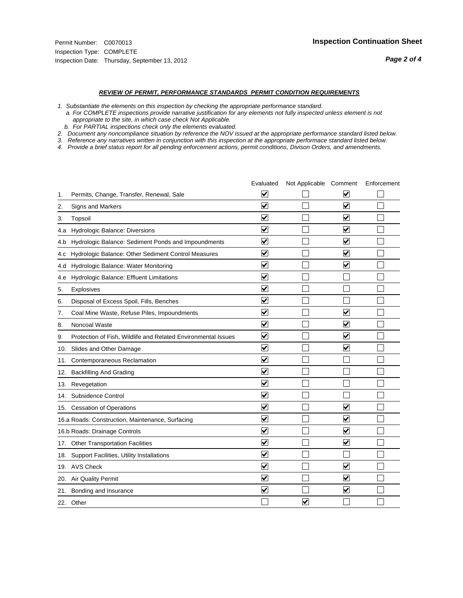#### *REVIEW OF PERMIT, PERFORMANCE STANDARDS PERMIT CONDITION REQUIREMENTS*

*1. Substantiate the elements on this inspection by checking the appropriate performance standard.*

 *a. For COMPLETE inspections provide narrative justification for any elements not fully inspected unless element is not appropriate to the site, in which case check Not Applicable.*

 *b. For PARTIAL inspections check only the elements evaluated.*

*2. Document any noncompliance situation by reference the NOV issued at the appropriate performance standard listed below.*

*3. Reference any narratives written in conjunction with this inspection at the appropriate performace standard listed below.*

*4. Provide a brief status report for all pending enforcement actions, permit conditions, Divison Orders, and amendments.*

|     |                                                               | Evaluated               | Not Applicable Comment  |                         | Enforcement |
|-----|---------------------------------------------------------------|-------------------------|-------------------------|-------------------------|-------------|
| 1.  | Permits, Change, Transfer, Renewal, Sale                      | $\overline{\mathbf{v}}$ |                         | V                       |             |
| 2.  | Signs and Markers                                             | $\overline{\mathbf{v}}$ |                         | $\blacktriangledown$    |             |
| 3.  | Topsoil                                                       | $\overline{\mathbf{v}}$ |                         | $\overline{\mathsf{v}}$ |             |
| 4.a | Hydrologic Balance: Diversions                                | $\overline{\mathsf{v}}$ |                         | $\blacktriangledown$    |             |
| 4.b | Hydrologic Balance: Sediment Ponds and Impoundments           | $\blacktriangledown$    |                         | V                       |             |
| 4.C | Hydrologic Balance: Other Sediment Control Measures           | $\overline{\mathbf{v}}$ |                         | $\blacktriangledown$    |             |
| 4.d | Hydrologic Balance: Water Monitoring                          | $\overline{\mathbf{v}}$ |                         | $\blacktriangledown$    |             |
| 4.e | Hydrologic Balance: Effluent Limitations                      | $\overline{\mathbf{v}}$ |                         |                         |             |
| 5.  | <b>Explosives</b>                                             | $\overline{\mathbf{v}}$ |                         |                         |             |
| 6.  | Disposal of Excess Spoil, Fills, Benches                      | $\blacktriangledown$    |                         |                         |             |
| 7.  | Coal Mine Waste, Refuse Piles, Impoundments                   | $\overline{\mathsf{v}}$ |                         | $\overline{\mathbf{v}}$ |             |
| 8.  | Noncoal Waste                                                 | $\overline{\mathbf{v}}$ |                         | $\blacktriangledown$    |             |
| 9.  | Protection of Fish, Wildlife and Related Environmental Issues | $\overline{\mathbf{v}}$ |                         | $\overline{\mathsf{v}}$ |             |
|     | 10. Slides and Other Damage                                   | $\overline{\mathbf{v}}$ |                         | ☑                       |             |
| 11. | Contemporaneous Reclamation                                   | ⊽                       |                         |                         |             |
| 12. | <b>Backfilling And Grading</b>                                | $\overline{\mathbf{v}}$ |                         |                         |             |
| 13. | Revegetation                                                  | $\overline{\mathbf{v}}$ |                         |                         |             |
| 14. | Subsidence Control                                            | $\overline{\mathbf{v}}$ |                         |                         |             |
|     | 15. Cessation of Operations                                   | $\overline{\mathbf{v}}$ |                         | $\blacktriangledown$    |             |
|     | 16.a Roads: Construction, Maintenance, Surfacing              | $\blacktriangledown$    |                         | $\blacktriangledown$    |             |
|     | 16.b Roads: Drainage Controls                                 | $\overline{\mathbf{v}}$ |                         | $\overline{\mathbf{v}}$ |             |
|     | 17. Other Transportation Facilities                           | $\overline{\mathbf{v}}$ |                         | $\overline{\mathbf{v}}$ |             |
| 18. | Support Facilities, Utility Installations                     | $\overline{\mathbf{v}}$ |                         |                         |             |
|     | 19. AVS Check                                                 | $\overline{\mathbf{v}}$ |                         | $\blacktriangledown$    |             |
| 20. | <b>Air Quality Permit</b>                                     | $\checkmark$            |                         | $\blacktriangledown$    |             |
| 21. | Bonding and Insurance                                         | $\overline{\mathbf{v}}$ |                         | $\blacktriangledown$    |             |
|     | 22. Other                                                     |                         | $\overline{\mathbf{v}}$ |                         |             |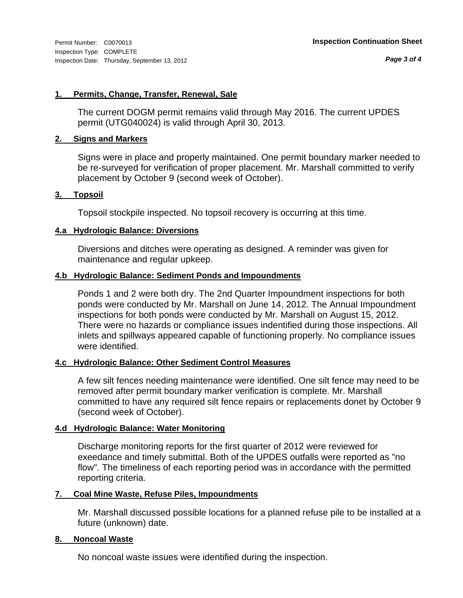## **1. Permits, Change, Transfer, Renewal, Sale**

The current DOGM permit remains valid through May 2016. The current UPDES permit (UTG040024) is valid through April 30, 2013.

## **2. Signs and Markers**

Signs were in place and properly maintained. One permit boundary marker needed to be re-surveyed for verification of proper placement. Mr. Marshall committed to verify placement by October 9 (second week of October).

## **3. Topsoil**

Topsoil stockpile inspected. No topsoil recovery is occurring at this time.

## **4.a Hydrologic Balance: Diversions**

Diversions and ditches were operating as designed. A reminder was given for maintenance and regular upkeep.

## **4.b Hydrologic Balance: Sediment Ponds and Impoundments**

Ponds 1 and 2 were both dry. The 2nd Quarter Impoundment inspections for both ponds were conducted by Mr. Marshall on June 14, 2012. The Annual Impoundment inspections for both ponds were conducted by Mr. Marshall on August 15, 2012. There were no hazards or compliance issues indentified during those inspections. All inlets and spillways appeared capable of functioning properly. No compliance issues were identified.

## **4.c Hydrologic Balance: Other Sediment Control Measures**

A few silt fences needing maintenance were identified. One silt fence may need to be removed after permit boundary marker verification is complete. Mr. Marshall committed to have any required silt fence repairs or replacements donet by October 9 (second week of October).

## **4.d Hydrologic Balance: Water Monitoring**

Discharge monitoring reports for the first quarter of 2012 were reviewed for exeedance and timely submittal. Both of the UPDES outfalls were reported as "no flow". The timeliness of each reporting period was in accordance with the permitted reporting criteria.

## **7. Coal Mine Waste, Refuse Piles, Impoundments**

Mr. Marshall discussed possible locations for a planned refuse pile to be installed at a future (unknown) date.

## **8. Noncoal Waste**

No noncoal waste issues were identified during the inspection.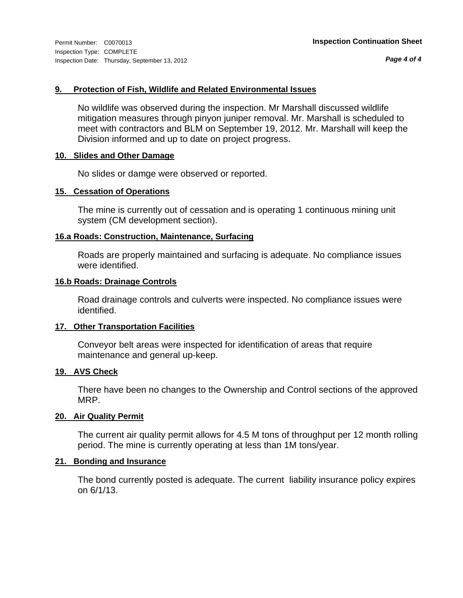*Page 4 of 4*

## **9. Protection of Fish, Wildlife and Related Environmental Issues**

No wildlife was observed during the inspection. Mr Marshall discussed wildlife mitigation measures through pinyon juniper removal. Mr. Marshall is scheduled to meet with contractors and BLM on September 19, 2012. Mr. Marshall will keep the Division informed and up to date on project progress.

## **10. Slides and Other Damage**

No slides or damge were observed or reported.

## **15. Cessation of Operations**

The mine is currently out of cessation and is operating 1 continuous mining unit system (CM development section).

## **16.a Roads: Construction, Maintenance, Surfacing**

Roads are properly maintained and surfacing is adequate. No compliance issues were identified.

## **16.b Roads: Drainage Controls**

Road drainage controls and culverts were inspected. No compliance issues were identified.

## **17. Other Transportation Facilities**

Conveyor belt areas were inspected for identification of areas that require maintenance and general up-keep.

## **19. AVS Check**

There have been no changes to the Ownership and Control sections of the approved MRP.

## **20. Air Quality Permit**

The current air quality permit allows for 4.5 M tons of throughput per 12 month rolling period. The mine is currently operating at less than 1M tons/year.

## **21. Bonding and Insurance**

The bond currently posted is adequate. The current liability insurance policy expires on 6/1/13.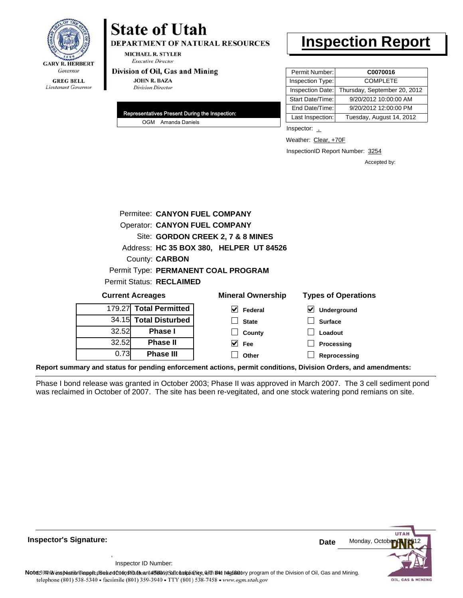

# **State of Utah**

**DEPARTMENT OF NATURAL RESOURCES** 

**MICHAEL R. STYLER Executive Director** 

#### Division of Oil, Gas and Mining

**JOHN R. BAZA Division Director** 

0.73

**Phase III**

| Representatives Present During the Inspection: |                    |  |  |  |
|------------------------------------------------|--------------------|--|--|--|
|                                                | OGM Amanda Daniels |  |  |  |

## **Inspection Report**

| Permit Number:   | C0070016                     |
|------------------|------------------------------|
| Inspection Type: | <b>COMPLETE</b>              |
| Inspection Date: | Thursday, September 20, 2012 |
| Start Date/Time: | 9/20/2012 10:00:00 AM        |
| End Date/Time:   | 9/20/2012 12:00:00 PM        |
| Last Inspection: | Tuesday, August 14, 2012     |

Inspector: 1

Weather: Clear, +70F

InspectionID Report Number: 3254

**Reprocessing**

Accepted by:

|       | Permitee: CANYON FUEL COMPANY        |                                         |                            |  |  |  |
|-------|--------------------------------------|-----------------------------------------|----------------------------|--|--|--|
|       | <b>Operator: CANYON FUEL COMPANY</b> |                                         |                            |  |  |  |
|       |                                      | Site: GORDON CREEK 2, 7 & 8 MINES       |                            |  |  |  |
|       |                                      | Address: HC 35 BOX 380, HELPER UT 84526 |                            |  |  |  |
|       | County: <b>CARBON</b>                |                                         |                            |  |  |  |
|       |                                      | Permit Type: PERMANENT COAL PROGRAM     |                            |  |  |  |
|       | <b>Permit Status: RECLAIMED</b>      |                                         |                            |  |  |  |
|       | <b>Current Acreages</b>              | <b>Mineral Ownership</b>                | <b>Types of Operations</b> |  |  |  |
|       | 179.27 Total Permitted               | V<br>Federal                            | Underground<br>M           |  |  |  |
|       | 34.15 Total Disturbed                | <b>State</b>                            | <b>Surface</b>             |  |  |  |
| 32.52 | Phase I                              | County                                  | Loadout                    |  |  |  |
| 32.52 | <b>Phase II</b>                      | Fee                                     | <b>Processing</b>          |  |  |  |

**Report summary and status for pending enforcement actions, permit conditions, Division Orders, and amendments:**

Phase I bond release was granted in October 2003; Phase II was approved in March 2007. The 3 cell sediment pond was reclaimed in October of 2007. The site has been re-vegitated, and one stock watering pond remians on site.

**Other**

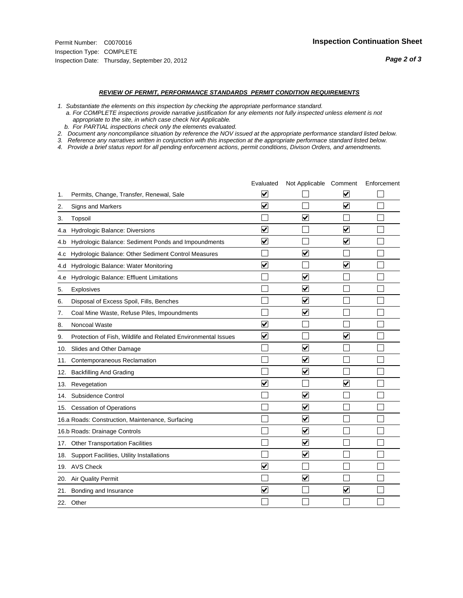#### *REVIEW OF PERMIT, PERFORMANCE STANDARDS PERMIT CONDITION REQUIREMENTS*

*1. Substantiate the elements on this inspection by checking the appropriate performance standard.*

 *a. For COMPLETE inspections provide narrative justification for any elements not fully inspected unless element is not appropriate to the site, in which case check Not Applicable.*

 *b. For PARTIAL inspections check only the elements evaluated.*

*2. Document any noncompliance situation by reference the NOV issued at the appropriate performance standard listed below.*

*3. Reference any narratives written in conjunction with this inspection at the appropriate performace standard listed below.*

*4. Provide a brief status report for all pending enforcement actions, permit conditions, Divison Orders, and amendments.*

|     |                                                               | Evaluated               | Not Applicable Comment          |                         | Enforcement |
|-----|---------------------------------------------------------------|-------------------------|---------------------------------|-------------------------|-------------|
| 1.  | Permits, Change, Transfer, Renewal, Sale                      | $\overline{\mathbf{v}}$ |                                 | V                       |             |
| 2.  | Signs and Markers                                             | $\overline{\mathbf{v}}$ |                                 | $\blacktriangledown$    |             |
| 3.  | Topsoil                                                       |                         | $\overline{\blacktriangledown}$ |                         |             |
| 4.a | Hydrologic Balance: Diversions                                | $\blacktriangledown$    |                                 | $\blacktriangledown$    |             |
| 4.b | Hydrologic Balance: Sediment Ponds and Impoundments           | $\blacktriangledown$    |                                 | ⊻                       |             |
| 4.C | Hydrologic Balance: Other Sediment Control Measures           |                         | $\overline{\mathbf{v}}$         |                         |             |
| 4.d | Hydrologic Balance: Water Monitoring                          | $\overline{\mathbf{v}}$ |                                 | $\overline{\mathbf{v}}$ |             |
| 4.e | Hydrologic Balance: Effluent Limitations                      |                         | ⊽                               |                         |             |
| 5.  | <b>Explosives</b>                                             |                         | $\overline{\mathbf{v}}$         |                         |             |
| 6.  | Disposal of Excess Spoil, Fills, Benches                      |                         | $\blacktriangledown$            |                         |             |
| 7.  | Coal Mine Waste, Refuse Piles, Impoundments                   |                         | $\overline{\mathbf{v}}$         |                         |             |
| 8.  | Noncoal Waste                                                 | $\overline{\mathsf{v}}$ |                                 |                         |             |
| 9.  | Protection of Fish, Wildlife and Related Environmental Issues | $\overline{\mathbf{v}}$ |                                 | ☑                       |             |
|     | 10. Slides and Other Damage                                   |                         | ⊽                               |                         |             |
| 11. | Contemporaneous Reclamation                                   |                         | ☑                               |                         |             |
| 12. | <b>Backfilling And Grading</b>                                |                         | $\overline{\mathbf{v}}$         |                         |             |
| 13. | Revegetation                                                  | $\overline{\mathbf{v}}$ |                                 | $\overline{\mathsf{v}}$ |             |
| 14. | Subsidence Control                                            |                         | $\overline{\mathbf{v}}$         |                         |             |
|     | 15. Cessation of Operations                                   |                         | $\blacktriangledown$            |                         |             |
|     | 16.a Roads: Construction, Maintenance, Surfacing              |                         | $\overline{\mathbf{v}}$         |                         |             |
|     | 16.b Roads: Drainage Controls                                 |                         | $\blacktriangledown$            |                         |             |
|     | 17. Other Transportation Facilities                           |                         | $\overline{\mathbf{v}}$         |                         |             |
| 18. | Support Facilities, Utility Installations                     |                         | $\blacktriangledown$            |                         |             |
|     | 19. AVS Check                                                 | $\blacktriangledown$    |                                 |                         |             |
| 20. | <b>Air Quality Permit</b>                                     |                         | $\blacktriangledown$            |                         |             |
| 21. | Bonding and Insurance                                         | $\overline{\mathbf{v}}$ |                                 | $\blacktriangledown$    |             |
|     | 22. Other                                                     |                         |                                 |                         |             |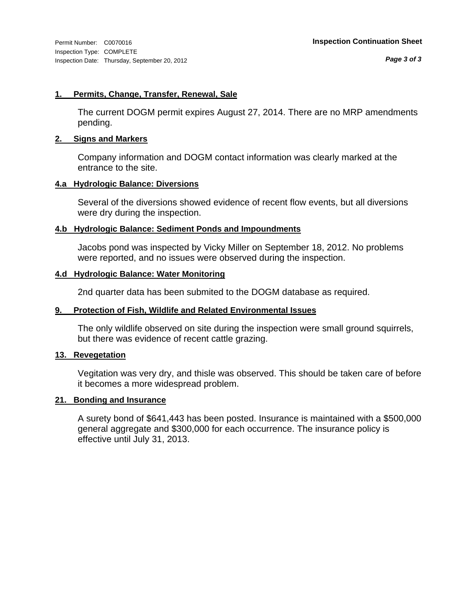## **1. Permits, Change, Transfer, Renewal, Sale**

The current DOGM permit expires August 27, 2014. There are no MRP amendments pending.

## **2. Signs and Markers**

Company information and DOGM contact information was clearly marked at the entrance to the site.

## **4.a Hydrologic Balance: Diversions**

Several of the diversions showed evidence of recent flow events, but all diversions were dry during the inspection.

## **4.b Hydrologic Balance: Sediment Ponds and Impoundments**

Jacobs pond was inspected by Vicky Miller on September 18, 2012. No problems were reported, and no issues were observed during the inspection.

## **4.d Hydrologic Balance: Water Monitoring**

2nd quarter data has been submited to the DOGM database as required.

## **9. Protection of Fish, Wildlife and Related Environmental Issues**

The only wildlife observed on site during the inspection were small ground squirrels, but there was evidence of recent cattle grazing.

## **13. Revegetation**

Vegitation was very dry, and thisle was observed. This should be taken care of before it becomes a more widespread problem.

## **21. Bonding and Insurance**

A surety bond of \$641,443 has been posted. Insurance is maintained with a \$500,000 general aggregate and \$300,000 for each occurrence. The insurance policy is effective until July 31, 2013.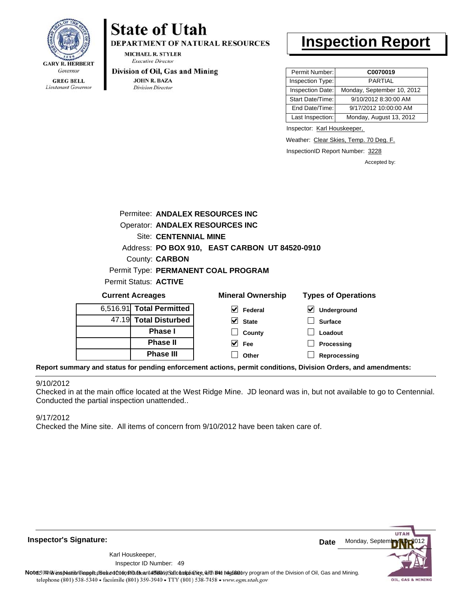

Lieutenant Governor

# **State of Utah**

**DEPARTMENT OF NATURAL RESOURCES** 

**MICHAEL R. STYLER Executive Director** 

## Division of Oil, Gas and Mining

**JOHN R. BAZA Division Director** 

# **Inspection Report**

| Permit Number:   | C0070019                   |
|------------------|----------------------------|
| Inspection Type: | <b>PARTIAL</b>             |
| Inspection Date: | Monday, September 10, 2012 |
| Start Date/Time: | 9/10/2012 8:30:00 AM       |
| End Date/Time:   | 9/17/2012 10:00:00 AM      |
| Last Inspection: | Monday, August 13, 2012    |

Inspector: Karl Houskeeper,

Weather: Clear Skies, Temp. 70 Deg. F.

InspectionID Report Number: 3228

Accepted by:

| <b>Current Acreages</b> |                              | <b>Mineral Ownership</b>                       | <b>Types of Operations</b> |
|-------------------------|------------------------------|------------------------------------------------|----------------------------|
| Permit Status: ACTIVE   |                              |                                                |                            |
|                         |                              | Permit Type: PERMANENT COAL PROGRAM            |                            |
|                         | County: <b>CARBON</b>        |                                                |                            |
|                         |                              | Address: PO BOX 910, EAST CARBON UT 84520-0910 |                            |
|                         | <b>Site: CENTENNIAL MINE</b> |                                                |                            |
|                         |                              | <b>Operator: ANDALEX RESOURCES INC</b>         |                            |
|                         |                              | Permitee: ANDALEX RESOURCES INC                |                            |
|                         |                              |                                                |                            |

|  |                                         | <b>Current Acreages</b>  | <b>Mineral Ownership</b>        | <b>Types of Operations</b>                                                                                     |  |
|--|-----------------------------------------|--------------------------|---------------------------------|----------------------------------------------------------------------------------------------------------------|--|
|  |                                         | 6,516.91 Total Permitted | $\blacktriangledown$<br>Federal | $\vert\mathbf{v}\vert$<br>Underground                                                                          |  |
|  | 47.19 Total Disturbed<br><b>Phase I</b> |                          | $\overline{\mathsf{v}}$ State   | <b>Surface</b>                                                                                                 |  |
|  |                                         |                          | County                          | Loadout                                                                                                        |  |
|  |                                         | <b>Phase II</b>          | $\overline{\smash{\vee}}$ Fee   | Processing                                                                                                     |  |
|  |                                         | <b>Phase III</b>         | Other                           | Reprocessing                                                                                                   |  |
|  |                                         |                          |                                 | Report summary and status for pending enforcement actions, permit conditions, Division Orders, and amendments: |  |

#### 9/10/2012

Checked in at the main office located at the West Ridge Mine. JD leonard was in, but not available to go to Centennial. Conducted the partial inspection unattended..

## 9/17/2012

Checked the Mine site. All items of concern from 9/10/2012 have been taken care of.

**Inspector's Signature:**

49 Inspector ID Number:Karl Houskeeper,

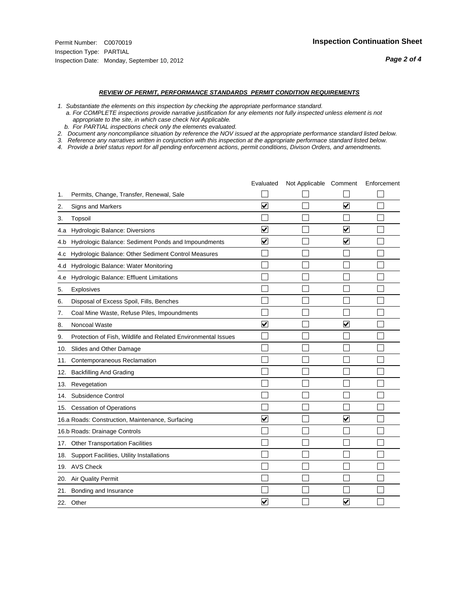#### *REVIEW OF PERMIT, PERFORMANCE STANDARDS PERMIT CONDITION REQUIREMENTS*

- *1. Substantiate the elements on this inspection by checking the appropriate performance standard.*
- *a. For COMPLETE inspections provide narrative justification for any elements not fully inspected unless element is not appropriate to the site, in which case check Not Applicable.*
- *b. For PARTIAL inspections check only the elements evaluated.*
- *2. Document any noncompliance situation by reference the NOV issued at the appropriate performance standard listed below.*
- *3. Reference any narratives written in conjunction with this inspection at the appropriate performace standard listed below.*
- *4. Provide a brief status report for all pending enforcement actions, permit conditions, Divison Orders, and amendments.*

|     |                                                               | Evaluated               | Not Applicable Comment |                         | Enforcement |
|-----|---------------------------------------------------------------|-------------------------|------------------------|-------------------------|-------------|
| 1.  | Permits, Change, Transfer, Renewal, Sale                      |                         |                        |                         |             |
| 2.  | <b>Signs and Markers</b>                                      | $\overline{\mathbf{v}}$ |                        | $\overline{\mathbf{v}}$ |             |
| 3.  | Topsoil                                                       |                         |                        |                         |             |
| 4.a | Hydrologic Balance: Diversions                                | $\blacktriangledown$    |                        | $\overline{\mathbf{v}}$ |             |
| 4.b | Hydrologic Balance: Sediment Ponds and Impoundments           | $\blacktriangledown$    |                        | ⊻                       |             |
| 4.c | Hydrologic Balance: Other Sediment Control Measures           |                         |                        |                         |             |
| 4.d | Hydrologic Balance: Water Monitoring                          |                         |                        |                         |             |
| 4.e | Hydrologic Balance: Effluent Limitations                      |                         |                        |                         |             |
| 5.  | <b>Explosives</b>                                             |                         |                        |                         |             |
| 6.  | Disposal of Excess Spoil, Fills, Benches                      |                         |                        |                         |             |
| 7.  | Coal Mine Waste, Refuse Piles, Impoundments                   |                         |                        |                         |             |
| 8.  | Noncoal Waste                                                 | $\overline{\mathbf{v}}$ |                        | $\overline{\mathsf{v}}$ |             |
| 9.  | Protection of Fish, Wildlife and Related Environmental Issues |                         |                        |                         |             |
|     | 10. Slides and Other Damage                                   |                         |                        |                         |             |
| 11. | Contemporaneous Reclamation                                   |                         |                        |                         |             |
| 12. | <b>Backfilling And Grading</b>                                |                         |                        |                         |             |
| 13. | Revegetation                                                  |                         |                        |                         |             |
| 14. | Subsidence Control                                            |                         |                        |                         |             |
|     | 15. Cessation of Operations                                   |                         |                        |                         |             |
|     | 16.a Roads: Construction, Maintenance, Surfacing              | ⊽                       |                        | $\blacktriangledown$    |             |
|     | 16.b Roads: Drainage Controls                                 |                         |                        |                         |             |
|     | 17. Other Transportation Facilities                           |                         |                        |                         |             |
| 18. | Support Facilities, Utility Installations                     |                         |                        |                         |             |
|     | 19. AVS Check                                                 |                         |                        |                         |             |
| 20. | Air Quality Permit                                            |                         |                        |                         |             |
| 21. | Bonding and Insurance                                         |                         |                        |                         |             |
|     | 22. Other                                                     | $\overline{\mathbf{v}}$ |                        | $\overline{\mathbf{v}}$ |             |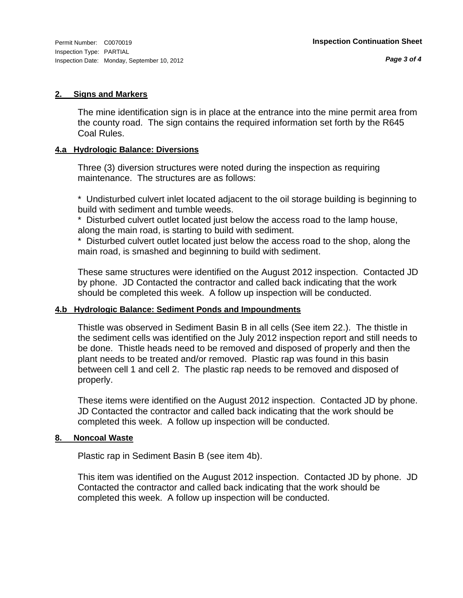## **2. Signs and Markers**

The mine identification sign is in place at the entrance into the mine permit area from the county road. The sign contains the required information set forth by the R645 Coal Rules.

## **4.a Hydrologic Balance: Diversions**

Three (3) diversion structures were noted during the inspection as requiring maintenance. The structures are as follows:

\* Undisturbed culvert inlet located adjacent to the oil storage building is beginning to build with sediment and tumble weeds.

\* Disturbed culvert outlet located just below the access road to the lamp house, along the main road, is starting to build with sediment.

\* Disturbed culvert outlet located just below the access road to the shop, along the main road, is smashed and beginning to build with sediment.

These same structures were identified on the August 2012 inspection. Contacted JD by phone. JD Contacted the contractor and called back indicating that the work should be completed this week. A follow up inspection will be conducted.

## **4.b Hydrologic Balance: Sediment Ponds and Impoundments**

Thistle was observed in Sediment Basin B in all cells (See item 22.). The thistle in the sediment cells was identified on the July 2012 inspection report and still needs to be done. Thistle heads need to be removed and disposed of properly and then the plant needs to be treated and/or removed. Plastic rap was found in this basin between cell 1 and cell 2. The plastic rap needs to be removed and disposed of properly.

These items were identified on the August 2012 inspection. Contacted JD by phone. JD Contacted the contractor and called back indicating that the work should be completed this week. A follow up inspection will be conducted.

## **8. Noncoal Waste**

Plastic rap in Sediment Basin B (see item 4b).

This item was identified on the August 2012 inspection. Contacted JD by phone. JD Contacted the contractor and called back indicating that the work should be completed this week. A follow up inspection will be conducted.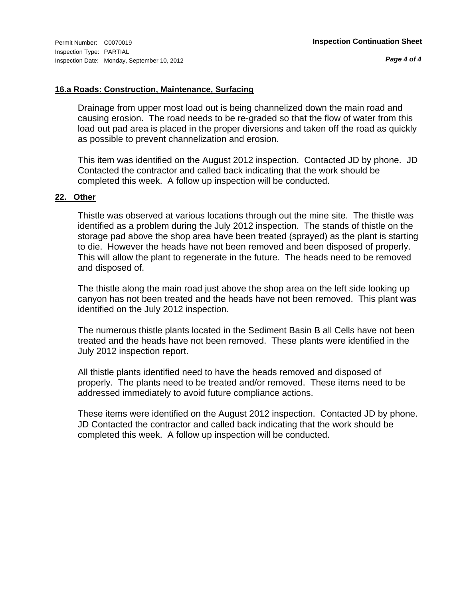## **16.a Roads: Construction, Maintenance, Surfacing**

Drainage from upper most load out is being channelized down the main road and causing erosion. The road needs to be re-graded so that the flow of water from this load out pad area is placed in the proper diversions and taken off the road as quickly as possible to prevent channelization and erosion.

This item was identified on the August 2012 inspection. Contacted JD by phone. JD Contacted the contractor and called back indicating that the work should be completed this week. A follow up inspection will be conducted.

## **22. Other**

Thistle was observed at various locations through out the mine site. The thistle was identified as a problem during the July 2012 inspection. The stands of thistle on the storage pad above the shop area have been treated (sprayed) as the plant is starting to die. However the heads have not been removed and been disposed of properly. This will allow the plant to regenerate in the future. The heads need to be removed and disposed of.

The thistle along the main road just above the shop area on the left side looking up canyon has not been treated and the heads have not been removed. This plant was identified on the July 2012 inspection.

The numerous thistle plants located in the Sediment Basin B all Cells have not been treated and the heads have not been removed. These plants were identified in the July 2012 inspection report.

All thistle plants identified need to have the heads removed and disposed of properly. The plants need to be treated and/or removed. These items need to be addressed immediately to avoid future compliance actions.

These items were identified on the August 2012 inspection. Contacted JD by phone. JD Contacted the contractor and called back indicating that the work should be completed this week. A follow up inspection will be conducted.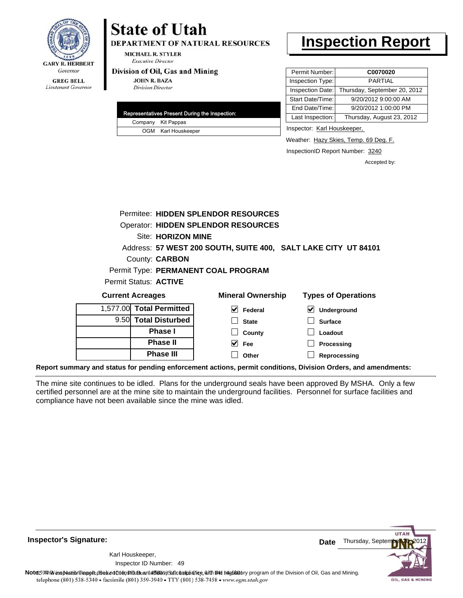

# **State of Utah**

**DEPARTMENT OF NATURAL RESOURCES** 

**MICHAEL R. STYLER Executive Director** 

#### Division of Oil, Gas and Mining

**Phase III**

**JOHN R. BAZA Division Director** 

|  | Representatives Present During the Inspection: |
|--|------------------------------------------------|
|  | Company Kit Pappas                             |
|  | OGM Karl Houskeeper                            |

## **Inspection Report**

| Permit Number:   | C0070020                     |
|------------------|------------------------------|
| Inspection Type: | <b>PARTIAL</b>               |
| Inspection Date: | Thursday, September 20, 2012 |
| Start Date/Time: | 9/20/2012 9:00:00 AM         |
| End Date/Time:   | 9/20/2012 1:00:00 PM         |
| Last Inspection: | Thursday, August 23, 2012    |

Inspector: Karl Houskeeper,

Weather: Hazy Skies, Temp. 69 Deg. F.

InspectionID Report Number: 3240

**Reprocessing**

Accepted by:

|      |                              | Permitee: HIDDEN SPLENDOR RESOURCES                            |                                                   |
|------|------------------------------|----------------------------------------------------------------|---------------------------------------------------|
|      |                              | <b>Operator: HIDDEN SPLENDOR RESOURCES</b>                     |                                                   |
|      | Site: HORIZON MINE           |                                                                |                                                   |
|      |                              | Address: 57 WEST 200 SOUTH, SUITE 400, SALT LAKE CITY UT 84101 |                                                   |
|      | County: <b>CARBON</b>        |                                                                |                                                   |
|      |                              | Permit Type: PERMANENT COAL PROGRAM                            |                                                   |
|      | Permit Status: <b>ACTIVE</b> |                                                                |                                                   |
|      | <b>Current Acreages</b>      | <b>Mineral Ownership</b>                                       | <b>Types of Operations</b>                        |
|      | 1,577.00 Total Permitted     | V<br>Federal                                                   | $\vert\bm{\checkmark}\vert$<br><b>Underground</b> |
| 9.50 | <b>Total Disturbed</b>       | <b>State</b>                                                   | <b>Surface</b>                                    |
|      | <b>Phase I</b>               | County                                                         | Loadout                                           |
|      | <b>Phase II</b>              | Fee                                                            | Processing                                        |

**Other**

**Report summary and status for pending enforcement actions, permit conditions, Division Orders, and amendments:**

The mine site continues to be idled. Plans for the underground seals have been approved By MSHA. Only a few certified personnel are at the mine site to maintain the underground facilities. Personnel for surface facilities and compliance have not been available since the mine was idled.



**Inspector's Signature:**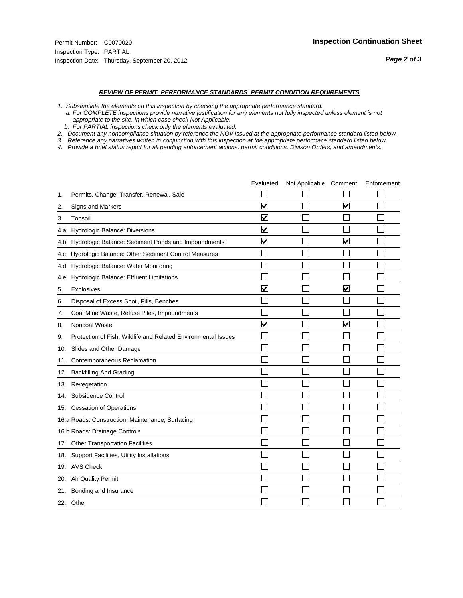#### *REVIEW OF PERMIT, PERFORMANCE STANDARDS PERMIT CONDITION REQUIREMENTS*

*1. Substantiate the elements on this inspection by checking the appropriate performance standard.*

 *a. For COMPLETE inspections provide narrative justification for any elements not fully inspected unless element is not appropriate to the site, in which case check Not Applicable.*

 *b. For PARTIAL inspections check only the elements evaluated.*

*2. Document any noncompliance situation by reference the NOV issued at the appropriate performance standard listed below.*

*3. Reference any narratives written in conjunction with this inspection at the appropriate performace standard listed below.*

*4. Provide a brief status report for all pending enforcement actions, permit conditions, Divison Orders, and amendments.*

|     |                                                               | Evaluated               | Not Applicable Comment |                         | Enforcement |
|-----|---------------------------------------------------------------|-------------------------|------------------------|-------------------------|-------------|
| 1.  | Permits, Change, Transfer, Renewal, Sale                      |                         |                        |                         |             |
| 2.  | Signs and Markers                                             | $\overline{\mathbf{v}}$ |                        | $\overline{\mathbf{v}}$ |             |
| 3.  | Topsoil                                                       | $\overline{\mathbf{v}}$ |                        |                         |             |
| 4.a | Hydrologic Balance: Diversions                                | $\blacktriangledown$    |                        |                         |             |
| 4.b | Hydrologic Balance: Sediment Ponds and Impoundments           | $\blacktriangledown$    |                        | V                       |             |
| 4.C | Hydrologic Balance: Other Sediment Control Measures           |                         |                        |                         |             |
| 4.d | Hydrologic Balance: Water Monitoring                          |                         |                        |                         |             |
| 4.e | Hydrologic Balance: Effluent Limitations                      |                         |                        |                         |             |
| 5.  | Explosives                                                    | $\overline{\mathbf{v}}$ |                        | $\overline{\mathbf{v}}$ |             |
| 6.  | Disposal of Excess Spoil, Fills, Benches                      |                         |                        |                         |             |
| 7.  | Coal Mine Waste, Refuse Piles, Impoundments                   |                         |                        |                         |             |
| 8.  | Noncoal Waste                                                 | $\overline{\mathsf{v}}$ |                        | $\overline{\mathbf{v}}$ |             |
| 9.  | Protection of Fish, Wildlife and Related Environmental Issues |                         |                        |                         |             |
| 10. | Slides and Other Damage                                       |                         |                        |                         |             |
| 11. | Contemporaneous Reclamation                                   |                         |                        |                         |             |
| 12. | <b>Backfilling And Grading</b>                                |                         |                        |                         |             |
| 13. | Revegetation                                                  |                         |                        |                         |             |
| 14. | Subsidence Control                                            |                         |                        |                         |             |
|     | 15. Cessation of Operations                                   |                         |                        |                         |             |
|     | 16.a Roads: Construction, Maintenance, Surfacing              |                         |                        |                         |             |
|     | 16.b Roads: Drainage Controls                                 |                         |                        |                         |             |
| 17. | <b>Other Transportation Facilities</b>                        |                         |                        |                         |             |
| 18. | Support Facilities, Utility Installations                     |                         |                        |                         |             |
|     | 19. AVS Check                                                 |                         |                        |                         |             |
| 20. | <b>Air Quality Permit</b>                                     |                         |                        |                         |             |
| 21. | Bonding and Insurance                                         |                         |                        |                         |             |
|     | 22. Other                                                     |                         |                        |                         |             |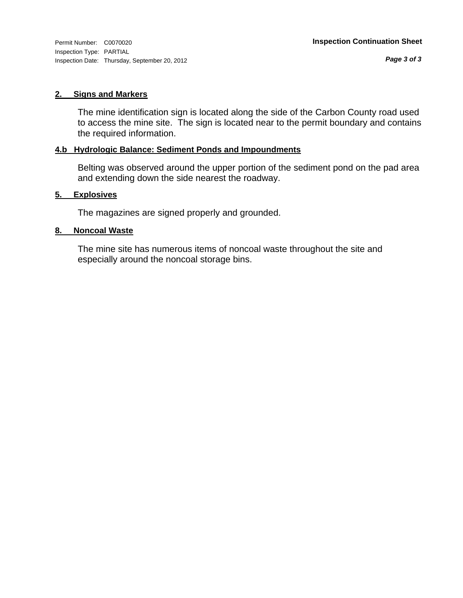## **2. Signs and Markers**

The mine identification sign is located along the side of the Carbon County road used to access the mine site. The sign is located near to the permit boundary and contains the required information.

## **4.b Hydrologic Balance: Sediment Ponds and Impoundments**

Belting was observed around the upper portion of the sediment pond on the pad area and extending down the side nearest the roadway.

## **5. Explosives**

The magazines are signed properly and grounded.

## **8. Noncoal Waste**

The mine site has numerous items of noncoal waste throughout the site and especially around the noncoal storage bins.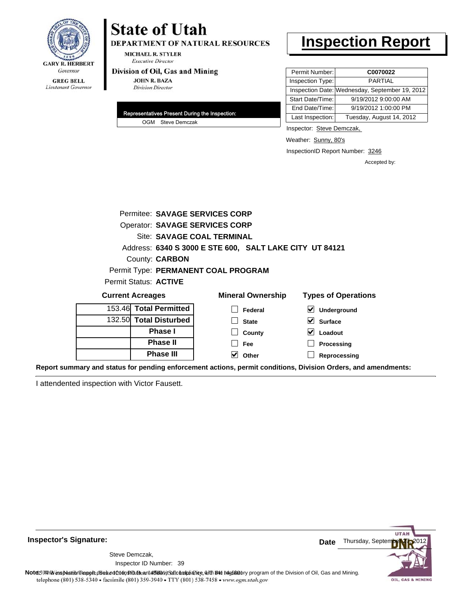

# **State of Utah**

DEPARTMENT OF NATURAL RESOURCES

**MICHAEL R. STYLER Executive Director** 

#### Division of Oil, Gas and Mining

**JOHN R. BAZA Division Director** 

| Representatives Present During the Inspection: |                   |  |
|------------------------------------------------|-------------------|--|
|                                                | OGM Steve Demczak |  |

## **Inspection Report**

| Permit Number:   | C0070022                                       |
|------------------|------------------------------------------------|
| Inspection Type: | PARTIAL                                        |
|                  | Inspection Date: Wednesday, September 19, 2012 |
| Start Date/Time: | 9/19/2012 9:00:00 AM                           |
| End Date/Time:   | 9/19/2012 1:00:00 PM                           |
| Last Inspection: | Tuesday, August 14, 2012                       |

Inspector: Steve Demczak,

Weather: Sunny, 80's

InspectionID Report Number: 3246

Accepted by:

| Permitee: SAVAGE SERVICES CORP        |                                                         |                            |  |  |  |
|---------------------------------------|---------------------------------------------------------|----------------------------|--|--|--|
| <b>Operator: SAVAGE SERVICES CORP</b> |                                                         |                            |  |  |  |
|                                       | Site: SAVAGE COAL TERMINAL                              |                            |  |  |  |
|                                       | Address: 6340 S 3000 E STE 600, SALT LAKE CITY UT 84121 |                            |  |  |  |
| County: <b>CARBON</b>                 |                                                         |                            |  |  |  |
|                                       | Permit Type: PERMANENT COAL PROGRAM                     |                            |  |  |  |
| Permit Status: <b>ACTIVE</b>          |                                                         |                            |  |  |  |
| <b>Current Acreages</b>               | <b>Mineral Ownership</b>                                | <b>Types of Operations</b> |  |  |  |
| 153.46 Total Permitted                | Federal                                                 | ⊻<br><b>Underground</b>    |  |  |  |
| 132.50 Total Disturbed                | <b>State</b>                                            | V<br><b>Surface</b>        |  |  |  |
| Phase I                               | County                                                  | V<br>Loadout               |  |  |  |
| <b>Phase II</b>                       | Fee                                                     | Processing                 |  |  |  |
| Phase III                             | Other                                                   | Reprocessing               |  |  |  |
|                                       |                                                         |                            |  |  |  |

**Report summary and status for pending enforcement actions, permit conditions, Division Orders, and amendments:**

I attendented inspection with Victor Fausett.



**Inspector's Signature:**

Inspector ID Number: 39 Steve Demczak,

Note: 59 This inspection report does not do an affidavit Suite and Affidavit Constitute and Division of Coli, Gas and Mining.<br>telephone (801) 538-5340 • facsimile (801) 359-3940 • TTY (801) 538-7458 • www.ogm.utah.gov

OIL, GAS & MINING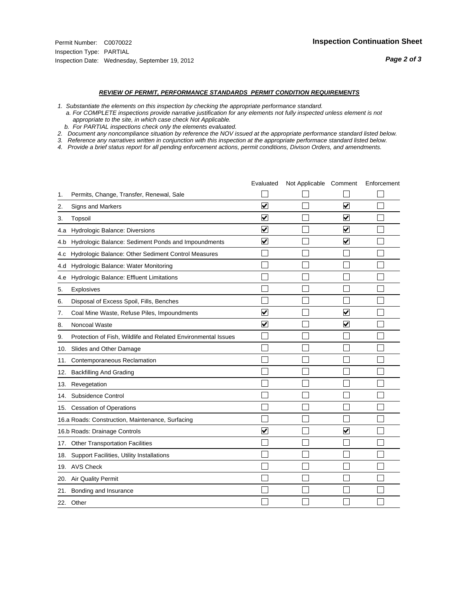#### *REVIEW OF PERMIT, PERFORMANCE STANDARDS PERMIT CONDITION REQUIREMENTS*

*1. Substantiate the elements on this inspection by checking the appropriate performance standard.*

 *a. For COMPLETE inspections provide narrative justification for any elements not fully inspected unless element is not appropriate to the site, in which case check Not Applicable.*

 *b. For PARTIAL inspections check only the elements evaluated.*

*2. Document any noncompliance situation by reference the NOV issued at the appropriate performance standard listed below.*

*3. Reference any narratives written in conjunction with this inspection at the appropriate performace standard listed below.*

*4. Provide a brief status report for all pending enforcement actions, permit conditions, Divison Orders, and amendments.*

|     |                                                               | Evaluated               | Not Applicable Comment |                         | Enforcement |
|-----|---------------------------------------------------------------|-------------------------|------------------------|-------------------------|-------------|
| 1.  | Permits, Change, Transfer, Renewal, Sale                      |                         |                        |                         |             |
| 2.  | <b>Signs and Markers</b>                                      | $\overline{\mathbf{v}}$ |                        | $\overline{\mathbf{v}}$ |             |
| 3.  | Topsoil                                                       | $\overline{\mathbf{v}}$ |                        | $\overline{\mathbf{v}}$ |             |
| 4.a | Hydrologic Balance: Diversions                                | ⊽                       |                        | $\blacktriangledown$    |             |
| 4.b | Hydrologic Balance: Sediment Ponds and Impoundments           | $\blacktriangledown$    |                        | ⊻                       |             |
| 4.C | Hydrologic Balance: Other Sediment Control Measures           |                         |                        |                         |             |
| 4.d | Hydrologic Balance: Water Monitoring                          |                         |                        |                         |             |
| 4.e | Hydrologic Balance: Effluent Limitations                      |                         |                        |                         |             |
| 5.  | Explosives                                                    |                         |                        |                         |             |
| 6.  | Disposal of Excess Spoil, Fills, Benches                      |                         |                        |                         |             |
| 7.  | Coal Mine Waste, Refuse Piles, Impoundments                   | $\overline{\mathbf{v}}$ |                        | $\overline{\mathsf{v}}$ |             |
| 8.  | Noncoal Waste                                                 | $\overline{\mathbf{v}}$ |                        | $\blacktriangledown$    |             |
| 9.  | Protection of Fish, Wildlife and Related Environmental Issues |                         |                        |                         |             |
|     | 10. Slides and Other Damage                                   |                         |                        |                         |             |
| 11. | Contemporaneous Reclamation                                   |                         |                        |                         |             |
| 12. | <b>Backfilling And Grading</b>                                |                         |                        |                         |             |
| 13. | Revegetation                                                  |                         |                        |                         |             |
| 14. | Subsidence Control                                            |                         |                        |                         |             |
|     | 15. Cessation of Operations                                   |                         |                        |                         |             |
|     | 16.a Roads: Construction, Maintenance, Surfacing              |                         |                        |                         |             |
|     | 16.b Roads: Drainage Controls                                 | $\blacktriangledown$    |                        | V                       |             |
|     | 17. Other Transportation Facilities                           |                         |                        |                         |             |
| 18. | Support Facilities, Utility Installations                     |                         |                        |                         |             |
|     | 19. AVS Check                                                 |                         |                        |                         |             |
| 20. | Air Quality Permit                                            |                         |                        |                         |             |
|     | 21. Bonding and Insurance                                     |                         |                        |                         |             |
|     | 22. Other                                                     |                         |                        |                         |             |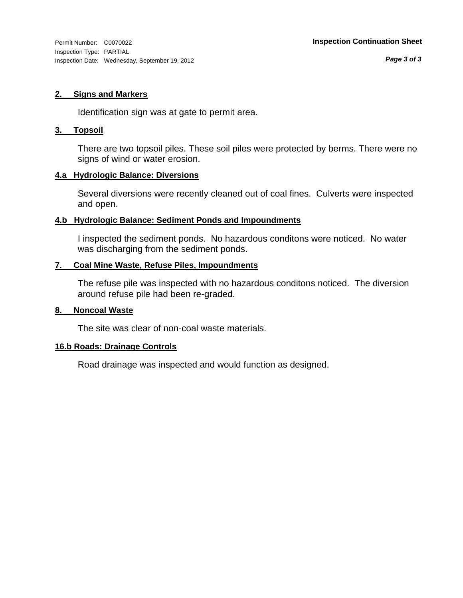#### **2. Signs and Markers**

Identification sign was at gate to permit area.

#### **3. Topsoil**

There are two topsoil piles. These soil piles were protected by berms. There were no signs of wind or water erosion.

#### **4.a Hydrologic Balance: Diversions**

Several diversions were recently cleaned out of coal fines. Culverts were inspected and open.

#### **4.b Hydrologic Balance: Sediment Ponds and Impoundments**

I inspected the sediment ponds. No hazardous conditons were noticed. No water was discharging from the sediment ponds.

#### **7. Coal Mine Waste, Refuse Piles, Impoundments**

The refuse pile was inspected with no hazardous conditons noticed. The diversion around refuse pile had been re-graded.

#### **8. Noncoal Waste**

The site was clear of non-coal waste materials.

#### **16.b Roads: Drainage Controls**

Road drainage was inspected and would function as designed.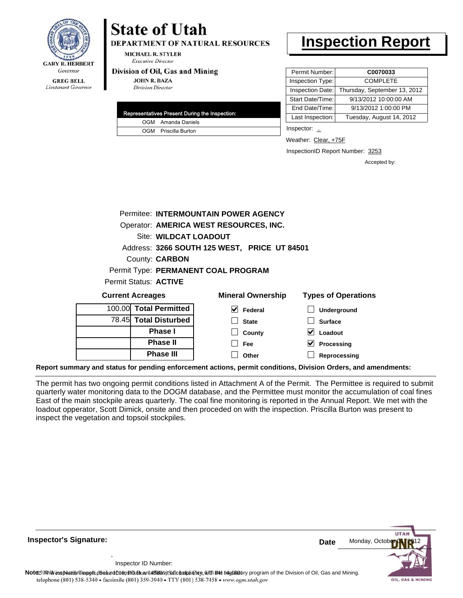

# **State of Utah**

**DEPARTMENT OF NATURAL RESOURCES** 

**MICHAEL R. STYLER Executive Director** 

#### Division of Oil, Gas and Mining

**Phase II Phase III**

**JOHN R. BAZA Division Director** 

|  | Representatives Present During the Inspection: |
|--|------------------------------------------------|
|  | OGM Amanda Daniels                             |
|  | OGM Priscilla Burton                           |

### **Inspection Report**

| Permit Number:   | C0070033                     |
|------------------|------------------------------|
| Inspection Type: | <b>COMPLETE</b>              |
| Inspection Date: | Thursday, September 13, 2012 |
| Start Date/Time: | 9/13/2012 10:00:00 AM        |
| End Date/Time:   | 9/13/2012 1:00:00 PM         |
| Last Inspection: | Tuesday, August 14, 2012     |

Inspector: 1

Weather: Clear, +75F

InspectionID Report Number: 3253

**Processing Reprocessing** Accepted by:

| Permitee: INTERMOUNTAIN POWER AGENCY |                                        |                                              |                            |  |  |
|--------------------------------------|----------------------------------------|----------------------------------------------|----------------------------|--|--|
|                                      | Operator: AMERICA WEST RESOURCES, INC. |                                              |                            |  |  |
|                                      | <b>Site: WILDCAT LOADOUT</b>           |                                              |                            |  |  |
|                                      |                                        | Address: 3266 SOUTH 125 WEST, PRICE UT 84501 |                            |  |  |
|                                      | County: <b>CARBON</b>                  |                                              |                            |  |  |
|                                      |                                        | Permit Type: PERMANENT COAL PROGRAM          |                            |  |  |
|                                      | Permit Status: ACTIVE                  |                                              |                            |  |  |
|                                      | <b>Current Acreages</b>                | <b>Mineral Ownership</b>                     | <b>Types of Operations</b> |  |  |
|                                      | 100.00 Total Permitted                 | V<br><b>Federal</b>                          | <b>Underground</b>         |  |  |
|                                      | 78.45 Total Disturbed                  | <b>State</b>                                 | <b>Surface</b>             |  |  |
|                                      | <b>Phase I</b>                         | County                                       | Loadout                    |  |  |
|                                      |                                        |                                              |                            |  |  |

**Report summary and status for pending enforcement actions, permit conditions, Division Orders, and amendments:**

The permit has two ongoing permit conditions listed in Attachment A of the Permit. The Permittee is required to submit quarterly water monitoring data to the DOGM database, and the Permittee must monitor the accumulation of coal fines East of the main stockpile areas quarterly. The coal fine monitoring is reported in the Annual Report. We met with the loadout opperator, Scott Dimick, onsite and then proceded on with the inspection. Priscilla Burton was present to inspect the vegetation and topsoil stockpiles.

**Fee Other**

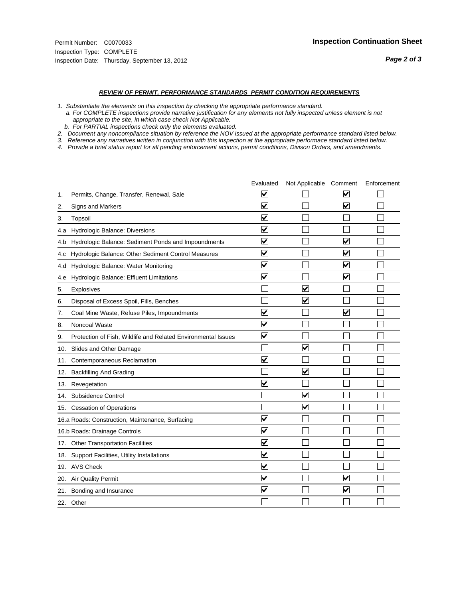#### *REVIEW OF PERMIT, PERFORMANCE STANDARDS PERMIT CONDITION REQUIREMENTS*

*1. Substantiate the elements on this inspection by checking the appropriate performance standard.*

 *a. For COMPLETE inspections provide narrative justification for any elements not fully inspected unless element is not appropriate to the site, in which case check Not Applicable.*

 *b. For PARTIAL inspections check only the elements evaluated.*

*2. Document any noncompliance situation by reference the NOV issued at the appropriate performance standard listed below.*

*3. Reference any narratives written in conjunction with this inspection at the appropriate performace standard listed below.*

*4. Provide a brief status report for all pending enforcement actions, permit conditions, Divison Orders, and amendments.*

|     |                                                               | Evaluated               | Not Applicable Comment  |                         | Enforcement |
|-----|---------------------------------------------------------------|-------------------------|-------------------------|-------------------------|-------------|
| 1.  | Permits, Change, Transfer, Renewal, Sale                      | $\overline{\mathbf{v}}$ |                         | V                       |             |
| 2.  | Signs and Markers                                             | $\overline{\mathbf{v}}$ |                         | $\blacktriangledown$    |             |
| 3.  | Topsoil                                                       | $\overline{\mathbf{v}}$ |                         |                         |             |
| 4.a | Hydrologic Balance: Diversions                                | $\overline{\mathsf{v}}$ |                         |                         |             |
| 4.b | Hydrologic Balance: Sediment Ponds and Impoundments           | $\blacktriangledown$    |                         | V                       |             |
| 4.C | Hydrologic Balance: Other Sediment Control Measures           | $\overline{\mathbf{v}}$ |                         | $\blacktriangledown$    |             |
| 4.d | Hydrologic Balance: Water Monitoring                          | $\overline{\mathbf{v}}$ |                         | $\overline{\mathbf{v}}$ |             |
| 4.e | Hydrologic Balance: Effluent Limitations                      | $\overline{\mathbf{v}}$ |                         | $\blacktriangledown$    |             |
| 5.  | <b>Explosives</b>                                             |                         | ⊽                       |                         |             |
| 6.  | Disposal of Excess Spoil, Fills, Benches                      |                         | $\blacktriangledown$    |                         |             |
| 7.  | Coal Mine Waste, Refuse Piles, Impoundments                   | $\overline{\mathbf{v}}$ |                         | $\overline{\mathbf{v}}$ |             |
| 8.  | Noncoal Waste                                                 | $\overline{\mathbf{v}}$ |                         |                         |             |
| 9.  | Protection of Fish, Wildlife and Related Environmental Issues | $\blacktriangledown$    |                         |                         |             |
|     | 10. Slides and Other Damage                                   |                         | $\blacktriangledown$    |                         |             |
| 11. | Contemporaneous Reclamation                                   | ⊽                       |                         |                         |             |
| 12. | <b>Backfilling And Grading</b>                                |                         | $\overline{\mathbf{v}}$ |                         |             |
| 13. | Revegetation                                                  | $\overline{\mathbf{v}}$ |                         |                         |             |
| 14. | Subsidence Control                                            |                         | $\overline{\mathbf{v}}$ |                         |             |
|     | 15. Cessation of Operations                                   |                         | $\blacktriangleright$   |                         |             |
|     | 16.a Roads: Construction, Maintenance, Surfacing              | ⊽                       |                         |                         |             |
|     | 16.b Roads: Drainage Controls                                 | $\overline{\mathbf{v}}$ |                         |                         |             |
|     | 17. Other Transportation Facilities                           | $\overline{\mathbf{v}}$ |                         |                         |             |
| 18. | Support Facilities, Utility Installations                     | $\overline{\mathbf{v}}$ |                         |                         |             |
|     | 19. AVS Check                                                 | $\overline{\mathbf{v}}$ |                         |                         |             |
| 20. | <b>Air Quality Permit</b>                                     | $\checkmark$            |                         | $\blacktriangledown$    |             |
| 21. | Bonding and Insurance                                         | $\overline{\mathbf{v}}$ |                         | $\blacktriangledown$    |             |
|     | 22. Other                                                     |                         |                         |                         |             |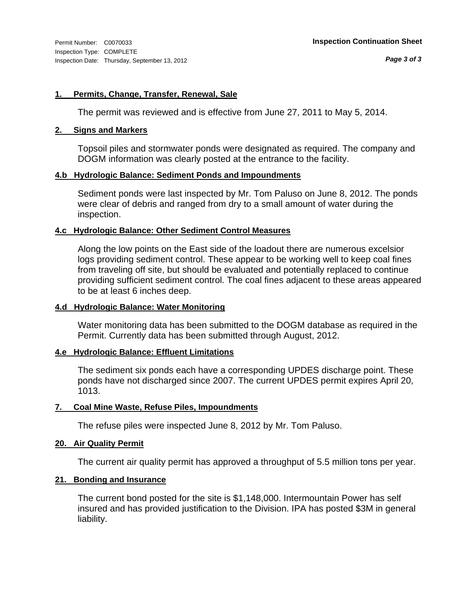#### **1. Permits, Change, Transfer, Renewal, Sale**

The permit was reviewed and is effective from June 27, 2011 to May 5, 2014.

#### **2. Signs and Markers**

Topsoil piles and stormwater ponds were designated as required. The company and DOGM information was clearly posted at the entrance to the facility.

#### **4.b Hydrologic Balance: Sediment Ponds and Impoundments**

Sediment ponds were last inspected by Mr. Tom Paluso on June 8, 2012. The ponds were clear of debris and ranged from dry to a small amount of water during the inspection.

#### **4.c Hydrologic Balance: Other Sediment Control Measures**

Along the low points on the East side of the loadout there are numerous excelsior logs providing sediment control. These appear to be working well to keep coal fines from traveling off site, but should be evaluated and potentially replaced to continue providing sufficient sediment control. The coal fines adjacent to these areas appeared to be at least 6 inches deep.

#### **4.d Hydrologic Balance: Water Monitoring**

Water monitoring data has been submitted to the DOGM database as required in the Permit. Currently data has been submitted through August, 2012.

#### **4.e Hydrologic Balance: Effluent Limitations**

The sediment six ponds each have a corresponding UPDES discharge point. These ponds have not discharged since 2007. The current UPDES permit expires April 20, 1013.

#### **7. Coal Mine Waste, Refuse Piles, Impoundments**

The refuse piles were inspected June 8, 2012 by Mr. Tom Paluso.

#### **20. Air Quality Permit**

The current air quality permit has approved a throughput of 5.5 million tons per year.

#### **21. Bonding and Insurance**

The current bond posted for the site is \$1,148,000. Intermountain Power has self insured and has provided justification to the Division. IPA has posted \$3M in general liability.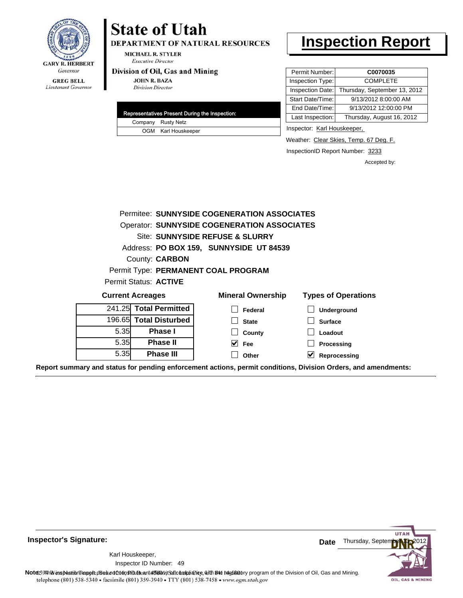

#### **GREG BELL** Lieutenant Governor

# **State of Utah**

DEPARTMENT OF NATURAL RESOURCES

**MICHAEL R. STYLER Executive Director** 

#### Division of Oil, Gas and Mining

**JOHN R. BAZA Division Director** 

|  | Representatives Present During the Inspection: |
|--|------------------------------------------------|
|  | Company Rusty Netz                             |
|  | OGM Karl Houskeeper                            |

### **Inspection Report**

| Permit Number:   | C0070035                     |
|------------------|------------------------------|
| Inspection Type: | <b>COMPLETE</b>              |
| Inspection Date: | Thursday, September 13, 2012 |
| Start Date/Time: | 9/13/2012 8:00:00 AM         |
| End Date/Time:   | 9/13/2012 12:00:00 PM        |
| Last Inspection: | Thursday, August 16, 2012    |
|                  |                              |

Inspector: Karl Houskeeper,

Weather: Clear Skies, Temp. 67 Deg. F.

InspectionID Report Number: 3233

Accepted by:

|                                                    |                         | Permitee: SUNNYSIDE COGENERATION ASSOCIATES |                            |  |  |
|----------------------------------------------------|-------------------------|---------------------------------------------|----------------------------|--|--|
| <b>Operator: SUNNYSIDE COGENERATION ASSOCIATES</b> |                         |                                             |                            |  |  |
|                                                    |                         | Site: SUNNYSIDE REFUSE & SLURRY             |                            |  |  |
|                                                    |                         | Address: PO BOX 159, SUNNYSIDE UT 84539     |                            |  |  |
|                                                    | County: <b>CARBON</b>   |                                             |                            |  |  |
|                                                    |                         | Permit Type: PERMANENT COAL PROGRAM         |                            |  |  |
|                                                    | Permit Status: ACTIVE   |                                             |                            |  |  |
|                                                    | <b>Current Acreages</b> | <b>Mineral Ownership</b>                    | <b>Types of Operations</b> |  |  |
|                                                    | 241.25 Total Permitted  | Federal                                     | Underground                |  |  |
|                                                    | 196.65 Total Disturbed  | <b>State</b>                                | <b>Surface</b>             |  |  |
| 5.35                                               | <b>Phase I</b>          | County                                      | Loadout                    |  |  |
| 5.35                                               | <b>Phase II</b>         | V<br><b>Fee</b>                             | Processing                 |  |  |
| 5.35                                               | <b>Phase III</b>        | Other                                       | Reprocessing               |  |  |

**Report summary and status for pending enforcement actions, permit conditions, Division Orders, and amendments:**

**Inspector's Signature:**

49 Inspector ID Number:Karl Houskeeper,

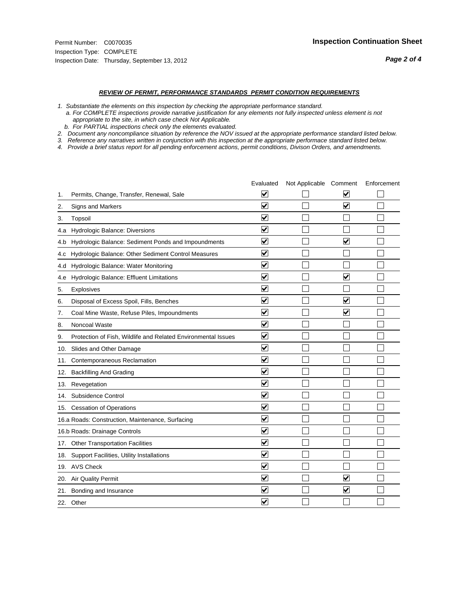#### *REVIEW OF PERMIT, PERFORMANCE STANDARDS PERMIT CONDITION REQUIREMENTS*

*1. Substantiate the elements on this inspection by checking the appropriate performance standard.*

 *a. For COMPLETE inspections provide narrative justification for any elements not fully inspected unless element is not appropriate to the site, in which case check Not Applicable.*

 *b. For PARTIAL inspections check only the elements evaluated.*

*2. Document any noncompliance situation by reference the NOV issued at the appropriate performance standard listed below.*

*3. Reference any narratives written in conjunction with this inspection at the appropriate performace standard listed below.*

*4. Provide a brief status report for all pending enforcement actions, permit conditions, Divison Orders, and amendments.*

|     |                                                               | Evaluated               | Not Applicable Comment |                         | Enforcement |
|-----|---------------------------------------------------------------|-------------------------|------------------------|-------------------------|-------------|
| 1.  | Permits, Change, Transfer, Renewal, Sale                      | $\overline{\mathbf{v}}$ |                        | V                       |             |
| 2.  | Signs and Markers                                             | $\overline{\mathbf{v}}$ |                        | $\blacktriangledown$    |             |
| 3.  | Topsoil                                                       | $\overline{\mathbf{v}}$ |                        |                         |             |
| 4.a | Hydrologic Balance: Diversions                                | $\overline{\mathbf{v}}$ |                        |                         |             |
| 4.b | Hydrologic Balance: Sediment Ponds and Impoundments           | $\blacktriangledown$    |                        | V                       |             |
| 4.C | Hydrologic Balance: Other Sediment Control Measures           | $\overline{\mathbf{v}}$ |                        |                         |             |
| 4.d | Hydrologic Balance: Water Monitoring                          | $\overline{\mathbf{v}}$ |                        |                         |             |
| 4.e | Hydrologic Balance: Effluent Limitations                      | $\overline{\mathbf{v}}$ |                        | $\blacktriangledown$    |             |
| 5.  | <b>Explosives</b>                                             | $\overline{\mathbf{v}}$ |                        |                         |             |
| 6.  | Disposal of Excess Spoil, Fills, Benches                      | $\blacktriangledown$    |                        | $\overline{\mathbf{v}}$ |             |
| 7.  | Coal Mine Waste, Refuse Piles, Impoundments                   | $\overline{\mathbf{v}}$ |                        | $\overline{\mathbf{v}}$ |             |
| 8.  | Noncoal Waste                                                 | $\overline{\mathbf{v}}$ |                        |                         |             |
| 9.  | Protection of Fish, Wildlife and Related Environmental Issues | $\overline{\mathbf{v}}$ |                        |                         |             |
|     | 10. Slides and Other Damage                                   | $\overline{\mathbf{v}}$ |                        |                         |             |
| 11. | Contemporaneous Reclamation                                   | ⊽                       |                        |                         |             |
| 12. | <b>Backfilling And Grading</b>                                | $\overline{\mathbf{v}}$ |                        |                         |             |
| 13. | Revegetation                                                  | $\overline{\mathbf{v}}$ |                        |                         |             |
| 14. | Subsidence Control                                            | $\overline{\mathbf{v}}$ |                        |                         |             |
|     | 15. Cessation of Operations                                   | $\overline{\mathbf{v}}$ |                        |                         |             |
|     | 16.a Roads: Construction, Maintenance, Surfacing              | $\blacktriangledown$    |                        |                         |             |
|     | 16.b Roads: Drainage Controls                                 | $\overline{\mathbf{v}}$ |                        |                         |             |
| 17. | <b>Other Transportation Facilities</b>                        | $\overline{\mathbf{v}}$ |                        |                         |             |
| 18. | Support Facilities, Utility Installations                     | $\overline{\mathbf{v}}$ |                        |                         |             |
|     | 19. AVS Check                                                 | $\overline{\mathbf{v}}$ |                        |                         |             |
| 20. | <b>Air Quality Permit</b>                                     | $\checkmark$            |                        | $\blacktriangledown$    |             |
| 21. | Bonding and Insurance                                         | $\blacktriangledown$    |                        | $\blacktriangledown$    |             |
|     | 22. Other                                                     | $\overline{\mathbf{v}}$ |                        |                         |             |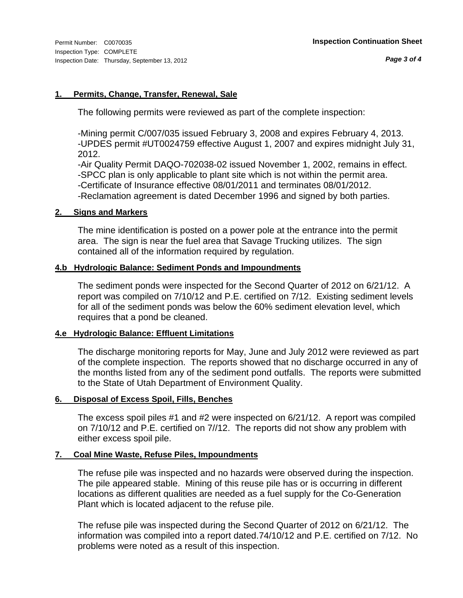#### **1. Permits, Change, Transfer, Renewal, Sale**

The following permits were reviewed as part of the complete inspection:

-Mining permit C/007/035 issued February 3, 2008 and expires February 4, 2013. -UPDES permit #UT0024759 effective August 1, 2007 and expires midnight July 31, 2012.

-Air Quality Permit DAQO-702038-02 issued November 1, 2002, remains in effect. -SPCC plan is only applicable to plant site which is not within the permit area.

-Certificate of Insurance effective 08/01/2011 and terminates 08/01/2012.

-Reclamation agreement is dated December 1996 and signed by both parties.

#### **2. Signs and Markers**

The mine identification is posted on a power pole at the entrance into the permit area. The sign is near the fuel area that Savage Trucking utilizes. The sign contained all of the information required by regulation.

#### **4.b Hydrologic Balance: Sediment Ponds and Impoundments**

The sediment ponds were inspected for the Second Quarter of 2012 on 6/21/12. A report was compiled on 7/10/12 and P.E. certified on 7/12. Existing sediment levels for all of the sediment ponds was below the 60% sediment elevation level, which requires that a pond be cleaned.

#### **4.e Hydrologic Balance: Effluent Limitations**

The discharge monitoring reports for May, June and July 2012 were reviewed as part of the complete inspection. The reports showed that no discharge occurred in any of the months listed from any of the sediment pond outfalls. The reports were submitted to the State of Utah Department of Environment Quality.

#### **6. Disposal of Excess Spoil, Fills, Benches**

The excess spoil piles #1 and #2 were inspected on 6/21/12. A report was compiled on 7/10/12 and P.E. certified on 7//12. The reports did not show any problem with either excess spoil pile.

#### **7. Coal Mine Waste, Refuse Piles, Impoundments**

The refuse pile was inspected and no hazards were observed during the inspection. The pile appeared stable. Mining of this reuse pile has or is occurring in different locations as different qualities are needed as a fuel supply for the Co-Generation Plant which is located adjacent to the refuse pile.

The refuse pile was inspected during the Second Quarter of 2012 on 6/21/12. The information was compiled into a report dated.74/10/12 and P.E. certified on 7/12. No problems were noted as a result of this inspection.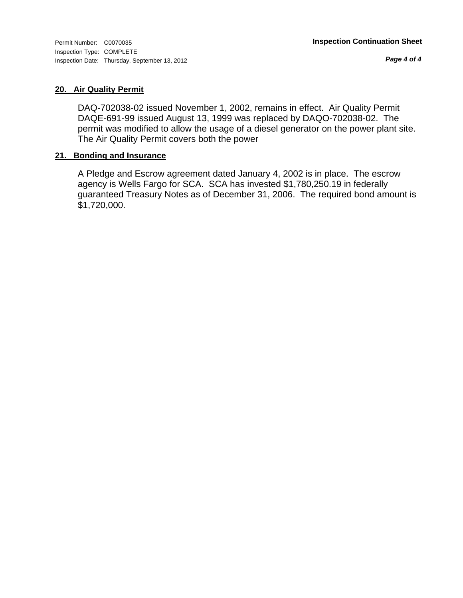*Page 4 of 4*

#### **20. Air Quality Permit**

DAQ-702038-02 issued November 1, 2002, remains in effect. Air Quality Permit DAQE-691-99 issued August 13, 1999 was replaced by DAQO-702038-02. The permit was modified to allow the usage of a diesel generator on the power plant site. The Air Quality Permit covers both the power

#### **21. Bonding and Insurance**

A Pledge and Escrow agreement dated January 4, 2002 is in place. The escrow agency is Wells Fargo for SCA. SCA has invested \$1,780,250.19 in federally guaranteed Treasury Notes as of December 31, 2006. The required bond amount is \$1,720,000.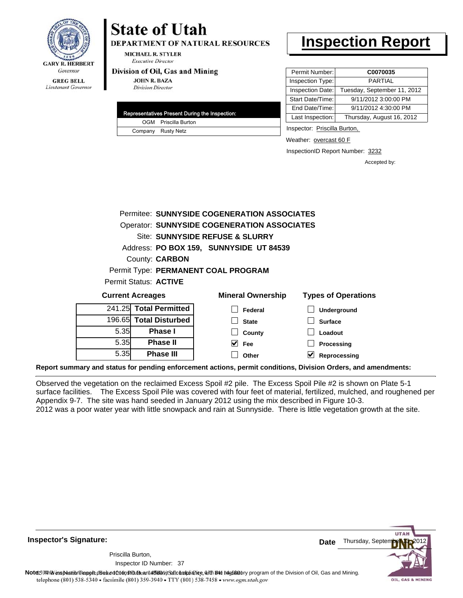

# **State of Utah**

**DEPARTMENT OF NATURAL RESOURCES** 

**MICHAEL R. STYLER Executive Director** 

#### Division of Oil, Gas and Mining

**JOHN R. BAZA Division Director** 

| Representatives Present During the Inspection: |
|------------------------------------------------|
| OGM Priscilla Burton                           |
| Company Rusty Netz                             |

### **Inspection Report**

| Permit Number:   | C0070035                    |
|------------------|-----------------------------|
| Inspection Type: | <b>PARTIAL</b>              |
| Inspection Date: | Tuesday, September 11, 2012 |
| Start Date/Time: | 9/11/2012 3:00:00 PM        |
| End Date/Time:   | 9/11/2012 4:30:00 PM        |
| Last Inspection: | Thursday, August 16, 2012   |

Inspector: Priscilla Burton,

Weather: overcast 60 F

InspectionID Report Number: 3232

**Reprocessing**

Accepted by:

| Permitee: SUNNYSIDE COGENERATION ASSOCIATES |                              |                                                    |                            |  |  |
|---------------------------------------------|------------------------------|----------------------------------------------------|----------------------------|--|--|
|                                             |                              | <b>Operator: SUNNYSIDE COGENERATION ASSOCIATES</b> |                            |  |  |
|                                             |                              | Site: SUNNYSIDE REFUSE & SLURRY                    |                            |  |  |
|                                             |                              | Address: PO BOX 159, SUNNYSIDE UT 84539            |                            |  |  |
|                                             | <b>County: CARBON</b>        |                                                    |                            |  |  |
|                                             |                              | Permit Type: PERMANENT COAL PROGRAM                |                            |  |  |
|                                             | Permit Status: <b>ACTIVE</b> |                                                    |                            |  |  |
|                                             | <b>Current Acreages</b>      | <b>Mineral Ownership</b>                           | <b>Types of Operations</b> |  |  |
|                                             | 241.25 Total Permitted       | Federal                                            | Underground                |  |  |
|                                             | 196.65 Total Disturbed       | <b>State</b>                                       | <b>Surface</b>             |  |  |
| 5.35                                        | Phase I                      | County                                             | Loadout                    |  |  |
| 5.35                                        | <b>Phase II</b>              | $ v $ Fee                                          | Processing                 |  |  |
| 5.35                                        | <b>Phase III</b>             | Other                                              | Reprocessing               |  |  |

**Report summary and status for pending enforcement actions, permit conditions, Division Orders, and amendments:**

Observed the vegetation on the reclaimed Excess Spoil #2 pile. The Excess Spoil Pile #2 is shown on Plate 5-1 surface facilities. The Excess Spoil Pile was covered with four feet of material, fertilized, mulched, and roughened per Appendix 9-7. The site was hand seeded in January 2012 using the mix described in Figure 10-3. 2012 was a poor water year with little snowpack and rain at Sunnyside. There is little vegetation growth at the site.

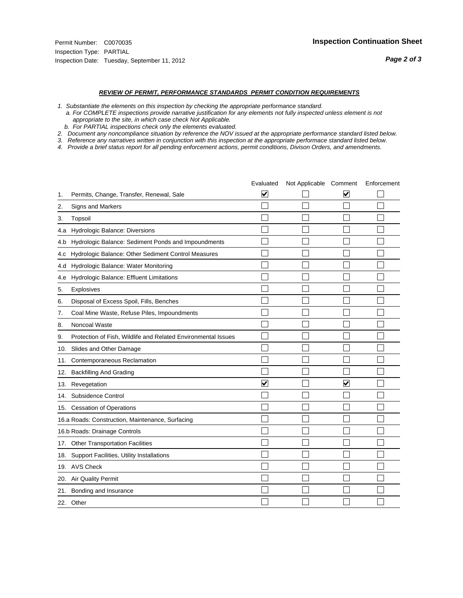#### *REVIEW OF PERMIT, PERFORMANCE STANDARDS PERMIT CONDITION REQUIREMENTS*

- *1. Substantiate the elements on this inspection by checking the appropriate performance standard.*
- *a. For COMPLETE inspections provide narrative justification for any elements not fully inspected unless element is not appropriate to the site, in which case check Not Applicable.*
- *b. For PARTIAL inspections check only the elements evaluated.*
- *2. Document any noncompliance situation by reference the NOV issued at the appropriate performance standard listed below.*
- *3. Reference any narratives written in conjunction with this inspection at the appropriate performace standard listed below.*
- *4. Provide a brief status report for all pending enforcement actions, permit conditions, Divison Orders, and amendments.*

|     |                                                               | Evaluated               | Not Applicable Comment |                         | Enforcement |
|-----|---------------------------------------------------------------|-------------------------|------------------------|-------------------------|-------------|
| 1.  | Permits, Change, Transfer, Renewal, Sale                      | $\overline{\mathsf{v}}$ |                        | V                       |             |
| 2.  | Signs and Markers                                             |                         |                        |                         |             |
| 3.  | Topsoil                                                       |                         |                        |                         |             |
| 4.a | Hydrologic Balance: Diversions                                |                         |                        |                         |             |
| 4.b | Hydrologic Balance: Sediment Ponds and Impoundments           |                         |                        |                         |             |
| 4.c | Hydrologic Balance: Other Sediment Control Measures           |                         |                        |                         |             |
| 4.d | Hydrologic Balance: Water Monitoring                          |                         |                        |                         |             |
| 4.e | Hydrologic Balance: Effluent Limitations                      |                         |                        |                         |             |
| 5.  | <b>Explosives</b>                                             |                         |                        |                         |             |
| 6.  | Disposal of Excess Spoil, Fills, Benches                      |                         |                        |                         |             |
| 7.  | Coal Mine Waste, Refuse Piles, Impoundments                   |                         |                        |                         |             |
| 8.  | Noncoal Waste                                                 |                         |                        |                         |             |
| 9.  | Protection of Fish, Wildlife and Related Environmental Issues |                         |                        |                         |             |
|     | 10. Slides and Other Damage                                   |                         |                        |                         |             |
| 11. | Contemporaneous Reclamation                                   |                         |                        |                         |             |
| 12. | <b>Backfilling And Grading</b>                                |                         |                        |                         |             |
| 13. | Revegetation                                                  | $\overline{\checkmark}$ |                        | $\overline{\mathbf{v}}$ |             |
| 14. | Subsidence Control                                            |                         |                        |                         |             |
|     | 15. Cessation of Operations                                   |                         |                        |                         |             |
|     | 16.a Roads: Construction, Maintenance, Surfacing              |                         |                        |                         |             |
|     | 16.b Roads: Drainage Controls                                 |                         |                        |                         |             |
|     | 17. Other Transportation Facilities                           |                         |                        |                         |             |
| 18. | Support Facilities, Utility Installations                     |                         |                        |                         |             |
|     | 19. AVS Check                                                 |                         |                        |                         |             |
| 20. | Air Quality Permit                                            |                         |                        |                         |             |
| 21. | Bonding and Insurance                                         |                         |                        |                         |             |
|     | 22. Other                                                     |                         |                        |                         |             |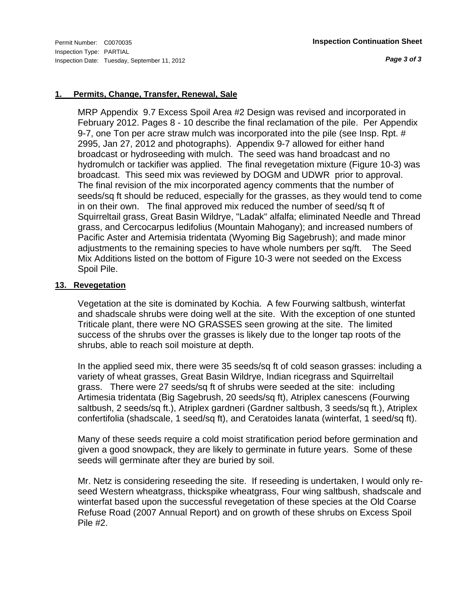*Page 3 of 3*

#### **1. Permits, Change, Transfer, Renewal, Sale**

MRP Appendix 9.7 Excess Spoil Area #2 Design was revised and incorporated in February 2012. Pages 8 - 10 describe the final reclamation of the pile. Per Appendix 9-7, one Ton per acre straw mulch was incorporated into the pile (see Insp. Rpt. # 2995, Jan 27, 2012 and photographs). Appendix 9-7 allowed for either hand broadcast or hydroseeding with mulch. The seed was hand broadcast and no hydromulch or tackifier was applied. The final revegetation mixture (Figure 10-3) was broadcast. This seed mix was reviewed by DOGM and UDWR prior to approval. The final revision of the mix incorporated agency comments that the number of seeds/sq ft should be reduced, especially for the grasses, as they would tend to come in on their own. The final approved mix reduced the number of seed/sq ft of Squirreltail grass, Great Basin Wildrye, "Ladak" alfalfa; eliminated Needle and Thread grass, and Cercocarpus ledifolius (Mountain Mahogany); and increased numbers of Pacific Aster and Artemisia tridentata (Wyoming Big Sagebrush); and made minor adjustments to the remaining species to have whole numbers per sq/ft. The Seed Mix Additions listed on the bottom of Figure 10-3 were not seeded on the Excess Spoil Pile.

#### **13. Revegetation**

Vegetation at the site is dominated by Kochia. A few Fourwing saltbush, winterfat and shadscale shrubs were doing well at the site. With the exception of one stunted Triticale plant, there were NO GRASSES seen growing at the site. The limited success of the shrubs over the grasses is likely due to the longer tap roots of the shrubs, able to reach soil moisture at depth.

In the applied seed mix, there were 35 seeds/sq ft of cold season grasses: including a variety of wheat grasses, Great Basin Wildrye, Indian ricegrass and Squirreltail grass. There were 27 seeds/sq ft of shrubs were seeded at the site: including Artimesia tridentata (Big Sagebrush, 20 seeds/sq ft), Atriplex canescens (Fourwing saltbush, 2 seeds/sq ft.), Atriplex gardneri (Gardner saltbush, 3 seeds/sq ft.), Atriplex confertifolia (shadscale, 1 seed/sq ft), and Ceratoides lanata (winterfat, 1 seed/sq ft).

Many of these seeds require a cold moist stratification period before germination and given a good snowpack, they are likely to germinate in future years. Some of these seeds will germinate after they are buried by soil.

Mr. Netz is considering reseeding the site. If reseeding is undertaken, I would only reseed Western wheatgrass, thickspike wheatgrass, Four wing saltbush, shadscale and winterfat based upon the successful revegetation of these species at the Old Coarse Refuse Road (2007 Annual Report) and on growth of these shrubs on Excess Spoil Pile #2.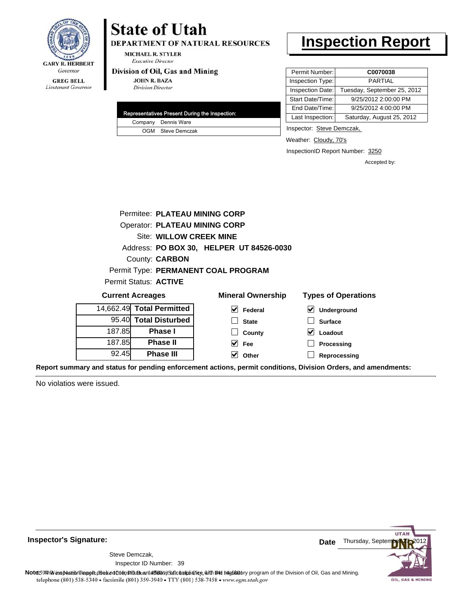

Lieutenant Governor

#### **MICHAEL R. STYLER Executive Director**

#### Division of Oil, Gas and Mining

**State of Utah** 

**JOHN R. BAZA Division Director** 

|  | Representatives Present During the Inspection: |
|--|------------------------------------------------|
|  | Company Dennis Ware                            |
|  | OGM Steve Demczak                              |

DEPARTMENT OF NATURAL RESOURCES

### **Inspection Report**

| Permit Number:   | C0070038                    |
|------------------|-----------------------------|
| Inspection Type: | <b>PARTIAL</b>              |
| Inspection Date: | Tuesday, September 25, 2012 |
| Start Date/Time: | 9/25/2012 2:00:00 PM        |
| End Date/Time:   | 9/25/2012 4:00:00 PM        |
| Last Inspection: | Saturday, August 25, 2012   |

Inspector: Steve Demczak,

Weather: Cloudy, 70's

InspectionID Report Number: 3250

Accepted by:

|        | Permitee: PLATEAU MINING CORP        |                                          |                            |  |  |  |
|--------|--------------------------------------|------------------------------------------|----------------------------|--|--|--|
|        | <b>Operator: PLATEAU MINING CORP</b> |                                          |                            |  |  |  |
|        | Site: WILLOW CREEK MINE              |                                          |                            |  |  |  |
|        |                                      | Address: PO BOX 30, HELPER UT 84526-0030 |                            |  |  |  |
|        | <b>County: CARBON</b>                |                                          |                            |  |  |  |
|        |                                      | Permit Type: PERMANENT COAL PROGRAM      |                            |  |  |  |
|        | Permit Status: ACTIVE                |                                          |                            |  |  |  |
|        | <b>Current Acreages</b>              | <b>Mineral Ownership</b>                 | <b>Types of Operations</b> |  |  |  |
|        | 14,662.49 Total Permitted            | V<br>Federal                             | V<br>Underground           |  |  |  |
|        | 95.40 Total Disturbed                | <b>State</b>                             | <b>Surface</b>             |  |  |  |
| 187.85 | <b>Phase I</b>                       | County                                   | V<br>Loadout               |  |  |  |
| 187.85 | <b>Phase II</b>                      | V<br>Fee                                 | Processing                 |  |  |  |
| 92.45  | <b>Phase III</b>                     | Other                                    | Reprocessing               |  |  |  |

**Report summary and status for pending enforcement actions, permit conditions, Division Orders, and amendments:**

No violatios were issued.



Inspector ID Number: 39 Steve Demczak,



Note: 59 This inspection report does not do an affidavit Suite and Affidavit Constitute and Division of Coli, Gas and Mining.<br>telephone (801) 538-5340 • facsimile (801) 359-3940 • TTY (801) 538-7458 • www.ogm.utah.gov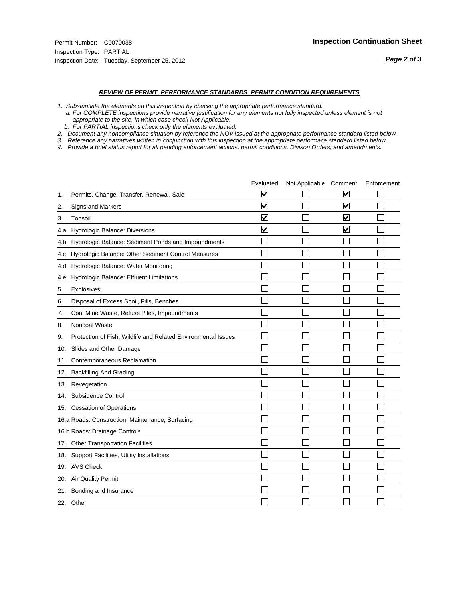#### *REVIEW OF PERMIT, PERFORMANCE STANDARDS PERMIT CONDITION REQUIREMENTS*

- *1. Substantiate the elements on this inspection by checking the appropriate performance standard.*
- *a. For COMPLETE inspections provide narrative justification for any elements not fully inspected unless element is not appropriate to the site, in which case check Not Applicable.*
- *b. For PARTIAL inspections check only the elements evaluated.*
- *2. Document any noncompliance situation by reference the NOV issued at the appropriate performance standard listed below.*
- *3. Reference any narratives written in conjunction with this inspection at the appropriate performace standard listed below.*
- *4. Provide a brief status report for all pending enforcement actions, permit conditions, Divison Orders, and amendments.*

|     |                                                               | Evaluated               | Not Applicable Comment |                         | Enforcement |
|-----|---------------------------------------------------------------|-------------------------|------------------------|-------------------------|-------------|
| 1.  | Permits, Change, Transfer, Renewal, Sale                      | $\overline{\mathbf{v}}$ |                        | V                       |             |
| 2.  | Signs and Markers                                             | $\overline{\mathbf{v}}$ |                        | ☑                       |             |
| 3.  | Topsoil                                                       | $\overline{\mathbf{v}}$ |                        | $\overline{\mathsf{v}}$ |             |
| 4.a | Hydrologic Balance: Diversions                                | ⊻                       |                        | $\blacktriangledown$    |             |
| 4.b | Hydrologic Balance: Sediment Ponds and Impoundments           |                         |                        |                         |             |
| 4.C | Hydrologic Balance: Other Sediment Control Measures           |                         |                        |                         |             |
| 4.d | Hydrologic Balance: Water Monitoring                          |                         |                        |                         |             |
| 4.e | Hydrologic Balance: Effluent Limitations                      |                         |                        |                         |             |
| 5.  | <b>Explosives</b>                                             |                         |                        |                         |             |
| 6.  | Disposal of Excess Spoil, Fills, Benches                      |                         |                        |                         |             |
| 7.  | Coal Mine Waste, Refuse Piles, Impoundments                   |                         |                        |                         |             |
| 8.  | Noncoal Waste                                                 |                         |                        |                         |             |
| 9.  | Protection of Fish, Wildlife and Related Environmental Issues |                         |                        |                         |             |
|     | 10. Slides and Other Damage                                   |                         |                        |                         |             |
| 11. | Contemporaneous Reclamation                                   |                         |                        |                         |             |
| 12. | <b>Backfilling And Grading</b>                                |                         |                        |                         |             |
| 13. | Revegetation                                                  |                         |                        |                         |             |
| 14. | Subsidence Control                                            |                         |                        |                         |             |
|     | 15. Cessation of Operations                                   |                         |                        |                         |             |
|     | 16.a Roads: Construction, Maintenance, Surfacing              |                         |                        |                         |             |
|     | 16.b Roads: Drainage Controls                                 |                         |                        |                         |             |
| 17. | <b>Other Transportation Facilities</b>                        |                         |                        |                         |             |
| 18. | Support Facilities, Utility Installations                     |                         |                        |                         |             |
|     | 19. AVS Check                                                 |                         |                        |                         |             |
| 20. | <b>Air Quality Permit</b>                                     |                         |                        |                         |             |
|     | 21. Bonding and Insurance                                     |                         |                        |                         |             |
|     | 22. Other                                                     |                         |                        |                         |             |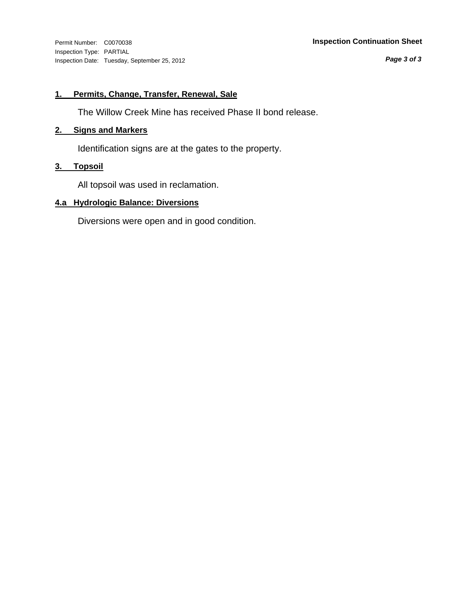Inspection Type: PARTIAL Inspection Date: Tuesday, September 25, 2012

*Page 3 of 3*

#### **1. Permits, Change, Transfer, Renewal, Sale**

The Willow Creek Mine has received Phase II bond release.

#### **2. Signs and Markers**

Identification signs are at the gates to the property.

### **3. Topsoil**

All topsoil was used in reclamation.

#### **4.a Hydrologic Balance: Diversions**

Diversions were open and in good condition.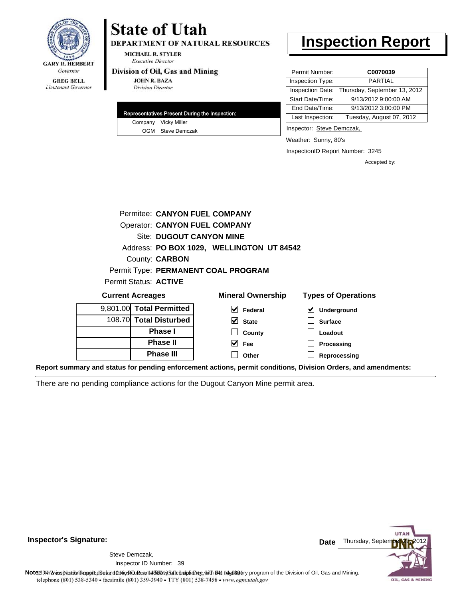

Lieutenant Governor

# **State of Utah**

**DEPARTMENT OF NATURAL RESOURCES** 

**MICHAEL R. STYLER Executive Director** 

#### Division of Oil, Gas and Mining

**JOHN R. BAZA Division Director** 

|  | Representatives Present During the Inspection: |
|--|------------------------------------------------|
|  | Company Vicky Miller                           |
|  | OGM Steve Demczak                              |

### **Inspection Report**

| Permit Number:   | C0070039                     |
|------------------|------------------------------|
| Inspection Type: | <b>PARTIAL</b>               |
| Inspection Date: | Thursday, September 13, 2012 |
| Start Date/Time: | 9/13/2012 9:00:00 AM         |
| End Date/Time:   | 9/13/2012 3:00:00 PM         |
| Last Inspection: | Tuesday, August 07, 2012     |

Inspector: Steve Demczak,

Weather: Sunny, 80's

InspectionID Report Number: 3245

Accepted by:

|                         | Permitee: CANYON FUEL COMPANY             |   |                          |                                            |  |
|-------------------------|-------------------------------------------|---|--------------------------|--------------------------------------------|--|
|                         | <b>Operator: CANYON FUEL COMPANY</b>      |   |                          |                                            |  |
|                         | <b>Site: DUGOUT CANYON MINE</b>           |   |                          |                                            |  |
|                         | Address: PO BOX 1029, WELLINGTON UT 84542 |   |                          |                                            |  |
|                         | County: <b>CARBON</b>                     |   |                          |                                            |  |
|                         | Permit Type: PERMANENT COAL PROGRAM       |   |                          |                                            |  |
|                         | Permit Status: ACTIVE                     |   |                          |                                            |  |
| <b>Current Acreages</b> |                                           |   | <b>Mineral Ownership</b> | <b>Types of Operations</b>                 |  |
|                         | 9,801.00 Total Permitted                  | V | Federal                  | $\vert\bm{\checkmark}\vert$<br>Underground |  |
|                         | 108.70 Total Disturbed                    | V | <b>State</b>             | <b>Surface</b>                             |  |

**County Fee Other**

| 9,001.00 <b>TOtal Permitted</b> |
|---------------------------------|
| 108.70 Total Disturbed          |
| <b>Phase I</b>                  |
| <b>Phase II</b>                 |
| <b>Phase III</b>                |

**Surface Loadout Processing**

**Reprocessing**

**Report summary and status for pending enforcement actions, permit conditions, Division Orders, and amendments:**

There are no pending compliance actions for the Dugout Canyon Mine permit area.



**Inspector's Signature:**

Inspector ID Number: 39 Steve Demczak,

Note: 59 This inspection report does not do an affidavit Suite and Affidavit Constitute and Division of Coli, Gas and Mining.<br>telephone (801) 538-5340 • facsimile (801) 359-3940 • TTY (801) 538-7458 • www.ogm.utah.gov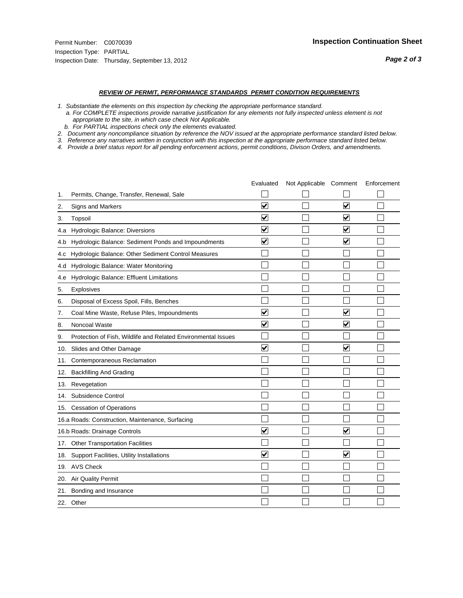#### *REVIEW OF PERMIT, PERFORMANCE STANDARDS PERMIT CONDITION REQUIREMENTS*

*1. Substantiate the elements on this inspection by checking the appropriate performance standard.*

 *a. For COMPLETE inspections provide narrative justification for any elements not fully inspected unless element is not appropriate to the site, in which case check Not Applicable.*

 *b. For PARTIAL inspections check only the elements evaluated.*

*2. Document any noncompliance situation by reference the NOV issued at the appropriate performance standard listed below.*

*3. Reference any narratives written in conjunction with this inspection at the appropriate performace standard listed below.*

*4. Provide a brief status report for all pending enforcement actions, permit conditions, Divison Orders, and amendments.*

|     |                                                               | Evaluated               | Not Applicable Comment |                         | Enforcement |
|-----|---------------------------------------------------------------|-------------------------|------------------------|-------------------------|-------------|
| 1.  | Permits, Change, Transfer, Renewal, Sale                      |                         |                        |                         |             |
| 2.  | <b>Signs and Markers</b>                                      | $\overline{\mathbf{v}}$ |                        | $\overline{\mathbf{v}}$ |             |
| 3.  | Topsoil                                                       | $\overline{\mathbf{v}}$ |                        | $\overline{\mathbf{v}}$ |             |
| 4.a | Hydrologic Balance: Diversions                                | ⊽                       |                        | $\blacktriangledown$    |             |
| 4.b | Hydrologic Balance: Sediment Ponds and Impoundments           | $\blacktriangledown$    |                        | ⊻                       |             |
| 4.C | Hydrologic Balance: Other Sediment Control Measures           |                         |                        |                         |             |
| 4.d | Hydrologic Balance: Water Monitoring                          |                         |                        |                         |             |
| 4.e | Hydrologic Balance: Effluent Limitations                      |                         |                        |                         |             |
| 5.  | Explosives                                                    |                         |                        |                         |             |
| 6.  | Disposal of Excess Spoil, Fills, Benches                      |                         |                        |                         |             |
| 7.  | Coal Mine Waste, Refuse Piles, Impoundments                   | $\overline{\mathbf{v}}$ |                        | $\overline{\mathbf{v}}$ |             |
| 8.  | Noncoal Waste                                                 | $\overline{\mathbf{v}}$ |                        | $\overline{\mathbf{v}}$ |             |
| 9.  | Protection of Fish, Wildlife and Related Environmental Issues |                         |                        |                         |             |
|     | 10. Slides and Other Damage                                   | $\blacktriangledown$    |                        | $\overline{\mathbf{v}}$ |             |
| 11. | Contemporaneous Reclamation                                   |                         |                        |                         |             |
| 12. | <b>Backfilling And Grading</b>                                |                         |                        |                         |             |
| 13. | Revegetation                                                  |                         |                        |                         |             |
| 14. | Subsidence Control                                            |                         |                        |                         |             |
|     | 15. Cessation of Operations                                   |                         |                        |                         |             |
|     | 16.a Roads: Construction, Maintenance, Surfacing              |                         |                        |                         |             |
|     | 16.b Roads: Drainage Controls                                 | ⊽                       |                        | V                       |             |
|     | 17. Other Transportation Facilities                           |                         |                        |                         |             |
| 18. | Support Facilities, Utility Installations                     | $\overline{\mathsf{v}}$ |                        | $\overline{\mathbf{v}}$ |             |
|     | 19. AVS Check                                                 |                         |                        |                         |             |
| 20. | Air Quality Permit                                            |                         |                        |                         |             |
|     | 21. Bonding and Insurance                                     |                         |                        |                         |             |
|     | 22. Other                                                     |                         |                        |                         |             |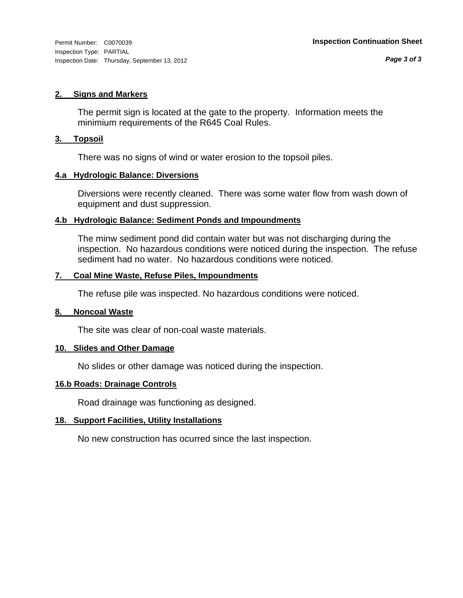#### **2. Signs and Markers**

The permit sign is located at the gate to the property. Information meets the minimium requirements of the R645 Coal Rules.

#### **3. Topsoil**

There was no signs of wind or water erosion to the topsoil piles.

#### **4.a Hydrologic Balance: Diversions**

Diversions were recently cleaned. There was some water flow from wash down of equipment and dust suppression.

#### **4.b Hydrologic Balance: Sediment Ponds and Impoundments**

The minw sediment pond did contain water but was not discharging during the inspection. No hazardous conditions were noticed during the inspection. The refuse sediment had no water. No hazardous conditions were noticed.

#### **7. Coal Mine Waste, Refuse Piles, Impoundments**

The refuse pile was inspected. No hazardous conditions were noticed.

#### **8. Noncoal Waste**

The site was clear of non-coal waste materials.

#### **10. Slides and Other Damage**

No slides or other damage was noticed during the inspection.

#### **16.b Roads: Drainage Controls**

Road drainage was functioning as designed.

#### **18. Support Facilities, Utility Installations**

No new construction has ocurred since the last inspection.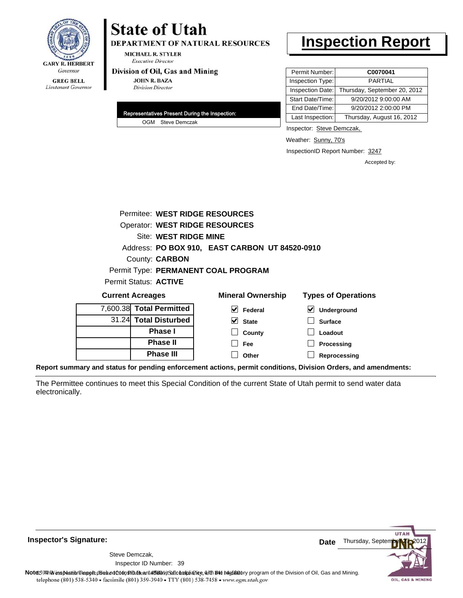

# **State of Utah**

DEPARTMENT OF NATURAL RESOURCES

**MICHAEL R. STYLER Executive Director** 

#### Division of Oil, Gas and Mining

**JOHN R. BAZA Division Director** 

| Representatives Present During the Inspection: |                   |  |  |
|------------------------------------------------|-------------------|--|--|
|                                                | OGM Steve Demczak |  |  |

### **Inspection Report**

| Permit Number:   | C0070041                     |
|------------------|------------------------------|
| Inspection Type: | <b>PARTIAL</b>               |
| Inspection Date: | Thursday, September 20, 2012 |
| Start Date/Time: | 9/20/2012 9:00:00 AM         |
| End Date/Time:   | 9/20/2012 2:00:00 PM         |
| Last Inspection: | Thursday, August 16, 2012    |

Inspector: Steve Demczak,

Weather: Sunny, 70's

InspectionID Report Number: 3247

Accepted by:

|                          |                       | Permitee: WEST RIDGE RESOURCES                 |                            |
|--------------------------|-----------------------|------------------------------------------------|----------------------------|
|                          |                       | <b>Operator: WEST RIDGE RESOURCES</b>          |                            |
|                          | Site: WEST RIDGE MINE |                                                |                            |
|                          |                       | Address: PO BOX 910, EAST CARBON UT 84520-0910 |                            |
|                          | County: <b>CARBON</b> |                                                |                            |
|                          |                       | Permit Type: PERMANENT COAL PROGRAM            |                            |
| Permit Status: ACTIVE    |                       |                                                |                            |
| <b>Current Acreages</b>  |                       | <b>Mineral Ownership</b>                       | <b>Types of Operations</b> |
| 7,600.38 Total Permitted |                       | Federal                                        | <b>Underground</b>         |

**Fee Other**

| 7,600.38 Total Permitted |
|--------------------------|
| 31.24 Total Disturbed    |
| Phase I                  |
| <b>Phase II</b>          |
| <b>Phase III</b>         |

| $\blacktriangleright$ Federal | $\nabla$ Undergr |
|-------------------------------|------------------|
| $\sqrt{\phantom{a}}$ State    | $\Box$ Surface   |
| $\Box$ County                 | $\Box$ Loadout   |
| $\parallel$ Fee               | $\Box$ Process   |

**Loadout Processing**

**Reprocessing**

**Report summary and status for pending enforcement actions, permit conditions, Division Orders, and amendments:**

The Permittee continues to meet this Special Condition of the current State of Utah permit to send water data electronically.



**Inspector's Signature:**

Inspector ID Number: 39 Steve Demczak,

Note: This inspection report does not constitute and affidavit for compliance, with the regulatory program of the Division of Oil, Gas and Mining. telephone (801) 538-5340 · facsimile (801) 359-3940 · TTY (801) 538-7458 · www.ogm.utah.gov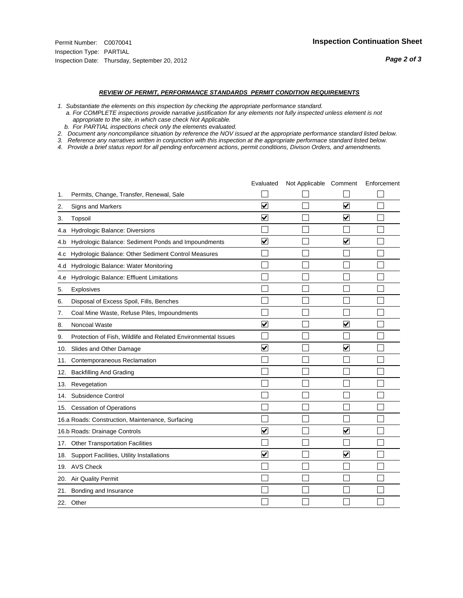#### *REVIEW OF PERMIT, PERFORMANCE STANDARDS PERMIT CONDITION REQUIREMENTS*

*1. Substantiate the elements on this inspection by checking the appropriate performance standard.*

 *a. For COMPLETE inspections provide narrative justification for any elements not fully inspected unless element is not appropriate to the site, in which case check Not Applicable.*

 *b. For PARTIAL inspections check only the elements evaluated.*

*2. Document any noncompliance situation by reference the NOV issued at the appropriate performance standard listed below.*

*3. Reference any narratives written in conjunction with this inspection at the appropriate performace standard listed below.*

*4. Provide a brief status report for all pending enforcement actions, permit conditions, Divison Orders, and amendments.*

|     |                                                               | Evaluated               | Not Applicable Comment |                         | Enforcement |
|-----|---------------------------------------------------------------|-------------------------|------------------------|-------------------------|-------------|
| 1.  | Permits, Change, Transfer, Renewal, Sale                      |                         |                        |                         |             |
| 2.  | Signs and Markers                                             | $\overline{\mathbf{v}}$ |                        | $\overline{\mathbf{v}}$ |             |
| 3.  | Topsoil                                                       | $\overline{\mathbf{v}}$ |                        | $\overline{\mathsf{v}}$ |             |
| 4.a | Hydrologic Balance: Diversions                                |                         |                        |                         |             |
| 4.b | Hydrologic Balance: Sediment Ponds and Impoundments           | V                       |                        | V                       |             |
| 4.c | Hydrologic Balance: Other Sediment Control Measures           |                         |                        |                         |             |
| 4.d | Hydrologic Balance: Water Monitoring                          |                         |                        |                         |             |
| 4.e | Hydrologic Balance: Effluent Limitations                      |                         |                        |                         |             |
| 5.  | <b>Explosives</b>                                             |                         |                        |                         |             |
| 6.  | Disposal of Excess Spoil, Fills, Benches                      |                         |                        |                         |             |
| 7.  | Coal Mine Waste, Refuse Piles, Impoundments                   |                         |                        |                         |             |
| 8.  | Noncoal Waste                                                 | $\overline{\mathsf{v}}$ |                        | V                       |             |
| 9.  | Protection of Fish, Wildlife and Related Environmental Issues |                         |                        |                         |             |
|     | 10. Slides and Other Damage                                   | $\blacktriangledown$    |                        | ✓                       |             |
| 11. | Contemporaneous Reclamation                                   |                         |                        |                         |             |
| 12. | <b>Backfilling And Grading</b>                                |                         |                        |                         |             |
| 13. | Revegetation                                                  |                         |                        |                         |             |
| 14. | Subsidence Control                                            |                         |                        |                         |             |
|     | 15. Cessation of Operations                                   |                         |                        |                         |             |
|     | 16.a Roads: Construction, Maintenance, Surfacing              |                         |                        |                         |             |
|     | 16.b Roads: Drainage Controls                                 | $\blacktriangledown$    |                        | $\overline{\mathbf{v}}$ |             |
| 17. | <b>Other Transportation Facilities</b>                        |                         |                        |                         |             |
| 18. | Support Facilities, Utility Installations                     | $\overline{\mathbf{v}}$ |                        | $\blacktriangledown$    |             |
|     | 19. AVS Check                                                 |                         |                        |                         |             |
| 20. | Air Quality Permit                                            |                         |                        |                         |             |
| 21. | Bonding and Insurance                                         |                         |                        |                         |             |
|     | 22. Other                                                     |                         |                        |                         |             |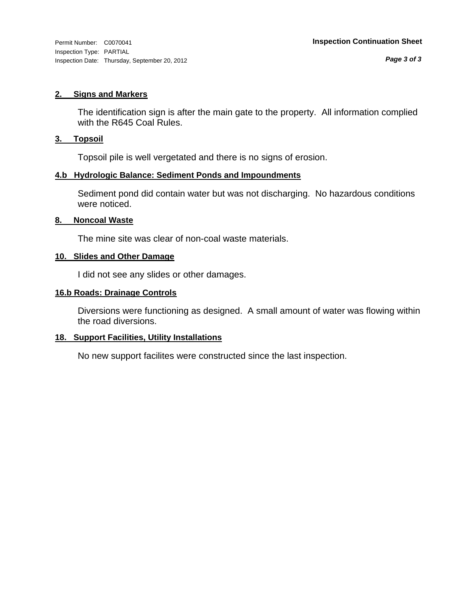#### **2. Signs and Markers**

The identification sign is after the main gate to the property. All information complied with the R645 Coal Rules.

#### **3. Topsoil**

Topsoil pile is well vergetated and there is no signs of erosion.

#### **4.b Hydrologic Balance: Sediment Ponds and Impoundments**

Sediment pond did contain water but was not discharging. No hazardous conditions were noticed.

#### **8. Noncoal Waste**

The mine site was clear of non-coal waste materials.

#### **10. Slides and Other Damage**

I did not see any slides or other damages.

#### **16.b Roads: Drainage Controls**

Diversions were functioning as designed. A small amount of water was flowing within the road diversions.

#### **18. Support Facilities, Utility Installations**

No new support facilites were constructed since the last inspection.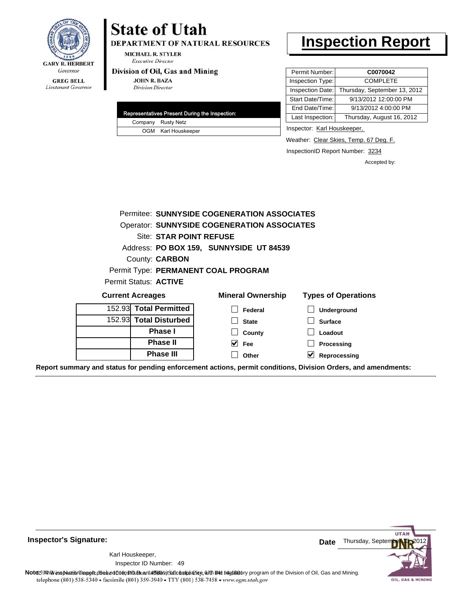

#### **MICHAEL R. STYLER Executive Director**

#### Division of Oil, Gas and Mining

**JOHN R. BAZA** 

**Division Director** 

**State of Utah** 

Lieutenant Governor

| Representatives Present During the Inspection: |
|------------------------------------------------|
| Company Rusty Netz                             |

DEPARTMENT OF NATURAL RESOURCES

OGM Karl Houskeeper

### **Inspection Report**

| Permit Number:   | C0070042                     |
|------------------|------------------------------|
| Inspection Type: | <b>COMPLETE</b>              |
| Inspection Date: | Thursday, September 13, 2012 |
| Start Date/Time: | 9/13/2012 12:00:00 PM        |
| End Date/Time:   | 9/13/2012 4:00:00 PM         |
| Last Inspection: | Thursday, August 16, 2012    |

Inspector: Karl Houskeeper,

Weather: Clear Skies, Temp. 67 Deg. F.

InspectionID Report Number: 3234

Accepted by:

|                                                    | Permitee: SUNNYSIDE COGENERATION ASSOCIATES |                            |  |  |  |
|----------------------------------------------------|---------------------------------------------|----------------------------|--|--|--|
| <b>Operator: SUNNYSIDE COGENERATION ASSOCIATES</b> |                                             |                            |  |  |  |
| Site: STAR POINT REFUSE                            |                                             |                            |  |  |  |
|                                                    | Address: PO BOX 159, SUNNYSIDE UT 84539     |                            |  |  |  |
| County: <b>CARBON</b>                              |                                             |                            |  |  |  |
|                                                    | Permit Type: PERMANENT COAL PROGRAM         |                            |  |  |  |
| Permit Status: ACTIVE                              |                                             |                            |  |  |  |
| <b>Current Acreages</b>                            | <b>Mineral Ownership</b>                    | <b>Types of Operations</b> |  |  |  |
| 152.93 Total Permitted                             | Federal                                     | <b>Underground</b>         |  |  |  |
| 152.93 Total Disturbed                             | <b>State</b>                                | <b>Surface</b>             |  |  |  |
| <b>Phase I</b>                                     | County                                      | Loadout                    |  |  |  |
| <b>Phase II</b>                                    | <b>Fee</b>                                  | Processing                 |  |  |  |
| <b>Phase III</b>                                   | Other                                       | Reprocessing               |  |  |  |

**Report summary and status for pending enforcement actions, permit conditions, Division Orders, and amendments:**

**Inspector's Signature:**

49 Inspector ID Number:Karl Houskeeper,



**Note**:59 This inspection report disean of constitute and affidavit Saft compliance, with the desidatory program of the Division of Oil, Gas and Mining. telephone (801) 538-5340 · facsimile (801) 359-3940 · TTY (801) 538-7458 · www.ogm.utah.gov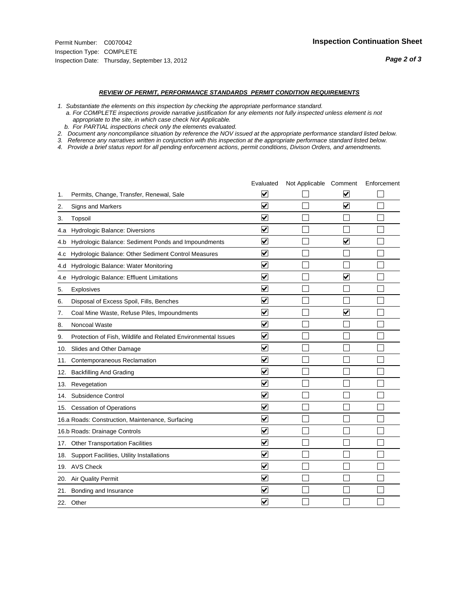#### *REVIEW OF PERMIT, PERFORMANCE STANDARDS PERMIT CONDITION REQUIREMENTS*

*1. Substantiate the elements on this inspection by checking the appropriate performance standard.*

 *a. For COMPLETE inspections provide narrative justification for any elements not fully inspected unless element is not appropriate to the site, in which case check Not Applicable.*

 *b. For PARTIAL inspections check only the elements evaluated.*

*2. Document any noncompliance situation by reference the NOV issued at the appropriate performance standard listed below.*

*3. Reference any narratives written in conjunction with this inspection at the appropriate performace standard listed below.*

*4. Provide a brief status report for all pending enforcement actions, permit conditions, Divison Orders, and amendments.*

|     |                                                               | Evaluated               | Not Applicable Comment |                         | Enforcement |
|-----|---------------------------------------------------------------|-------------------------|------------------------|-------------------------|-------------|
| 1.  | Permits, Change, Transfer, Renewal, Sale                      | $\overline{\mathbf{v}}$ |                        | V                       |             |
| 2.  | Signs and Markers                                             | $\overline{\mathbf{v}}$ |                        | $\blacktriangledown$    |             |
| 3.  | Topsoil                                                       | $\overline{\mathbf{v}}$ |                        |                         |             |
| 4.a | Hydrologic Balance: Diversions                                | $\blacktriangledown$    |                        |                         |             |
| 4.b | Hydrologic Balance: Sediment Ponds and Impoundments           | $\blacktriangledown$    |                        | V                       |             |
| 4.C | Hydrologic Balance: Other Sediment Control Measures           | $\overline{\mathbf{v}}$ |                        |                         |             |
| 4.d | Hydrologic Balance: Water Monitoring                          | $\overline{\mathbf{v}}$ |                        |                         |             |
| 4.e | Hydrologic Balance: Effluent Limitations                      | $\overline{\mathbf{v}}$ |                        | $\blacktriangledown$    |             |
| 5.  | <b>Explosives</b>                                             | $\overline{\mathbf{v}}$ |                        |                         |             |
| 6.  | Disposal of Excess Spoil, Fills, Benches                      | $\blacktriangledown$    |                        |                         |             |
| 7.  | Coal Mine Waste, Refuse Piles, Impoundments                   | $\overline{\mathsf{v}}$ |                        | $\overline{\mathbf{v}}$ |             |
| 8.  | Noncoal Waste                                                 | $\overline{\mathbf{v}}$ |                        |                         |             |
| 9.  | Protection of Fish, Wildlife and Related Environmental Issues | $\overline{\mathbf{v}}$ |                        |                         |             |
|     | 10. Slides and Other Damage                                   | $\overline{\mathbf{v}}$ |                        |                         |             |
| 11. | Contemporaneous Reclamation                                   | ⊽                       |                        |                         |             |
| 12. | <b>Backfilling And Grading</b>                                | $\overline{\mathbf{v}}$ |                        |                         |             |
| 13. | Revegetation                                                  | $\overline{\mathbf{v}}$ |                        |                         |             |
| 14. | Subsidence Control                                            | $\overline{\mathbf{v}}$ |                        |                         |             |
|     | 15. Cessation of Operations                                   | $\overline{\mathbf{v}}$ |                        |                         |             |
|     | 16.a Roads: Construction, Maintenance, Surfacing              | $\blacktriangledown$    |                        |                         |             |
|     | 16.b Roads: Drainage Controls                                 | $\overline{\mathbf{v}}$ |                        |                         |             |
| 17. | <b>Other Transportation Facilities</b>                        | $\overline{\mathbf{v}}$ |                        |                         |             |
| 18. | Support Facilities, Utility Installations                     | $\overline{\mathbf{v}}$ |                        |                         |             |
|     | 19. AVS Check                                                 | $\overline{\mathbf{v}}$ |                        |                         |             |
| 20. | <b>Air Quality Permit</b>                                     | $\checkmark$            |                        |                         |             |
| 21. | Bonding and Insurance                                         | V                       |                        |                         |             |
|     | 22. Other                                                     | $\blacktriangledown$    |                        |                         |             |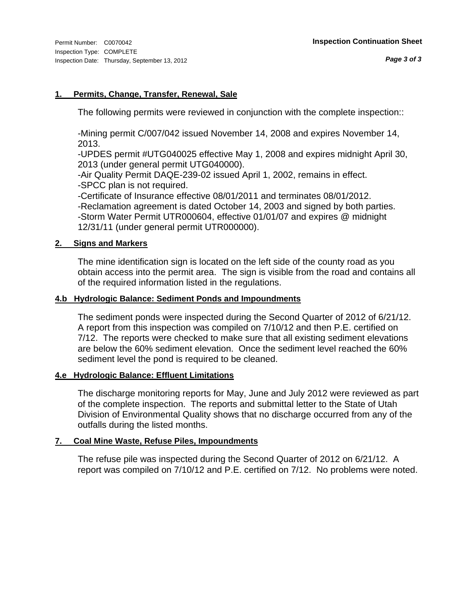#### **1. Permits, Change, Transfer, Renewal, Sale**

The following permits were reviewed in conjunction with the complete inspection::

-Mining permit C/007/042 issued November 14, 2008 and expires November 14, 2013.

-UPDES permit #UTG040025 effective May 1, 2008 and expires midnight April 30, 2013 (under general permit UTG040000).

-Air Quality Permit DAQE-239-02 issued April 1, 2002, remains in effect. -SPCC plan is not required.

-Certificate of Insurance effective 08/01/2011 and terminates 08/01/2012.

-Reclamation agreement is dated October 14, 2003 and signed by both parties. -Storm Water Permit UTR000604, effective 01/01/07 and expires @ midnight

12/31/11 (under general permit UTR000000).

#### **2. Signs and Markers**

The mine identification sign is located on the left side of the county road as you obtain access into the permit area. The sign is visible from the road and contains all of the required information listed in the regulations.

#### **4.b Hydrologic Balance: Sediment Ponds and Impoundments**

The sediment ponds were inspected during the Second Quarter of 2012 of 6/21/12. A report from this inspection was compiled on 7/10/12 and then P.E. certified on 7/12. The reports were checked to make sure that all existing sediment elevations are below the 60% sediment elevation. Once the sediment level reached the 60% sediment level the pond is required to be cleaned.

#### **4.e Hydrologic Balance: Effluent Limitations**

The discharge monitoring reports for May, June and July 2012 were reviewed as part of the complete inspection. The reports and submittal letter to the State of Utah Division of Environmental Quality shows that no discharge occurred from any of the outfalls during the listed months.

### **7. Coal Mine Waste, Refuse Piles, Impoundments**

The refuse pile was inspected during the Second Quarter of 2012 on 6/21/12. A report was compiled on 7/10/12 and P.E. certified on 7/12. No problems were noted.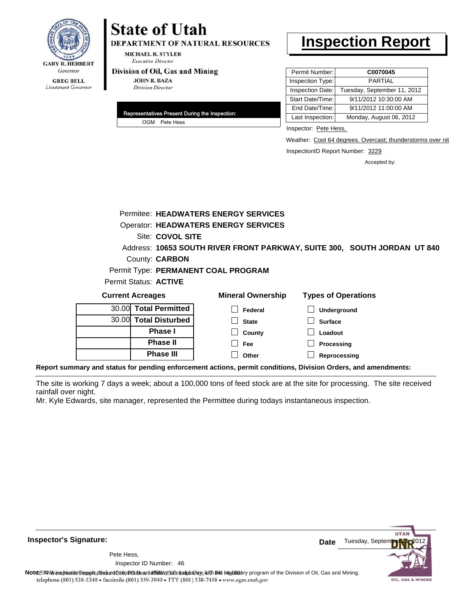

# **State of Utah**

**DEPARTMENT OF NATURAL RESOURCES** 

**MICHAEL R. STYLER Executive Director** 

#### Division of Oil, Gas and Mining

**JOHN R. BAZA Division Director** 

| Representatives Present During the Inspection: |  |
|------------------------------------------------|--|
| OGM Pete Hess                                  |  |

### **Inspection Report**

| Permit Number:   | C0070045                    |
|------------------|-----------------------------|
| Inspection Type: | <b>PARTIAL</b>              |
| Inspection Date: | Tuesday, September 11, 2012 |
| Start Date/Time: | 9/11/2012 10:30:00 AM       |
| End Date/Time:   | 9/11/2012 11:00:00 AM       |
| Last Inspection: | Monday, August 06, 2012     |

Inspector: Pete Hess,

Weather: Cool 64 degrees. Overcast; thunderstorms over nit

InspectionID Report Number: 3229

Accepted by:

|                         | Permitee: HEADWATERS ENERGY SERVICES                                     |                            |  |
|-------------------------|--------------------------------------------------------------------------|----------------------------|--|
|                         | <b>Operator: HEADWATERS ENERGY SERVICES</b>                              |                            |  |
| Site: COVOL SITE        |                                                                          |                            |  |
|                         | Address: 10653 SOUTH RIVER FRONT PARKWAY, SUITE 300, SOUTH JORDAN UT 840 |                            |  |
| County: <b>CARBON</b>   |                                                                          |                            |  |
|                         | Permit Type: PERMANENT COAL PROGRAM                                      |                            |  |
| Permit Status: ACTIVE   |                                                                          |                            |  |
| <b>Current Acreages</b> | <b>Mineral Ownership</b>                                                 | <b>Types of Operations</b> |  |
| 30.00 Total Permitted   | Federal                                                                  | <b>Underground</b>         |  |
| 30.00 Total Disturbed   | <b>State</b>                                                             | <b>Surface</b>             |  |
| Phase I                 | County                                                                   | Loadout                    |  |
| <b>Phase II</b>         | <b>Fee</b>                                                               | Processing                 |  |
| <b>Phase III</b>        | Other                                                                    | Reprocessing               |  |

**Report summary and status for pending enforcement actions, permit conditions, Division Orders, and amendments:**

The site is working 7 days a week; about a 100,000 tons of feed stock are at the site for processing. The site received rainfall over night.

Mr. Kyle Edwards, site manager, represented the Permittee during todays instantaneous inspection.



**Inspector's Signature:**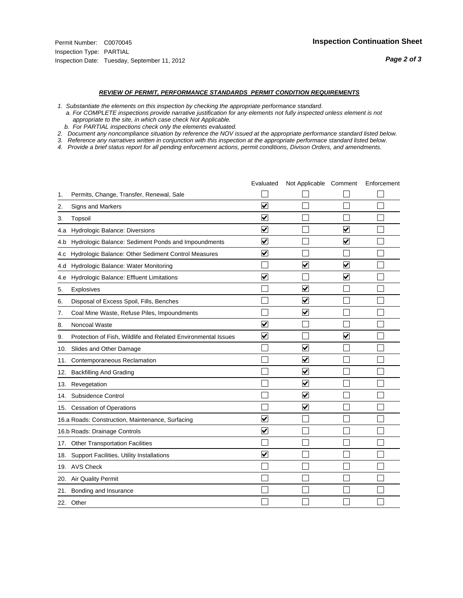#### *REVIEW OF PERMIT, PERFORMANCE STANDARDS PERMIT CONDITION REQUIREMENTS*

*1. Substantiate the elements on this inspection by checking the appropriate performance standard.*

 *a. For COMPLETE inspections provide narrative justification for any elements not fully inspected unless element is not appropriate to the site, in which case check Not Applicable.*

 *b. For PARTIAL inspections check only the elements evaluated.*

*2. Document any noncompliance situation by reference the NOV issued at the appropriate performance standard listed below.*

*3. Reference any narratives written in conjunction with this inspection at the appropriate performace standard listed below.*

*4. Provide a brief status report for all pending enforcement actions, permit conditions, Divison Orders, and amendments.*

|     |                                                               | Evaluated               | Not Applicable Comment          |                      | Enforcement |
|-----|---------------------------------------------------------------|-------------------------|---------------------------------|----------------------|-------------|
| 1.  | Permits, Change, Transfer, Renewal, Sale                      |                         |                                 |                      |             |
| 2.  | Signs and Markers                                             | $\overline{\mathbf{v}}$ |                                 |                      |             |
| 3.  | Topsoil                                                       | $\overline{\mathbf{v}}$ |                                 |                      |             |
| 4.a | Hydrologic Balance: Diversions                                | $\blacktriangledown$    |                                 | $\blacktriangledown$ |             |
| 4.b | Hydrologic Balance: Sediment Ponds and Impoundments           | $\blacktriangledown$    |                                 | $\blacktriangledown$ |             |
| 4.C | Hydrologic Balance: Other Sediment Control Measures           | $\checkmark$            |                                 |                      |             |
| 4.d | Hydrologic Balance: Water Monitoring                          |                         | ✓                               | $\blacktriangledown$ |             |
| 4.e | Hydrologic Balance: Effluent Limitations                      | $\overline{\mathbf{v}}$ |                                 | $\blacktriangledown$ |             |
| 5.  | Explosives                                                    |                         | $\overline{\mathbf{v}}$         |                      |             |
| 6.  | Disposal of Excess Spoil, Fills, Benches                      |                         | $\blacktriangledown$            |                      |             |
| 7.  | Coal Mine Waste, Refuse Piles, Impoundments                   |                         | $\blacktriangledown$            |                      |             |
| 8.  | Noncoal Waste                                                 | $\overline{\mathsf{v}}$ |                                 |                      |             |
| 9.  | Protection of Fish, Wildlife and Related Environmental Issues | $\blacktriangledown$    |                                 | ✓                    |             |
| 10. | Slides and Other Damage                                       |                         | $\overline{\mathsf{v}}$         |                      |             |
| 11. | Contemporaneous Reclamation                                   |                         | ⊻                               |                      |             |
| 12. | <b>Backfilling And Grading</b>                                |                         | $\overline{\mathbf{v}}$         |                      |             |
| 13. | Revegetation                                                  |                         | $\overline{\blacktriangledown}$ |                      |             |
| 14. | Subsidence Control                                            |                         | $\overline{\mathbf{v}}$         |                      |             |
|     | 15. Cessation of Operations                                   |                         | $\blacktriangleright$           |                      |             |
|     | 16.a Roads: Construction, Maintenance, Surfacing              | ⊽                       |                                 |                      |             |
|     | 16.b Roads: Drainage Controls                                 | $\overline{\mathbf{v}}$ |                                 |                      |             |
|     | 17. Other Transportation Facilities                           |                         |                                 |                      |             |
| 18. | Support Facilities, Utility Installations                     | $\overline{\mathbf{v}}$ |                                 |                      |             |
|     | 19. AVS Check                                                 |                         |                                 |                      |             |
| 20. | <b>Air Quality Permit</b>                                     |                         |                                 |                      |             |
| 21. | Bonding and Insurance                                         |                         |                                 |                      |             |
|     | 22. Other                                                     |                         |                                 |                      |             |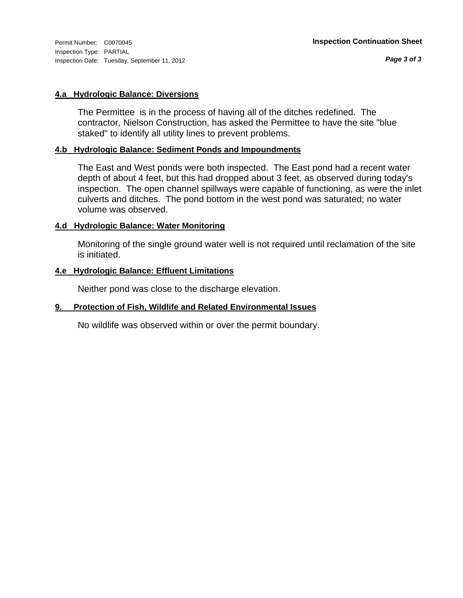#### **4.a Hydrologic Balance: Diversions**

The Permittee is in the process of having all of the ditches redefined. The contractor, Nielson Construction, has asked the Permittee to have the site "blue staked" to identify all utility lines to prevent problems.

#### **4.b Hydrologic Balance: Sediment Ponds and Impoundments**

The East and West ponds were both inspected. The East pond had a recent water depth of about 4 feet, but this had dropped about 3 feet, as observed during today's inspection. The open channel spillways were capable of functioning, as were the inlet culverts and ditches. The pond bottom in the west pond was saturated; no water volume was observed.

#### **4.d Hydrologic Balance: Water Monitoring**

Monitoring of the single ground water well is not required until reclamation of the site is initiated.

#### **4.e Hydrologic Balance: Effluent Limitations**

Neither pond was close to the discharge elevation.

#### **9. Protection of Fish, Wildlife and Related Environmental Issues**

No wildlife was observed within or over the permit boundary.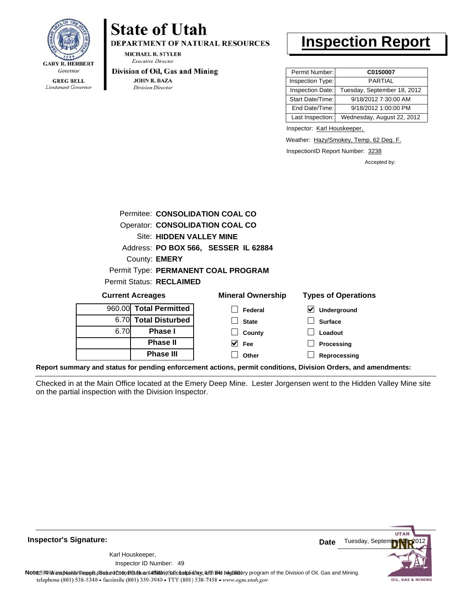

Lieutenant Governor

## **State of Utah**

**DEPARTMENT OF NATURAL RESOURCES** 

**MICHAEL R. STYLER Executive Director** 

#### Division of Oil, Gas and Mining

**JOHN R. BAZA Division Director** 

### **Inspection Report**

| Permit Number:   | C0150007                    |
|------------------|-----------------------------|
| Inspection Type: | <b>PARTIAL</b>              |
| Inspection Date: | Tuesday, September 18, 2012 |
| Start Date/Time: | 9/18/2012 7:30:00 AM        |
| End Date/Time:   | 9/18/2012 1:00:00 PM        |
| Last Inspection: | Wednesday, August 22, 2012  |

Inspector: Karl Houskeeper,

Weather: Hazy/Smokey, Temp. 62 Deg. F.

InspectionID Report Number: 3238

**Reprocessing**

Accepted by:

|                                        |                                 | Permitee: CONSOLIDATION COAL CO      |                            |  |  |  |  |
|----------------------------------------|---------------------------------|--------------------------------------|----------------------------|--|--|--|--|
| <b>Operator: CONSOLIDATION COAL CO</b> |                                 |                                      |                            |  |  |  |  |
|                                        | Site: HIDDEN VALLEY MINE        |                                      |                            |  |  |  |  |
|                                        |                                 | Address: PO BOX 566, SESSER IL 62884 |                            |  |  |  |  |
|                                        | County: <b>EMERY</b>            |                                      |                            |  |  |  |  |
|                                        |                                 | Permit Type: PERMANENT COAL PROGRAM  |                            |  |  |  |  |
|                                        | <b>Permit Status: RECLAIMED</b> |                                      |                            |  |  |  |  |
|                                        | <b>Current Acreages</b>         | <b>Mineral Ownership</b>             | <b>Types of Operations</b> |  |  |  |  |
|                                        | 960.00 Total Permitted          | Federal                              | ⊻<br>Underground           |  |  |  |  |
|                                        | 6.70 Total Disturbed            | <b>State</b>                         | <b>Surface</b>             |  |  |  |  |
| 6.70                                   | Phase I                         | County                               | Loadout                    |  |  |  |  |
|                                        | <b>Phase II</b>                 | M<br>Fee                             | Processing                 |  |  |  |  |
|                                        | <b>Phase III</b>                | Other                                | Reprocessing               |  |  |  |  |

**Report summary and status for pending enforcement actions, permit conditions, Division Orders, and amendments:**

Checked in at the Main Office located at the Emery Deep Mine. Lester Jorgensen went to the Hidden Valley Mine site on the partial inspection with the Division Inspector.

**Other**

**Inspector's Signature:**

49 Inspector ID Number:Karl Houskeeper,



Note: This inspection report does not constitute and affidavit for compliance, with the regulatory program of the Division of Oil, Gas and Mining. telephone (801) 538-5340 · facsimile (801) 359-3940 · TTY (801) 538-7458 · www.ogm.utah.gov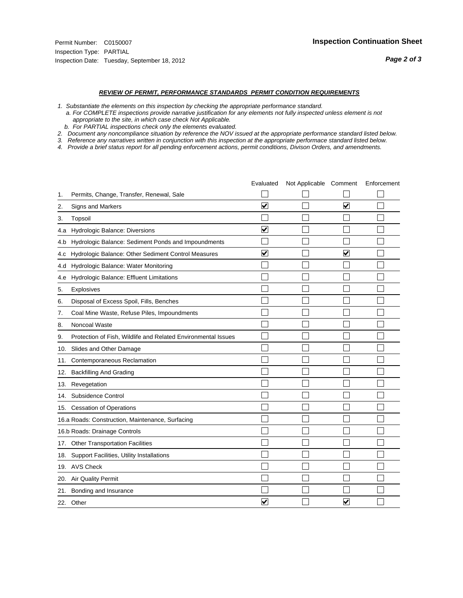#### *REVIEW OF PERMIT, PERFORMANCE STANDARDS PERMIT CONDITION REQUIREMENTS*

- *1. Substantiate the elements on this inspection by checking the appropriate performance standard.*
- *a. For COMPLETE inspections provide narrative justification for any elements not fully inspected unless element is not appropriate to the site, in which case check Not Applicable.*
- *b. For PARTIAL inspections check only the elements evaluated.*
- *2. Document any noncompliance situation by reference the NOV issued at the appropriate performance standard listed below.*
- *3. Reference any narratives written in conjunction with this inspection at the appropriate performace standard listed below.*
- *4. Provide a brief status report for all pending enforcement actions, permit conditions, Divison Orders, and amendments.*

|     |                                                               | Evaluated               | Not Applicable Comment |                         | Enforcement |
|-----|---------------------------------------------------------------|-------------------------|------------------------|-------------------------|-------------|
| 1.  | Permits, Change, Transfer, Renewal, Sale                      |                         |                        |                         |             |
| 2.  | <b>Signs and Markers</b>                                      | $\overline{\mathbf{v}}$ |                        | $\blacktriangledown$    |             |
| 3.  | Topsoil                                                       |                         |                        |                         |             |
| 4.a | Hydrologic Balance: Diversions                                | $\blacktriangledown$    |                        |                         |             |
| 4.b | Hydrologic Balance: Sediment Ponds and Impoundments           |                         |                        |                         |             |
| 4.c | Hydrologic Balance: Other Sediment Control Measures           | $\overline{\mathbf{v}}$ |                        | $\overline{\mathbf{v}}$ |             |
| 4.d | Hydrologic Balance: Water Monitoring                          |                         |                        |                         |             |
| 4.e | Hydrologic Balance: Effluent Limitations                      |                         |                        |                         |             |
| 5.  | <b>Explosives</b>                                             |                         |                        |                         |             |
| 6.  | Disposal of Excess Spoil, Fills, Benches                      |                         |                        |                         |             |
| 7.  | Coal Mine Waste, Refuse Piles, Impoundments                   |                         |                        |                         |             |
| 8.  | Noncoal Waste                                                 |                         |                        |                         |             |
| 9.  | Protection of Fish, Wildlife and Related Environmental Issues |                         |                        |                         |             |
|     | 10. Slides and Other Damage                                   |                         |                        |                         |             |
| 11. | Contemporaneous Reclamation                                   |                         |                        |                         |             |
| 12. | <b>Backfilling And Grading</b>                                |                         |                        |                         |             |
| 13. | Revegetation                                                  |                         |                        |                         |             |
| 14. | Subsidence Control                                            |                         |                        |                         |             |
|     | 15. Cessation of Operations                                   |                         |                        |                         |             |
|     | 16.a Roads: Construction, Maintenance, Surfacing              |                         |                        |                         |             |
|     | 16.b Roads: Drainage Controls                                 |                         |                        |                         |             |
|     | 17. Other Transportation Facilities                           |                         |                        |                         |             |
| 18. | Support Facilities, Utility Installations                     |                         |                        |                         |             |
|     | 19. AVS Check                                                 |                         |                        |                         |             |
| 20. | Air Quality Permit                                            |                         |                        |                         |             |
| 21. | Bonding and Insurance                                         |                         |                        |                         |             |
|     | 22. Other                                                     | $\overline{\mathbf{v}}$ |                        | $\overline{\mathbf{v}}$ |             |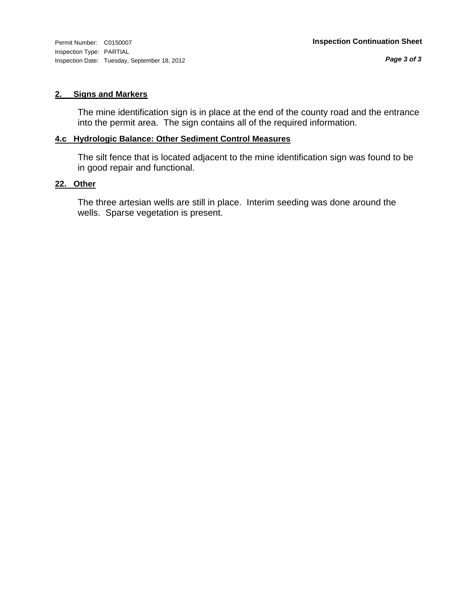#### **2. Signs and Markers**

The mine identification sign is in place at the end of the county road and the entrance into the permit area. The sign contains all of the required information.

#### **4.c Hydrologic Balance: Other Sediment Control Measures**

The silt fence that is located adjacent to the mine identification sign was found to be in good repair and functional.

#### **22. Other**

The three artesian wells are still in place. Interim seeding was done around the wells. Sparse vegetation is present.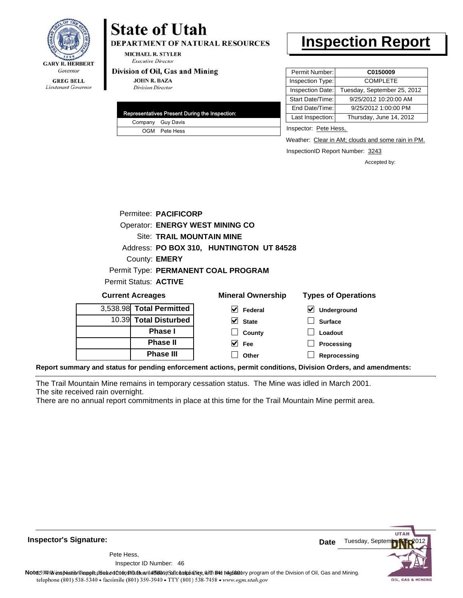

Lieutenant Governor

# **State of Utah**

**DEPARTMENT OF NATURAL RESOURCES** 

**MICHAEL R. STYLER Executive Director** 

#### Division of Oil, Gas and Mining

**JOHN R. BAZA Division Director** 

| Representatives Present During the Inspection: |                   |  |  |  |
|------------------------------------------------|-------------------|--|--|--|
|                                                | Company Guy Davis |  |  |  |
|                                                | OGM Pete Hess     |  |  |  |

### **Inspection Report**

| Permit Number:   | C0150009                    |
|------------------|-----------------------------|
| Inspection Type: | <b>COMPLETE</b>             |
| Inspection Date: | Tuesday, September 25, 2012 |
| Start Date/Time: | 9/25/2012 10:20:00 AM       |
| End Date/Time:   | 9/25/2012 1:00:00 PM        |
| Last Inspection: | Thursday, June 14, 2012     |
|                  |                             |

Inspector: Pete Hess,

Weather: Clear in AM; clouds and some rain in PM.

InspectionID Report Number: 3243

**Loadout Processing** Accepted by:

|                         | Permitee: PACIFICORP                   |   |                                          |                            |
|-------------------------|----------------------------------------|---|------------------------------------------|----------------------------|
|                         | <b>Operator: ENERGY WEST MINING CO</b> |   |                                          |                            |
|                         | <b>Site: TRAIL MOUNTAIN MINE</b>       |   |                                          |                            |
|                         |                                        |   | Address: PO BOX 310, HUNTINGTON UT 84528 |                            |
|                         | County: <b>EMERY</b>                   |   |                                          |                            |
|                         | Permit Type: PERMANENT COAL PROGRAM    |   |                                          |                            |
|                         | Permit Status: ACTIVE                  |   |                                          |                            |
| <b>Current Acreages</b> |                                        |   | <b>Mineral Ownership</b>                 | <b>Types of Operations</b> |
|                         | 3,538.98 Total Permitted               | V | Federal                                  | Underground                |
|                         | 10.39 Total Disturbed                  |   | <b>State</b>                             | <b>Surface</b>             |

**County Fee Other**

**Reprocessing Report summary and status for pending enforcement actions, permit conditions, Division Orders, and amendments:**

**Phase I Phase II Phase III**

The Trail Mountain Mine remains in temporary cessation status. The Mine was idled in March 2001. The site received rain overnight.

There are no annual report commitments in place at this time for the Trail Mountain Mine permit area.



**Inspector's Signature:**

46 Inspector ID Number:Pete Hess,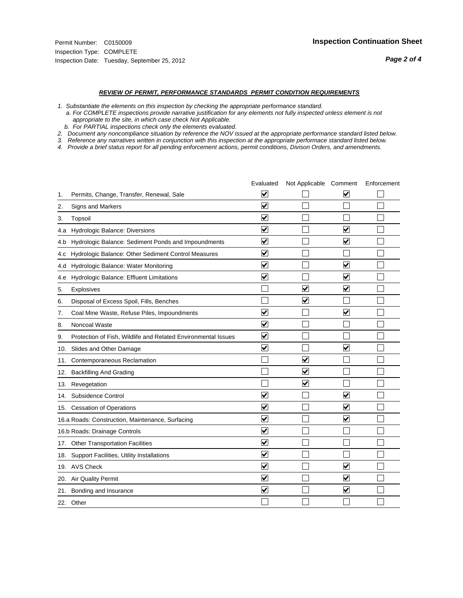#### *REVIEW OF PERMIT, PERFORMANCE STANDARDS PERMIT CONDITION REQUIREMENTS*

*1. Substantiate the elements on this inspection by checking the appropriate performance standard.*

 *a. For COMPLETE inspections provide narrative justification for any elements not fully inspected unless element is not appropriate to the site, in which case check Not Applicable.*

 *b. For PARTIAL inspections check only the elements evaluated.*

*2. Document any noncompliance situation by reference the NOV issued at the appropriate performance standard listed below.*

*3. Reference any narratives written in conjunction with this inspection at the appropriate performace standard listed below.*

*4. Provide a brief status report for all pending enforcement actions, permit conditions, Divison Orders, and amendments.*

|     |                                                               | Evaluated               | Not Applicable Comment          |                         | Enforcement |
|-----|---------------------------------------------------------------|-------------------------|---------------------------------|-------------------------|-------------|
| 1.  | Permits, Change, Transfer, Renewal, Sale                      | $\overline{\mathbf{v}}$ |                                 | V                       |             |
| 2.  | Signs and Markers                                             | $\overline{\mathbf{v}}$ |                                 |                         |             |
| 3.  | Topsoil                                                       | $\overline{\mathbf{v}}$ |                                 |                         |             |
| 4.a | Hydrologic Balance: Diversions                                | $\overline{\mathbf{v}}$ |                                 | $\overline{\mathbf{v}}$ |             |
| 4.b | Hydrologic Balance: Sediment Ponds and Impoundments           | $\blacktriangledown$    |                                 | ⊻                       |             |
| 4.C | Hydrologic Balance: Other Sediment Control Measures           | $\overline{\mathbf{v}}$ |                                 |                         |             |
| 4.d | Hydrologic Balance: Water Monitoring                          | $\overline{\mathbf{v}}$ |                                 | $\overline{\mathbf{v}}$ |             |
| 4.e | Hydrologic Balance: Effluent Limitations                      | $\overline{\mathbf{v}}$ |                                 | $\blacktriangledown$    |             |
| 5.  | <b>Explosives</b>                                             |                         | ⊽                               | ☑                       |             |
| 6.  | Disposal of Excess Spoil, Fills, Benches                      |                         | $\blacktriangledown$            |                         |             |
| 7.  | Coal Mine Waste, Refuse Piles, Impoundments                   | $\overline{\mathbf{v}}$ |                                 | $\overline{\mathbf{v}}$ |             |
| 8.  | Noncoal Waste                                                 | $\overline{\mathbf{v}}$ |                                 |                         |             |
| 9.  | Protection of Fish, Wildlife and Related Environmental Issues | $\overline{\mathbf{v}}$ |                                 |                         |             |
|     | 10. Slides and Other Damage                                   | $\overline{\mathbf{v}}$ |                                 | $\overline{\mathbf{v}}$ |             |
| 11. | Contemporaneous Reclamation                                   |                         | ☑                               |                         |             |
| 12. | <b>Backfilling And Grading</b>                                |                         | $\overline{\mathbf{v}}$         |                         |             |
| 13. | Revegetation                                                  |                         | $\overline{\blacktriangledown}$ |                         |             |
| 14. | Subsidence Control                                            | $\overline{\mathbf{v}}$ |                                 | $\overline{\mathbf{v}}$ |             |
|     | 15. Cessation of Operations                                   | $\overline{\mathbf{v}}$ |                                 | $\blacktriangledown$    |             |
|     | 16.a Roads: Construction, Maintenance, Surfacing              | $\blacktriangledown$    |                                 | $\blacktriangledown$    |             |
|     | 16.b Roads: Drainage Controls                                 | $\overline{\mathbf{v}}$ |                                 |                         |             |
|     | 17. Other Transportation Facilities                           | $\overline{\mathbf{v}}$ |                                 |                         |             |
| 18. | Support Facilities, Utility Installations                     | $\overline{\mathbf{v}}$ |                                 |                         |             |
|     | 19. AVS Check                                                 | $\overline{\mathbf{v}}$ |                                 | $\overline{\mathsf{v}}$ |             |
| 20. | <b>Air Quality Permit</b>                                     | $\checkmark$            |                                 | $\blacktriangledown$    |             |
| 21. | Bonding and Insurance                                         | $\overline{\mathbf{v}}$ |                                 | $\blacktriangledown$    |             |
|     | 22. Other                                                     |                         |                                 |                         |             |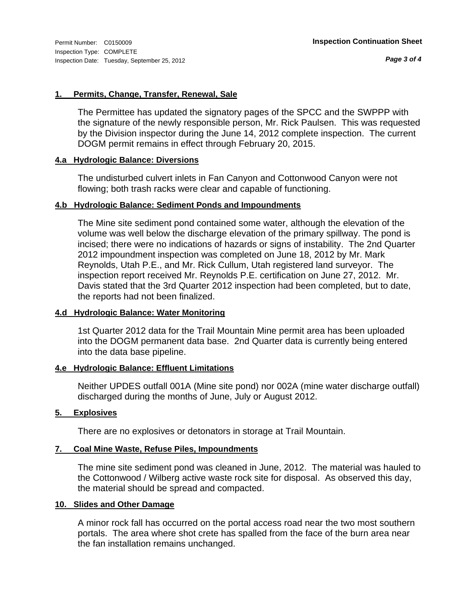#### **1. Permits, Change, Transfer, Renewal, Sale**

The Permittee has updated the signatory pages of the SPCC and the SWPPP with the signature of the newly responsible person, Mr. Rick Paulsen. This was requested by the Division inspector during the June 14, 2012 complete inspection. The current DOGM permit remains in effect through February 20, 2015.

#### **4.a Hydrologic Balance: Diversions**

The undisturbed culvert inlets in Fan Canyon and Cottonwood Canyon were not flowing; both trash racks were clear and capable of functioning.

#### **4.b Hydrologic Balance: Sediment Ponds and Impoundments**

The Mine site sediment pond contained some water, although the elevation of the volume was well below the discharge elevation of the primary spillway. The pond is incised; there were no indications of hazards or signs of instability. The 2nd Quarter 2012 impoundment inspection was completed on June 18, 2012 by Mr. Mark Reynolds, Utah P.E., and Mr. Rick Cullum, Utah registered land surveyor. The inspection report received Mr. Reynolds P.E. certification on June 27, 2012. Mr. Davis stated that the 3rd Quarter 2012 inspection had been completed, but to date, the reports had not been finalized.

#### **4.d Hydrologic Balance: Water Monitoring**

1st Quarter 2012 data for the Trail Mountain Mine permit area has been uploaded into the DOGM permanent data base. 2nd Quarter data is currently being entered into the data base pipeline.

#### **4.e Hydrologic Balance: Effluent Limitations**

Neither UPDES outfall 001A (Mine site pond) nor 002A (mine water discharge outfall) discharged during the months of June, July or August 2012.

#### **5. Explosives**

There are no explosives or detonators in storage at Trail Mountain.

#### **7. Coal Mine Waste, Refuse Piles, Impoundments**

The mine site sediment pond was cleaned in June, 2012. The material was hauled to the Cottonwood / Wilberg active waste rock site for disposal. As observed this day, the material should be spread and compacted.

#### **10. Slides and Other Damage**

A minor rock fall has occurred on the portal access road near the two most southern portals. The area where shot crete has spalled from the face of the burn area near the fan installation remains unchanged.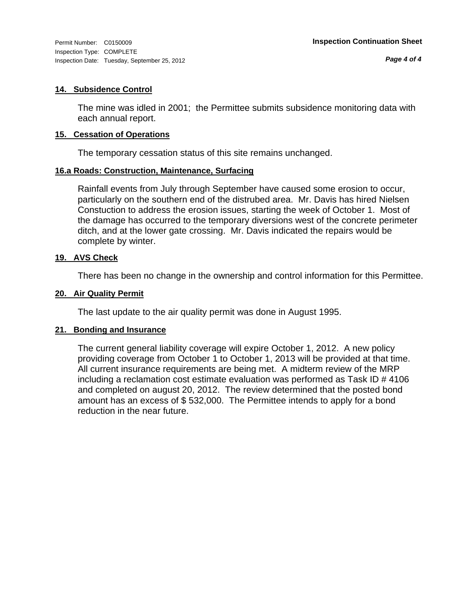#### **14. Subsidence Control**

The mine was idled in 2001; the Permittee submits subsidence monitoring data with each annual report.

#### **15. Cessation of Operations**

The temporary cessation status of this site remains unchanged.

#### **16.a Roads: Construction, Maintenance, Surfacing**

Rainfall events from July through September have caused some erosion to occur, particularly on the southern end of the distrubed area. Mr. Davis has hired Nielsen Constuction to address the erosion issues, starting the week of October 1. Most of the damage has occurred to the temporary diversions west of the concrete perimeter ditch, and at the lower gate crossing. Mr. Davis indicated the repairs would be complete by winter.

#### **19. AVS Check**

There has been no change in the ownership and control information for this Permittee.

#### **20. Air Quality Permit**

The last update to the air quality permit was done in August 1995.

#### **21. Bonding and Insurance**

The current general liability coverage will expire October 1, 2012. A new policy providing coverage from October 1 to October 1, 2013 will be provided at that time. All current insurance requirements are being met. A midterm review of the MRP including a reclamation cost estimate evaluation was performed as Task ID # 4106 and completed on august 20, 2012. The review determined that the posted bond amount has an excess of \$ 532,000. The Permittee intends to apply for a bond reduction in the near future.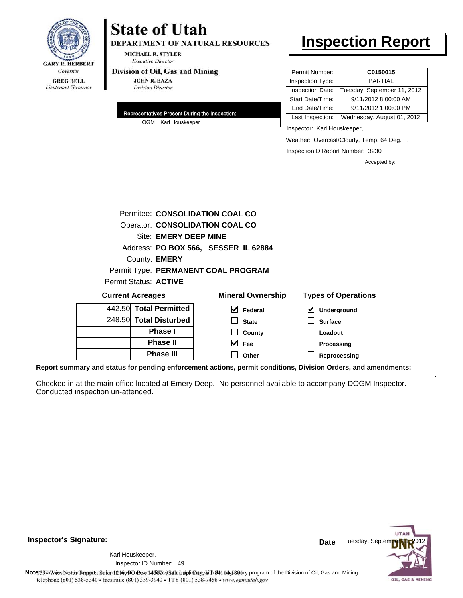

# **State of Utah**

**DEPARTMENT OF NATURAL RESOURCES** 

**MICHAEL R. STYLER Executive Director** 

#### Division of Oil, Gas and Mining

**JOHN R. BAZA Division Director** 

| Representatives Present During the Inspection: |
|------------------------------------------------|
| OGM Karl Houskeeper                            |

### **Inspection Report**

| Permit Number:   | C0150015                    |
|------------------|-----------------------------|
| Inspection Type: | <b>PARTIAL</b>              |
| Inspection Date: | Tuesday, September 11, 2012 |
| Start Date/Time: | 9/11/2012 8:00:00 AM        |
| End Date/Time:   | 9/11/2012 1:00:00 PM        |
| Last Inspection: | Wednesday, August 01, 2012  |
|                  |                             |

Inspector: Karl Houskeeper,

Weather: Overcast/Cloudy, Temp. 64 Deg. F.

InspectionID Report Number: 3230

**Reprocessing**

Accepted by:

|                                                          |                         | Permitee: CONSOLIDATION COAL CO        |                            |  |  |  |  |
|----------------------------------------------------------|-------------------------|----------------------------------------|----------------------------|--|--|--|--|
|                                                          |                         | <b>Operator: CONSOLIDATION COAL CO</b> |                            |  |  |  |  |
|                                                          | Site: EMERY DEEP MINE   |                                        |                            |  |  |  |  |
|                                                          |                         | Address: PO BOX 566, SESSER IL 62884   |                            |  |  |  |  |
|                                                          | County: <b>EMERY</b>    |                                        |                            |  |  |  |  |
|                                                          |                         | Permit Type: PERMANENT COAL PROGRAM    |                            |  |  |  |  |
|                                                          | Permit Status: ACTIVE   |                                        |                            |  |  |  |  |
|                                                          | <b>Current Acreages</b> | <b>Mineral Ownership</b>               | <b>Types of Operations</b> |  |  |  |  |
|                                                          | 442.50 Total Permitted  | M<br>Federal                           | V<br><b>Underground</b>    |  |  |  |  |
| 248.50 Total Disturbed<br><b>Surface</b><br><b>State</b> |                         |                                        |                            |  |  |  |  |
| <b>Phase I</b>                                           |                         | County                                 | Loadout                    |  |  |  |  |
|                                                          | <b>Phase II</b>         | Fee                                    | Processing                 |  |  |  |  |

**Other**

**Report summary and status for pending enforcement actions, permit conditions, Division Orders, and amendments:**

Checked in at the main office located at Emery Deep. No personnel available to accompany DOGM Inspector. Conducted inspection un-attended.

**Inspector's Signature:**

49 Inspector ID Number:Karl Houskeeper,

**Phase III**



Note: This inspection report does not constitute and affidavit for compliance, with the regulatory program of the Division of Oil, Gas and Mining. telephone (801) 538-5340 · facsimile (801) 359-3940 · TTY (801) 538-7458 · www.ogm.utah.gov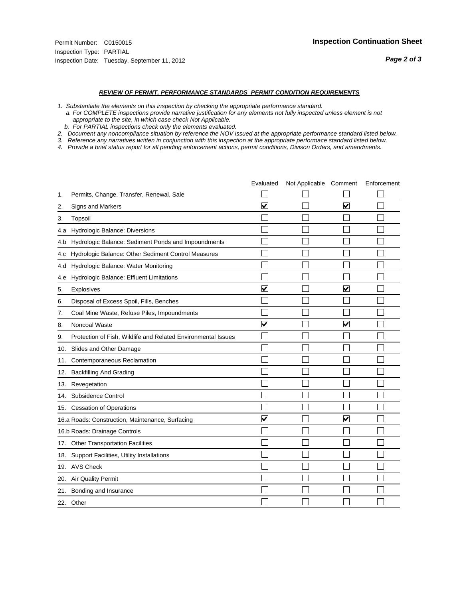#### *REVIEW OF PERMIT, PERFORMANCE STANDARDS PERMIT CONDITION REQUIREMENTS*

- *1. Substantiate the elements on this inspection by checking the appropriate performance standard.*
- *a. For COMPLETE inspections provide narrative justification for any elements not fully inspected unless element is not appropriate to the site, in which case check Not Applicable.*
- *b. For PARTIAL inspections check only the elements evaluated.*
- *2. Document any noncompliance situation by reference the NOV issued at the appropriate performance standard listed below.*
- *3. Reference any narratives written in conjunction with this inspection at the appropriate performace standard listed below.*
- *4. Provide a brief status report for all pending enforcement actions, permit conditions, Divison Orders, and amendments.*

|     |                                                               | Evaluated               | Not Applicable Comment |                         | Enforcement |
|-----|---------------------------------------------------------------|-------------------------|------------------------|-------------------------|-------------|
| 1.  | Permits, Change, Transfer, Renewal, Sale                      |                         |                        |                         |             |
| 2.  | <b>Signs and Markers</b>                                      | $\overline{\mathbf{v}}$ |                        | $\overline{\mathbf{v}}$ |             |
| 3.  | Topsoil                                                       |                         |                        |                         |             |
| 4.a | Hydrologic Balance: Diversions                                |                         |                        |                         |             |
| 4.b | Hydrologic Balance: Sediment Ponds and Impoundments           |                         |                        |                         |             |
| 4.C | Hydrologic Balance: Other Sediment Control Measures           |                         |                        |                         |             |
| 4.d | Hydrologic Balance: Water Monitoring                          |                         |                        |                         |             |
| 4.e | Hydrologic Balance: Effluent Limitations                      |                         |                        |                         |             |
| 5.  | Explosives                                                    | $\overline{\mathbf{v}}$ |                        | $\overline{\mathbf{v}}$ |             |
| 6.  | Disposal of Excess Spoil, Fills, Benches                      |                         |                        |                         |             |
| 7.  | Coal Mine Waste, Refuse Piles, Impoundments                   |                         |                        |                         |             |
| 8.  | Noncoal Waste                                                 | $\overline{\mathbf{v}}$ |                        | $\overline{\mathbf{v}}$ |             |
| 9.  | Protection of Fish, Wildlife and Related Environmental Issues |                         |                        |                         |             |
|     | 10. Slides and Other Damage                                   |                         |                        |                         |             |
| 11. | Contemporaneous Reclamation                                   |                         |                        |                         |             |
| 12. | <b>Backfilling And Grading</b>                                |                         |                        |                         |             |
| 13. | Revegetation                                                  |                         |                        |                         |             |
| 14. | Subsidence Control                                            |                         |                        |                         |             |
|     | 15. Cessation of Operations                                   |                         |                        |                         |             |
|     | 16.a Roads: Construction, Maintenance, Surfacing              | $\overline{\mathsf{v}}$ |                        | V                       |             |
|     | 16.b Roads: Drainage Controls                                 |                         |                        |                         |             |
|     | 17. Other Transportation Facilities                           |                         |                        |                         |             |
| 18. | Support Facilities, Utility Installations                     |                         |                        |                         |             |
|     | 19. AVS Check                                                 |                         |                        |                         |             |
| 20. | <b>Air Quality Permit</b>                                     |                         |                        |                         |             |
|     | 21. Bonding and Insurance                                     |                         |                        |                         |             |
|     | 22. Other                                                     |                         |                        |                         |             |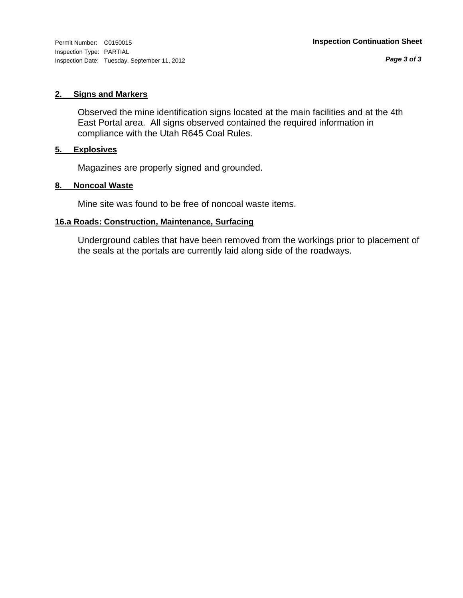*Page 3 of 3*

#### **2. Signs and Markers**

Observed the mine identification signs located at the main facilities and at the 4th East Portal area. All signs observed contained the required information in compliance with the Utah R645 Coal Rules.

#### **5. Explosives**

Magazines are properly signed and grounded.

#### **8. Noncoal Waste**

Mine site was found to be free of noncoal waste items.

#### **16.a Roads: Construction, Maintenance, Surfacing**

Underground cables that have been removed from the workings prior to placement of the seals at the portals are currently laid along side of the roadways.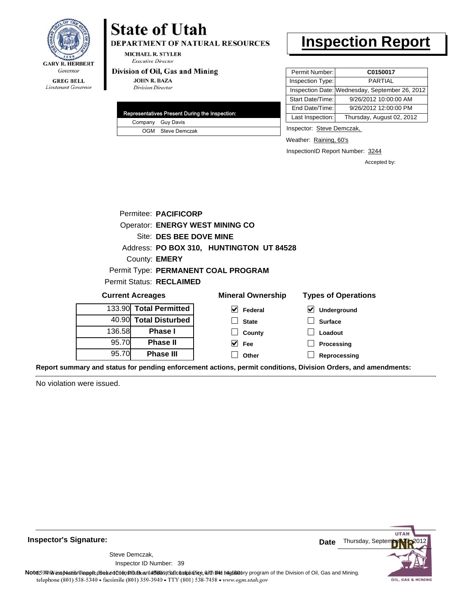

#### **GREG BELL** Lieutenant Governor

# **State of Utah**

DEPARTMENT OF NATURAL RESOURCES

**MICHAEL R. STYLER Executive Director** 

### Division of Oil, Gas and Mining

**JOHN R. BAZA Division Director** 

|  | <b>Representatives Present During the Inspection:</b> |
|--|-------------------------------------------------------|
|  | Company Guy Davis                                     |
|  | OGM Steve Demczak                                     |

### **Inspection Report**

| Permit Number:   | C0150017                                       |
|------------------|------------------------------------------------|
| Inspection Type: | <b>PARTIAL</b>                                 |
|                  | Inspection Date: Wednesday, September 26, 2012 |
| Start Date/Time: | 9/26/2012 10:00:00 AM                          |
| End Date/Time:   | 9/26/2012 12:00:00 PM                          |
| Last Inspection: | Thursday, August 02, 2012                      |

Inspector: Steve Demczak,

Weather: Raining, 60's

InspectionID Report Number: 3244

**Reprocessing**

Accepted by:

|        | Permitee: PACIFICORP                   |                                          |                                     |  |  |  |  |
|--------|----------------------------------------|------------------------------------------|-------------------------------------|--|--|--|--|
|        | <b>Operator: ENERGY WEST MINING CO</b> |                                          |                                     |  |  |  |  |
|        | Site: DES BEE DOVE MINE                |                                          |                                     |  |  |  |  |
|        |                                        | Address: PO BOX 310, HUNTINGTON UT 84528 |                                     |  |  |  |  |
|        | County: <b>EMERY</b>                   |                                          |                                     |  |  |  |  |
|        |                                        | Permit Type: PERMANENT COAL PROGRAM      |                                     |  |  |  |  |
|        | <b>Permit Status: RECLAIMED</b>        |                                          |                                     |  |  |  |  |
|        | <b>Current Acreages</b>                | <b>Mineral Ownership</b>                 | <b>Types of Operations</b>          |  |  |  |  |
|        | 133.90 Total Permitted                 | $\vert \mathbf{v} \vert$ Federal         | $\blacktriangledown$<br>Underground |  |  |  |  |
| 40.90  | <b>Total Disturbed</b>                 | <b>State</b>                             | <b>Surface</b>                      |  |  |  |  |
| 136.58 | <b>Phase I</b>                         | County                                   | Loadout                             |  |  |  |  |
| 95.70  | <b>Phase II</b>                        | Fee                                      | <b>Processing</b>                   |  |  |  |  |

**Other**

**Report summary and status for pending enforcement actions, permit conditions, Division Orders, and amendments:**

No violation were issued.

95.70

**Phase III**



**Inspector's Signature:**

Inspector ID Number: 39 Steve Demczak,

Note: 59 This inspection report does not do an affidavit Suite and Affidavit Constitute and Division of Coli, Gas and Mining.<br>telephone (801) 538-5340 • facsimile (801) 359-3940 • TTY (801) 538-7458 • www.ogm.utah.gov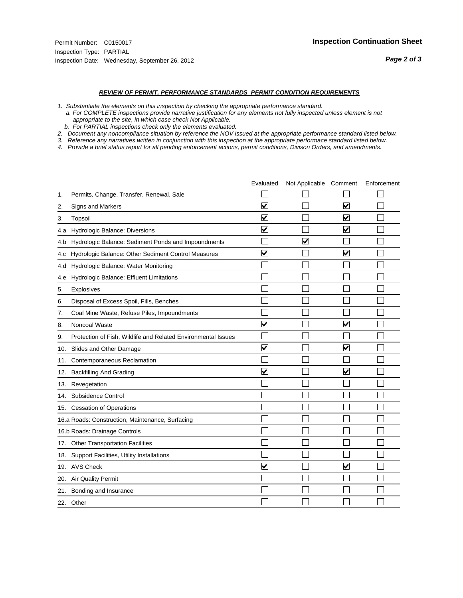#### *REVIEW OF PERMIT, PERFORMANCE STANDARDS PERMIT CONDITION REQUIREMENTS*

*1. Substantiate the elements on this inspection by checking the appropriate performance standard.*

 *a. For COMPLETE inspections provide narrative justification for any elements not fully inspected unless element is not appropriate to the site, in which case check Not Applicable.*

 *b. For PARTIAL inspections check only the elements evaluated.*

*2. Document any noncompliance situation by reference the NOV issued at the appropriate performance standard listed below.*

*3. Reference any narratives written in conjunction with this inspection at the appropriate performace standard listed below.*

*4. Provide a brief status report for all pending enforcement actions, permit conditions, Divison Orders, and amendments.*

|     |                                                               | Evaluated               | Not Applicable Comment |                         | Enforcement |
|-----|---------------------------------------------------------------|-------------------------|------------------------|-------------------------|-------------|
| 1.  | Permits, Change, Transfer, Renewal, Sale                      |                         |                        |                         |             |
| 2.  | Signs and Markers                                             | $\overline{\mathbf{v}}$ |                        | $\blacktriangledown$    |             |
| 3.  | Topsoil                                                       | $\overline{\mathbf{v}}$ |                        | $\blacktriangledown$    |             |
| 4.a | Hydrologic Balance: Diversions                                | $\blacktriangledown$    |                        | $\overline{\mathbf{v}}$ |             |
| 4.b | Hydrologic Balance: Sediment Ponds and Impoundments           |                         | V                      |                         |             |
| 4.c | Hydrologic Balance: Other Sediment Control Measures           | $\overline{\mathbf{v}}$ |                        | $\blacktriangledown$    |             |
| 4.d | Hydrologic Balance: Water Monitoring                          |                         |                        |                         |             |
| 4.e | Hydrologic Balance: Effluent Limitations                      |                         |                        |                         |             |
| 5.  | <b>Explosives</b>                                             |                         |                        |                         |             |
| 6.  | Disposal of Excess Spoil, Fills, Benches                      |                         |                        |                         |             |
| 7.  | Coal Mine Waste, Refuse Piles, Impoundments                   |                         |                        |                         |             |
| 8.  | Noncoal Waste                                                 | $\overline{\mathsf{v}}$ |                        | $\overline{\mathbf{v}}$ |             |
| 9.  | Protection of Fish, Wildlife and Related Environmental Issues |                         |                        |                         |             |
|     | 10. Slides and Other Damage                                   | $\blacktriangledown$    |                        | ⊽                       |             |
| 11. | Contemporaneous Reclamation                                   |                         |                        |                         |             |
| 12. | <b>Backfilling And Grading</b>                                | $\overline{\mathbf{v}}$ |                        | $\blacktriangledown$    |             |
| 13. | Revegetation                                                  |                         |                        |                         |             |
| 14. | Subsidence Control                                            |                         |                        |                         |             |
|     | 15. Cessation of Operations                                   |                         |                        |                         |             |
|     | 16.a Roads: Construction, Maintenance, Surfacing              |                         |                        |                         |             |
|     | 16.b Roads: Drainage Controls                                 |                         |                        |                         |             |
| 17. | <b>Other Transportation Facilities</b>                        |                         |                        |                         |             |
| 18. | Support Facilities, Utility Installations                     |                         |                        |                         |             |
|     | 19. AVS Check                                                 | $\blacktriangledown$    |                        | $\blacktriangledown$    |             |
| 20. | Air Quality Permit                                            |                         |                        |                         |             |
| 21. | Bonding and Insurance                                         |                         |                        |                         |             |
|     | 22. Other                                                     |                         |                        |                         |             |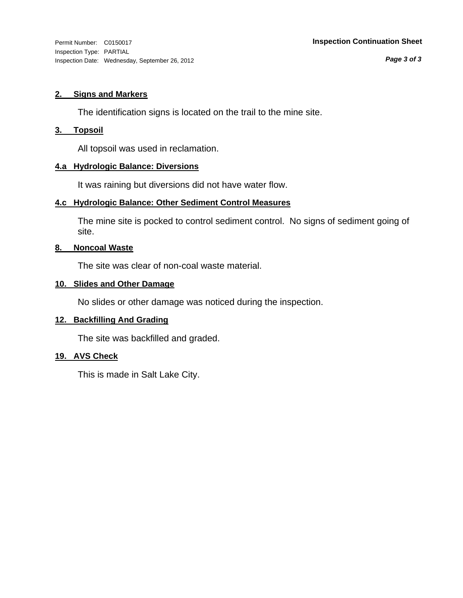*Page 3 of 3*

### **2. Signs and Markers**

The identification signs is located on the trail to the mine site.

### **3. Topsoil**

All topsoil was used in reclamation.

### **4.a Hydrologic Balance: Diversions**

It was raining but diversions did not have water flow.

### **4.c Hydrologic Balance: Other Sediment Control Measures**

The mine site is pocked to control sediment control. No signs of sediment going of site.

### **8. Noncoal Waste**

The site was clear of non-coal waste material.

### **10. Slides and Other Damage**

No slides or other damage was noticed during the inspection.

### **12. Backfilling And Grading**

The site was backfilled and graded.

### **19. AVS Check**

This is made in Salt Lake City.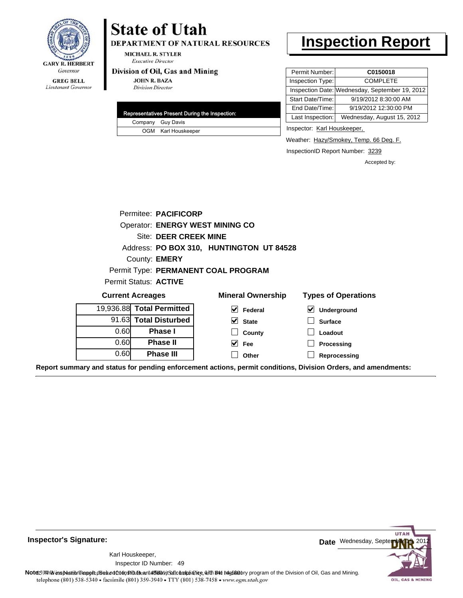

### Lieutenant Governor

# **State of Utah**

DEPARTMENT OF NATURAL RESOURCES

**MICHAEL R. STYLER Executive Director** 

### Division of Oil, Gas and Mining

**JOHN R. BAZA Division Director** 

| Representatives Present During the Inspection: |
|------------------------------------------------|
| Company Guy Davis                              |
| OGM Karl Houskeeper                            |

### **Inspection Report**

| Permit Number:   | C0150018                                       |
|------------------|------------------------------------------------|
| Inspection Type: | <b>COMPLETE</b>                                |
|                  | Inspection Date: Wednesday, September 19, 2012 |
| Start Date/Time: | 9/19/2012 8:30:00 AM                           |
| End Date/Time:   | 9/19/2012 12:30:00 PM                          |
| Last Inspection: | Wednesday, August 15, 2012                     |

Inspector: Karl Houskeeper,

Weather: Hazy/Smokey, Temp. 66 Deg. F.

InspectionID Report Number: 3239

Accepted by:

|       | Permitee: PACIFICORP                   |                                          |                            |
|-------|----------------------------------------|------------------------------------------|----------------------------|
|       | <b>Operator: ENERGY WEST MINING CO</b> |                                          |                            |
|       | Site: DEER CREEK MINE                  |                                          |                            |
|       |                                        | Address: PO BOX 310, HUNTINGTON UT 84528 |                            |
|       | County: <b>EMERY</b>                   |                                          |                            |
|       |                                        | Permit Type: PERMANENT COAL PROGRAM      |                            |
|       | Permit Status: ACTIVE                  |                                          |                            |
|       | <b>Current Acreages</b>                | <b>Mineral Ownership</b>                 | <b>Types of Operations</b> |
|       | 19,936.88 Total Permitted              | $\vert \mathbf{v} \vert$ Federal         | $\vee$ Underground         |
| 91.63 | <b>Total Disturbed</b>                 | ⊻<br><b>State</b>                        | <b>Surface</b>             |
| 0.60  | <b>Phase I</b>                         | County                                   | Loadout                    |
| 0.60  | <b>Phase II</b>                        | $\sqrt{ }$ Fee                           | Processing                 |
| 0.60  | <b>Phase III</b>                       | Other                                    | Reprocessing               |

**Report summary and status for pending enforcement actions, permit conditions, Division Orders, and amendments:**

**Inspector's Signature:**

49 Inspector ID Number:Karl Houskeeper,



**Note**:59 This inspection report disean of constitute and affidavit Saft compliance, with the desidatory program of the Division of Oil, Gas and Mining. telephone (801) 538-5340 · facsimile (801) 359-3940 · TTY (801) 538-7458 · www.ogm.utah.gov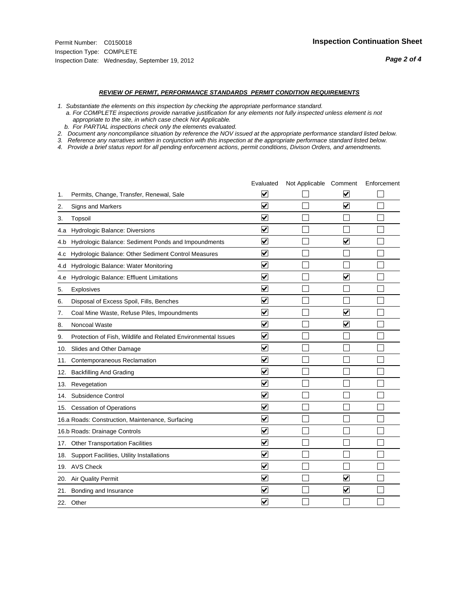#### *REVIEW OF PERMIT, PERFORMANCE STANDARDS PERMIT CONDITION REQUIREMENTS*

*1. Substantiate the elements on this inspection by checking the appropriate performance standard.*

 *a. For COMPLETE inspections provide narrative justification for any elements not fully inspected unless element is not appropriate to the site, in which case check Not Applicable.*

 *b. For PARTIAL inspections check only the elements evaluated.*

*2. Document any noncompliance situation by reference the NOV issued at the appropriate performance standard listed below.*

*3. Reference any narratives written in conjunction with this inspection at the appropriate performace standard listed below.*

*4. Provide a brief status report for all pending enforcement actions, permit conditions, Divison Orders, and amendments.*

|     |                                                               | Evaluated               | Not Applicable Comment |                         | Enforcement |
|-----|---------------------------------------------------------------|-------------------------|------------------------|-------------------------|-------------|
| 1.  | Permits, Change, Transfer, Renewal, Sale                      | $\overline{\mathbf{v}}$ |                        | V                       |             |
| 2.  | Signs and Markers                                             | $\overline{\mathbf{v}}$ |                        | $\blacktriangledown$    |             |
| 3.  | Topsoil                                                       | $\overline{\mathbf{v}}$ |                        |                         |             |
| 4.a | Hydrologic Balance: Diversions                                | $\overline{\mathbf{v}}$ |                        |                         |             |
| 4.b | Hydrologic Balance: Sediment Ponds and Impoundments           | $\blacktriangledown$    |                        | V                       |             |
| 4.C | Hydrologic Balance: Other Sediment Control Measures           | $\overline{\mathbf{v}}$ |                        |                         |             |
| 4.d | Hydrologic Balance: Water Monitoring                          | $\overline{\mathbf{v}}$ |                        |                         |             |
| 4.e | Hydrologic Balance: Effluent Limitations                      | $\overline{\mathbf{v}}$ |                        | $\blacktriangledown$    |             |
| 5.  | <b>Explosives</b>                                             | $\overline{\mathbf{v}}$ |                        |                         |             |
| 6.  | Disposal of Excess Spoil, Fills, Benches                      | $\blacktriangledown$    |                        |                         |             |
| 7.  | Coal Mine Waste, Refuse Piles, Impoundments                   | $\overline{\mathbf{v}}$ |                        | $\overline{\mathbf{v}}$ |             |
| 8.  | Noncoal Waste                                                 | $\overline{\mathbf{v}}$ |                        | $\overline{\mathbf{v}}$ |             |
| 9.  | Protection of Fish, Wildlife and Related Environmental Issues | $\overline{\mathbf{v}}$ |                        |                         |             |
|     | 10. Slides and Other Damage                                   | $\overline{\mathbf{v}}$ |                        |                         |             |
| 11. | Contemporaneous Reclamation                                   | ⊽                       |                        |                         |             |
| 12. | <b>Backfilling And Grading</b>                                | $\overline{\mathbf{v}}$ |                        |                         |             |
| 13. | Revegetation                                                  | $\overline{\mathbf{v}}$ |                        |                         |             |
| 14. | Subsidence Control                                            | $\overline{\mathbf{v}}$ |                        |                         |             |
|     | 15. Cessation of Operations                                   | $\overline{\mathbf{v}}$ |                        |                         |             |
|     | 16.a Roads: Construction, Maintenance, Surfacing              | $\blacktriangledown$    |                        |                         |             |
|     | 16.b Roads: Drainage Controls                                 | $\overline{\mathbf{v}}$ |                        |                         |             |
| 17. | <b>Other Transportation Facilities</b>                        | $\overline{\mathbf{v}}$ |                        |                         |             |
| 18. | Support Facilities, Utility Installations                     | $\overline{\mathbf{v}}$ |                        |                         |             |
|     | 19. AVS Check                                                 | $\overline{\mathbf{v}}$ |                        |                         |             |
| 20. | <b>Air Quality Permit</b>                                     | $\checkmark$            |                        | $\blacktriangledown$    |             |
| 21. | Bonding and Insurance                                         | $\blacktriangledown$    |                        | $\blacktriangledown$    |             |
|     | 22. Other                                                     | $\overline{\mathbf{v}}$ |                        |                         |             |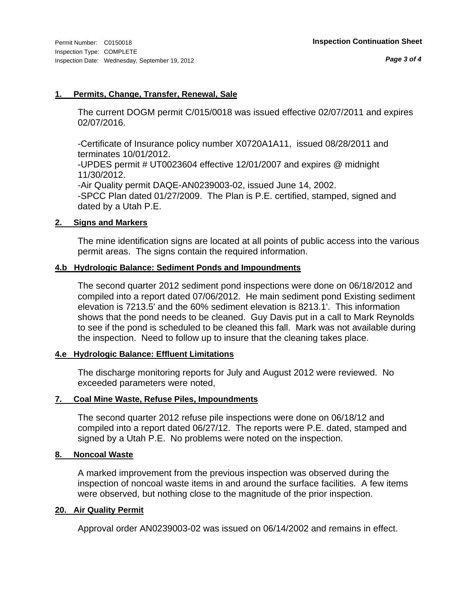### **1. Permits, Change, Transfer, Renewal, Sale**

The current DOGM permit C/015/0018 was issued effective 02/07/2011 and expires 02/07/2016.

-Certificate of Insurance policy number X0720A1A11, issued 08/28/2011 and terminates 10/01/2012.

-UPDES permit # UT0023604 effective 12/01/2007 and expires @ midnight 11/30/2012.

-Air Quality permit DAQE-AN0239003-02, issued June 14, 2002. -SPCC Plan dated 01/27/2009. The Plan is P.E. certified, stamped, signed and dated by a Utah P.E.

### **2. Signs and Markers**

The mine identification signs are located at all points of public access into the various permit areas. The signs contain the required information.

### **4.b Hydrologic Balance: Sediment Ponds and Impoundments**

The second quarter 2012 sediment pond inspections were done on 06/18/2012 and compiled into a report dated 07/06/2012. He main sediment pond Existing sediment elevation is 7213.5' and the 60% sediment elevation is 8213.1'. This information shows that the pond needs to be cleaned. Guy Davis put in a call to Mark Reynolds to see if the pond is scheduled to be cleaned this fall. Mark was not available during the inspection. Need to follow up to insure that the cleaning takes place.

### **4.e Hydrologic Balance: Effluent Limitations**

The discharge monitoring reports for July and August 2012 were reviewed. No exceeded parameters were noted,

### **7. Coal Mine Waste, Refuse Piles, Impoundments**

The second quarter 2012 refuse pile inspections were done on 06/18/12 and compiled into a report dated 06/27/12. The reports were P.E. dated, stamped and signed by a Utah P.E. No problems were noted on the inspection.

### **8. Noncoal Waste**

A marked improvement from the previous inspection was observed during the inspection of noncoal waste items in and around the surface facilities. A few items were observed, but nothing close to the magnitude of the prior inspection.

### **20. Air Quality Permit**

Approval order AN0239003-02 was issued on 06/14/2002 and remains in effect.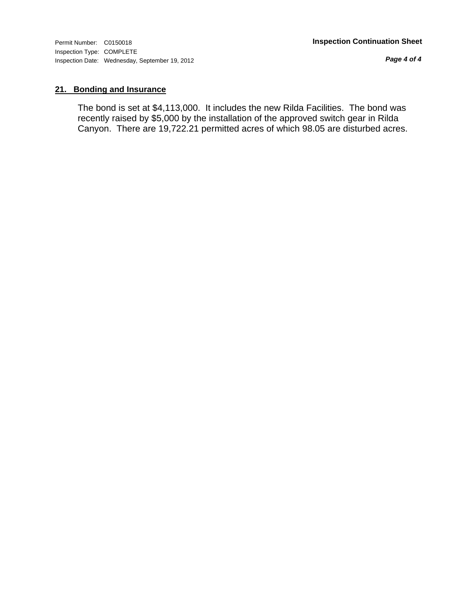*Page 4 of 4*

### **21. Bonding and Insurance**

The bond is set at \$4,113,000. It includes the new Rilda Facilities. The bond was recently raised by \$5,000 by the installation of the approved switch gear in Rilda Canyon. There are 19,722.21 permitted acres of which 98.05 are disturbed acres.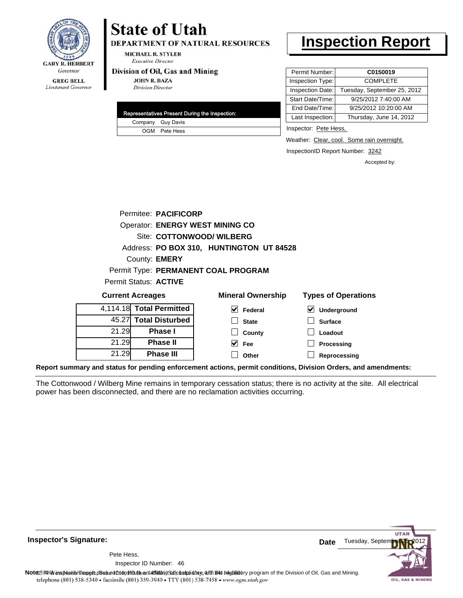

4,

21.29

**Phase II Phase III**

Lieutenant Governor

# **State of Utah**

**DEPARTMENT OF NATURAL RESOURCES** 

**MICHAEL R. STYLER Executive Director** 

### Division of Oil, Gas and Mining

**JOHN R. BAZA Division Director** 

| Representatives Present During the Inspection: |
|------------------------------------------------|
| Company Guy Davis                              |
| OGM Pete Hess                                  |

## **Inspection Report**

| Permit Number:   | C0150019                    |
|------------------|-----------------------------|
| Inspection Type: | <b>COMPLETE</b>             |
| Inspection Date: | Tuesday, September 25, 2012 |
| Start Date/Time: | 9/25/2012 7:40:00 AM        |
| End Date/Time:   | 9/25/2012 10:20:00 AM       |
| Last Inspection: | Thursday, June 14, 2012     |
|                  |                             |

Inspector: Pete Hess,

Weather: Clear, cool. Some rain overnight.

InspectionID Report Number: 3242

**Processing Reprocessing** Accepted by:

|       | Permitee: PACIFICORP                   |                                          |                                          |
|-------|----------------------------------------|------------------------------------------|------------------------------------------|
|       | <b>Operator: ENERGY WEST MINING CO</b> |                                          |                                          |
|       |                                        | Site: COTTONWOOD/ WILBERG                |                                          |
|       |                                        | Address: PO BOX 310, HUNTINGTON UT 84528 |                                          |
|       | County: <b>EMERY</b>                   |                                          |                                          |
|       |                                        | Permit Type: PERMANENT COAL PROGRAM      |                                          |
|       | <b>Permit Status: ACTIVE</b>           |                                          |                                          |
|       | <b>Current Acreages</b>                | <b>Mineral Ownership</b>                 | <b>Types of Operations</b>               |
|       | 4,114.18 Total Permitted               | V<br>Federal                             | $\boldsymbol{\mathsf{v}}$<br>Underground |
|       | 45.27 Total Disturbed                  | <b>State</b>                             | <b>Surface</b>                           |
| 21.29 | <b>Phase I</b>                         | County                                   | Loadout                                  |
| 21.29 | <b>Phase II</b>                        | M<br>Fee                                 | <b>Processing</b>                        |

**Fee Other**

**Report summary and status for pending enforcement actions, permit conditions, Division Orders, and amendments:**

The Cottonwood / Wilberg Mine remains in temporary cessation status; there is no activity at the site. All electrical power has been disconnected, and there are no reclamation activities occurring.



**Inspector's Signature:**

46 Inspector ID Number:Pete Hess,

Note: This inspection report does not constitute and affidavit for compliance, with the regulatory program of the Division of Oil, Gas and Mining. telephone (801) 538-5340 · facsimile (801) 359-3940 · TTY (801) 538-7458 · www.ogm.utah.gov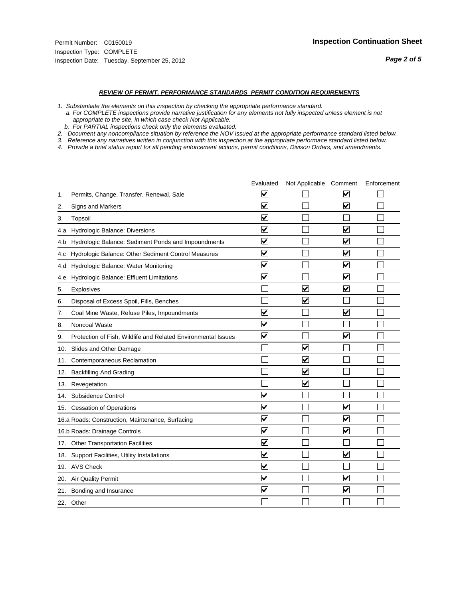#### *REVIEW OF PERMIT, PERFORMANCE STANDARDS PERMIT CONDITION REQUIREMENTS*

*1. Substantiate the elements on this inspection by checking the appropriate performance standard.*

 *a. For COMPLETE inspections provide narrative justification for any elements not fully inspected unless element is not appropriate to the site, in which case check Not Applicable.*

 *b. For PARTIAL inspections check only the elements evaluated.*

*2. Document any noncompliance situation by reference the NOV issued at the appropriate performance standard listed below.*

*3. Reference any narratives written in conjunction with this inspection at the appropriate performace standard listed below.*

*4. Provide a brief status report for all pending enforcement actions, permit conditions, Divison Orders, and amendments.*

|     |                                                               | Evaluated               | Not Applicable Comment          |                         | Enforcement |
|-----|---------------------------------------------------------------|-------------------------|---------------------------------|-------------------------|-------------|
| 1.  | Permits, Change, Transfer, Renewal, Sale                      | ⊻                       |                                 | V                       |             |
| 2.  | <b>Signs and Markers</b>                                      | $\overline{\mathbf{v}}$ |                                 | $\blacktriangledown$    |             |
| 3.  | Topsoil                                                       | $\overline{\mathbf{v}}$ |                                 |                         |             |
| 4.a | Hydrologic Balance: Diversions                                | ⊽                       |                                 | $\overline{\mathbf{v}}$ |             |
| 4.b | Hydrologic Balance: Sediment Ponds and Impoundments           | $\blacktriangledown$    |                                 | ⊻                       |             |
| 4.C | Hydrologic Balance: Other Sediment Control Measures           | $\overline{\mathbf{v}}$ |                                 | $\blacktriangledown$    |             |
| 4.d | Hydrologic Balance: Water Monitoring                          | $\overline{\mathbf{v}}$ |                                 | $\blacktriangledown$    |             |
| 4.e | Hydrologic Balance: Effluent Limitations                      | $\overline{\mathbf{v}}$ |                                 | $\overline{\mathbf{v}}$ |             |
| 5.  | Explosives                                                    |                         | $\overline{\mathbf{v}}$         | $\blacktriangledown$    |             |
| 6.  | Disposal of Excess Spoil, Fills, Benches                      |                         | $\blacktriangledown$            |                         |             |
| 7.  | Coal Mine Waste, Refuse Piles, Impoundments                   | $\overline{\mathbf{v}}$ |                                 | $\overline{\mathbf{v}}$ |             |
| 8.  | Noncoal Waste                                                 | $\overline{\mathbf{v}}$ |                                 |                         |             |
| 9.  | Protection of Fish, Wildlife and Related Environmental Issues | $\blacktriangledown$    |                                 | $\overline{\mathsf{v}}$ |             |
|     | 10. Slides and Other Damage                                   |                         | ☑                               |                         |             |
| 11. | Contemporaneous Reclamation                                   |                         | ☑                               |                         |             |
| 12. | <b>Backfilling And Grading</b>                                |                         | $\overline{\mathbf{v}}$         |                         |             |
| 13. | Revegetation                                                  |                         | $\overline{\blacktriangledown}$ |                         |             |
| 14. | Subsidence Control                                            | $\overline{\mathbf{v}}$ |                                 |                         |             |
|     | 15. Cessation of Operations                                   | $\blacktriangledown$    |                                 | $\blacktriangledown$    |             |
|     | 16.a Roads: Construction, Maintenance, Surfacing              | $\checkmark$            |                                 | $\blacktriangledown$    |             |
|     | 16.b Roads: Drainage Controls                                 | $\blacktriangledown$    |                                 | $\blacktriangledown$    |             |
|     | 17. Other Transportation Facilities                           | $\overline{\mathbf{v}}$ |                                 |                         |             |
| 18. | Support Facilities, Utility Installations                     | $\overline{\mathbf{v}}$ |                                 | $\blacktriangledown$    |             |
|     | 19. AVS Check                                                 | $\overline{\mathbf{v}}$ |                                 |                         |             |
| 20. | Air Quality Permit                                            | $\blacktriangledown$    |                                 | $\blacktriangledown$    |             |
|     | 21. Bonding and Insurance                                     | $\overline{\mathbf{v}}$ |                                 | $\blacktriangledown$    |             |
|     | 22. Other                                                     |                         |                                 |                         |             |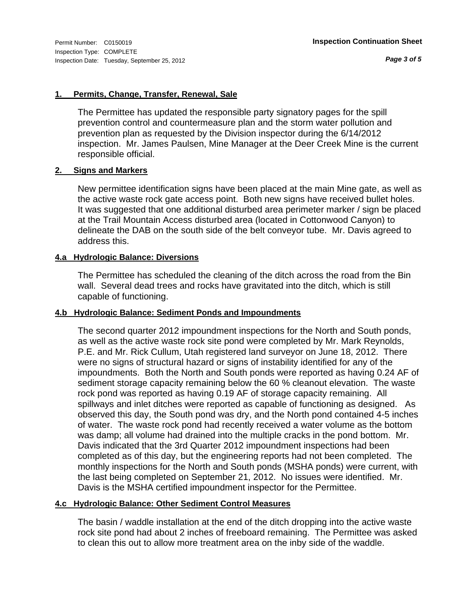*Page 3 of 5*

### **1. Permits, Change, Transfer, Renewal, Sale**

The Permittee has updated the responsible party signatory pages for the spill prevention control and countermeasure plan and the storm water pollution and prevention plan as requested by the Division inspector during the 6/14/2012 inspection. Mr. James Paulsen, Mine Manager at the Deer Creek Mine is the current responsible official.

### **2. Signs and Markers**

New permittee identification signs have been placed at the main Mine gate, as well as the active waste rock gate access point. Both new signs have received bullet holes. It was suggested that one additional disturbed area perimeter marker / sign be placed at the Trail Mountain Access disturbed area (located in Cottonwood Canyon) to delineate the DAB on the south side of the belt conveyor tube. Mr. Davis agreed to address this.

### **4.a Hydrologic Balance: Diversions**

The Permittee has scheduled the cleaning of the ditch across the road from the Bin wall. Several dead trees and rocks have gravitated into the ditch, which is still capable of functioning.

### **4.b Hydrologic Balance: Sediment Ponds and Impoundments**

The second quarter 2012 impoundment inspections for the North and South ponds, as well as the active waste rock site pond were completed by Mr. Mark Reynolds, P.E. and Mr. Rick Cullum, Utah registered land surveyor on June 18, 2012. There were no signs of structural hazard or signs of instability identified for any of the impoundments. Both the North and South ponds were reported as having 0.24 AF of sediment storage capacity remaining below the 60 % cleanout elevation. The waste rock pond was reported as having 0.19 AF of storage capacity remaining. All spillways and inlet ditches were reported as capable of functioning as designed. As observed this day, the South pond was dry, and the North pond contained 4-5 inches of water. The waste rock pond had recently received a water volume as the bottom was damp; all volume had drained into the multiple cracks in the pond bottom. Mr. Davis indicated that the 3rd Quarter 2012 impoundment inspections had been completed as of this day, but the engineering reports had not been completed. The monthly inspections for the North and South ponds (MSHA ponds) were current, with the last being completed on September 21, 2012. No issues were identified. Mr. Davis is the MSHA certified impoundment inspector for the Permittee.

### **4.c Hydrologic Balance: Other Sediment Control Measures**

The basin / waddle installation at the end of the ditch dropping into the active waste rock site pond had about 2 inches of freeboard remaining. The Permittee was asked to clean this out to allow more treatment area on the inby side of the waddle.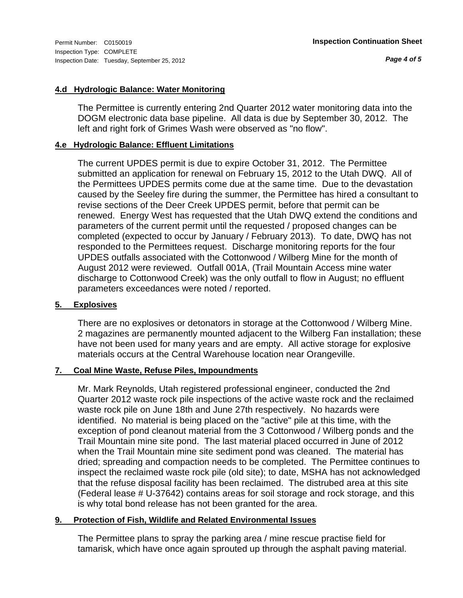### **4.d Hydrologic Balance: Water Monitoring**

The Permittee is currently entering 2nd Quarter 2012 water monitoring data into the DOGM electronic data base pipeline. All data is due by September 30, 2012. The left and right fork of Grimes Wash were observed as "no flow".

### **4.e Hydrologic Balance: Effluent Limitations**

The current UPDES permit is due to expire October 31, 2012. The Permittee submitted an application for renewal on February 15, 2012 to the Utah DWQ. All of the Permittees UPDES permits come due at the same time. Due to the devastation caused by the Seeley fire during the summer, the Permittee has hired a consultant to revise sections of the Deer Creek UPDES permit, before that permit can be renewed. Energy West has requested that the Utah DWQ extend the conditions and parameters of the current permit until the requested / proposed changes can be completed (expected to occur by January / February 2013). To date, DWQ has not responded to the Permittees request. Discharge monitoring reports for the four UPDES outfalls associated with the Cottonwood / Wilberg Mine for the month of August 2012 were reviewed. Outfall 001A, (Trail Mountain Access mine water discharge to Cottonwood Creek) was the only outfall to flow in August; no effluent parameters exceedances were noted / reported.

### **5. Explosives**

There are no explosives or detonators in storage at the Cottonwood / Wilberg Mine. 2 magazines are permanently mounted adjacent to the Wilberg Fan installation; these have not been used for many years and are empty. All active storage for explosive materials occurs at the Central Warehouse location near Orangeville.

### **7. Coal Mine Waste, Refuse Piles, Impoundments**

Mr. Mark Reynolds, Utah registered professional engineer, conducted the 2nd Quarter 2012 waste rock pile inspections of the active waste rock and the reclaimed waste rock pile on June 18th and June 27th respectively. No hazards were identified. No material is being placed on the "active" pile at this time, with the exception of pond cleanout material from the 3 Cottonwood / Wilberg ponds and the Trail Mountain mine site pond. The last material placed occurred in June of 2012 when the Trail Mountain mine site sediment pond was cleaned. The material has dried; spreading and compaction needs to be completed. The Permittee continues to inspect the reclaimed waste rock pile (old site); to date, MSHA has not acknowledged that the refuse disposal facility has been reclaimed. The distrubed area at this site (Federal lease # U-37642) contains areas for soil storage and rock storage, and this is why total bond release has not been granted for the area.

### **9. Protection of Fish, Wildlife and Related Environmental Issues**

The Permittee plans to spray the parking area / mine rescue practise field for tamarisk, which have once again sprouted up through the asphalt paving material.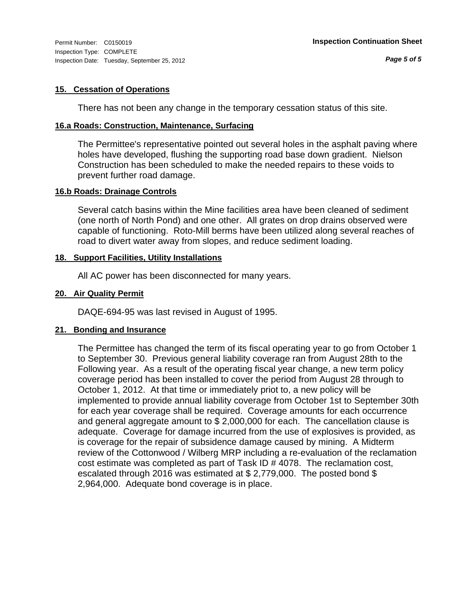Inspection Type: COMPLETE Inspection Date: Tuesday, September 25, 2012

### **15. Cessation of Operations**

There has not been any change in the temporary cessation status of this site.

### **16.a Roads: Construction, Maintenance, Surfacing**

The Permittee's representative pointed out several holes in the asphalt paving where holes have developed, flushing the supporting road base down gradient. Nielson Construction has been scheduled to make the needed repairs to these voids to prevent further road damage.

### **16.b Roads: Drainage Controls**

Several catch basins within the Mine facilities area have been cleaned of sediment (one north of North Pond) and one other. All grates on drop drains observed were capable of functioning. Roto-Mill berms have been utilized along several reaches of road to divert water away from slopes, and reduce sediment loading.

### **18. Support Facilities, Utility Installations**

All AC power has been disconnected for many years.

### **20. Air Quality Permit**

DAQE-694-95 was last revised in August of 1995.

### **21. Bonding and Insurance**

The Permittee has changed the term of its fiscal operating year to go from October 1 to September 30. Previous general liability coverage ran from August 28th to the Following year. As a result of the operating fiscal year change, a new term policy coverage period has been installed to cover the period from August 28 through to October 1, 2012. At that time or immediately priot to, a new policy will be implemented to provide annual liability coverage from October 1st to September 30th for each year coverage shall be required. Coverage amounts for each occurrence and general aggregate amount to \$ 2,000,000 for each. The cancellation clause is adequate. Coverage for damage incurred from the use of explosives is provided, as is coverage for the repair of subsidence damage caused by mining. A Midterm review of the Cottonwood / Wilberg MRP including a re-evaluation of the reclamation cost estimate was completed as part of Task ID # 4078. The reclamation cost, escalated through 2016 was estimated at \$ 2,779,000. The posted bond \$ 2,964,000. Adequate bond coverage is in place.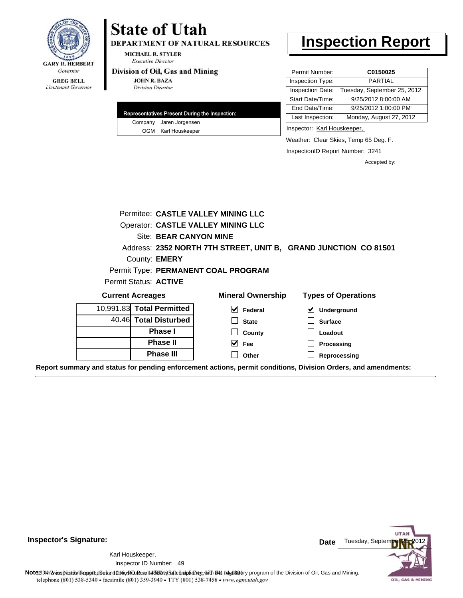

### **GREG BELL**

Lieutenant Governor

# **State of Utah**

DEPARTMENT OF NATURAL RESOURCES

**MICHAEL R. STYLER Executive Director** 

### Division of Oil, Gas and Mining

**JOHN R. BAZA Division Director** 

| Representatives Present During the Inspection: |
|------------------------------------------------|
| Company Jaren Jorgensen                        |
| OGM Karl Houskeeper                            |

## **Inspection Report**

| Permit Number:   | C0150025                    |
|------------------|-----------------------------|
| Inspection Type: | <b>PARTIAL</b>              |
| Inspection Date: | Tuesday, September 25, 2012 |
| Start Date/Time: | 9/25/2012 8:00:00 AM        |
| End Date/Time:   | 9/25/2012 1:00:00 PM        |
| Last Inspection: | Monday, August 27, 2012     |
|                  |                             |

Inspector: Karl Houskeeper,

Weather: Clear Skies, Temp 65 Deg. F.

InspectionID Report Number: 3241

Accepted by:

|                                                                                                                |                      | Permitee: CASTLE VALLEY MINING LLC                              |                            |  |  |  |
|----------------------------------------------------------------------------------------------------------------|----------------------|-----------------------------------------------------------------|----------------------------|--|--|--|
|                                                                                                                |                      | <b>Operator: CASTLE VALLEY MINING LLC</b>                       |                            |  |  |  |
|                                                                                                                |                      | Site: BEAR CANYON MINE                                          |                            |  |  |  |
|                                                                                                                |                      | Address: 2352 NORTH 7TH STREET, UNIT B, GRAND JUNCTION CO 81501 |                            |  |  |  |
|                                                                                                                | County: <b>EMERY</b> |                                                                 |                            |  |  |  |
|                                                                                                                |                      | Permit Type: PERMANENT COAL PROGRAM                             |                            |  |  |  |
| Permit Status: ACTIVE                                                                                          |                      |                                                                 |                            |  |  |  |
| <b>Current Acreages</b>                                                                                        |                      | <b>Mineral Ownership</b>                                        | <b>Types of Operations</b> |  |  |  |
| 10,991.83 Total Permitted                                                                                      |                      | V<br>Federal                                                    | ⊻<br>Underground           |  |  |  |
| 40.46 Total Disturbed                                                                                          |                      | <b>State</b>                                                    | <b>Surface</b>             |  |  |  |
|                                                                                                                | <b>Phase I</b>       | County                                                          | Loadout                    |  |  |  |
|                                                                                                                | <b>Phase II</b>      | $\vee$ Fee                                                      | Processing                 |  |  |  |
|                                                                                                                | <b>Phase III</b>     | Other                                                           | Reprocessing               |  |  |  |
| Report summary and status for pending enforcement actions, permit conditions, Division Orders, and amendments: |                      |                                                                 |                            |  |  |  |



**Inspector's Signature:**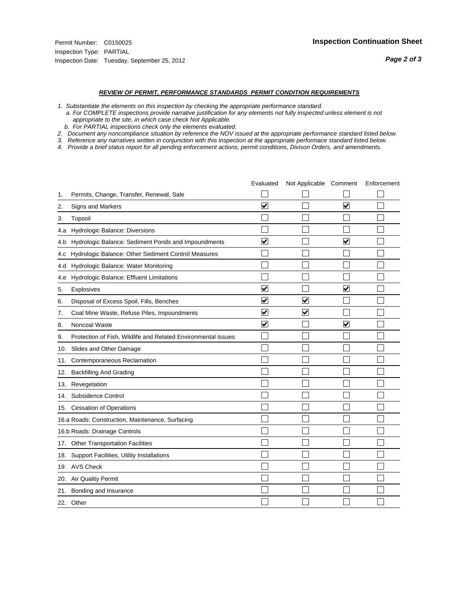#### *REVIEW OF PERMIT, PERFORMANCE STANDARDS PERMIT CONDITION REQUIREMENTS*

- *1. Substantiate the elements on this inspection by checking the appropriate performance standard.*
- *a. For COMPLETE inspections provide narrative justification for any elements not fully inspected unless element is not appropriate to the site, in which case check Not Applicable.*
- *b. For PARTIAL inspections check only the elements evaluated.*
- *2. Document any noncompliance situation by reference the NOV issued at the appropriate performance standard listed below.*
- *3. Reference any narratives written in conjunction with this inspection at the appropriate performace standard listed below.*
- *4. Provide a brief status report for all pending enforcement actions, permit conditions, Divison Orders, and amendments.*

|     |                                                               | Evaluated                       | Not Applicable Comment  |                         | Enforcement |
|-----|---------------------------------------------------------------|---------------------------------|-------------------------|-------------------------|-------------|
| 1.  | Permits, Change, Transfer, Renewal, Sale                      |                                 |                         |                         |             |
| 2.  | <b>Signs and Markers</b>                                      | $\overline{\mathbf{v}}$         |                         | $\overline{\mathbf{v}}$ |             |
| 3.  | Topsoil                                                       |                                 |                         |                         |             |
| 4.a | Hydrologic Balance: Diversions                                |                                 |                         |                         |             |
| 4.b | Hydrologic Balance: Sediment Ponds and Impoundments           | $\overline{\mathbf{v}}$         |                         | $\blacktriangledown$    |             |
| 4.C | Hydrologic Balance: Other Sediment Control Measures           |                                 |                         |                         |             |
| 4.d | Hydrologic Balance: Water Monitoring                          |                                 |                         |                         |             |
| 4.e | Hydrologic Balance: Effluent Limitations                      |                                 |                         |                         |             |
| 5.  | <b>Explosives</b>                                             | $\overline{\mathbf{v}}$         |                         | $\overline{\mathbf{v}}$ |             |
| 6.  | Disposal of Excess Spoil, Fills, Benches                      | $\blacktriangledown$            | $\blacktriangledown$    |                         |             |
| 7.  | Coal Mine Waste, Refuse Piles, Impoundments                   | $\overline{\mathbf{v}}$         | $\overline{\mathbf{v}}$ |                         |             |
| 8.  | Noncoal Waste                                                 | $\overline{\blacktriangledown}$ |                         | $\overline{\mathbf{v}}$ |             |
| 9.  | Protection of Fish, Wildlife and Related Environmental Issues |                                 |                         |                         |             |
| 10. | Slides and Other Damage                                       |                                 |                         |                         |             |
| 11. | Contemporaneous Reclamation                                   |                                 |                         |                         |             |
| 12. | <b>Backfilling And Grading</b>                                |                                 |                         |                         |             |
| 13. | Revegetation                                                  |                                 |                         |                         |             |
| 14. | Subsidence Control                                            |                                 |                         |                         |             |
|     | 15. Cessation of Operations                                   |                                 |                         |                         |             |
|     | 16.a Roads: Construction, Maintenance, Surfacing              |                                 |                         |                         |             |
|     | 16.b Roads: Drainage Controls                                 |                                 |                         |                         |             |
|     | 17. Other Transportation Facilities                           |                                 |                         |                         |             |
| 18. | Support Facilities, Utility Installations                     |                                 |                         |                         |             |
|     | 19. AVS Check                                                 |                                 |                         |                         |             |
| 20. | Air Quality Permit                                            |                                 |                         |                         |             |
|     | 21. Bonding and Insurance                                     |                                 |                         |                         |             |
|     | 22. Other                                                     |                                 |                         |                         |             |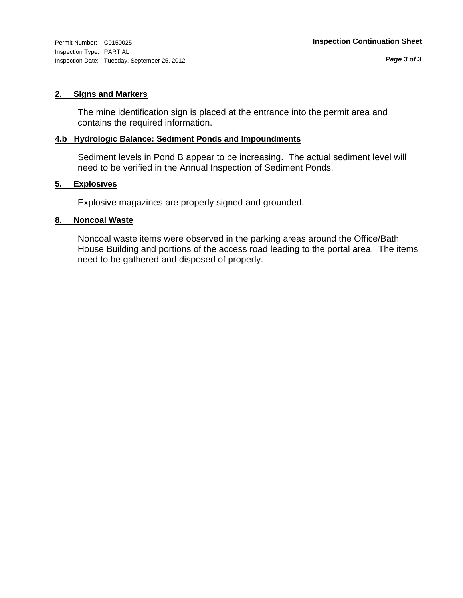### **2. Signs and Markers**

The mine identification sign is placed at the entrance into the permit area and contains the required information.

### **4.b Hydrologic Balance: Sediment Ponds and Impoundments**

Sediment levels in Pond B appear to be increasing. The actual sediment level will need to be verified in the Annual Inspection of Sediment Ponds.

### **5. Explosives**

Explosive magazines are properly signed and grounded.

### **8. Noncoal Waste**

Noncoal waste items were observed in the parking areas around the Office/Bath House Building and portions of the access road leading to the portal area. The items need to be gathered and disposed of properly.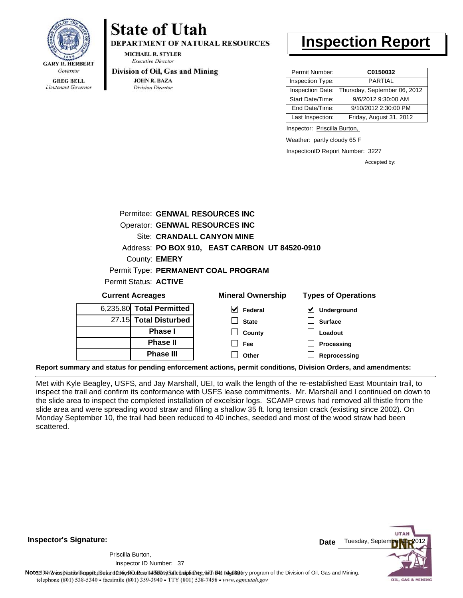

Lieutenant Governor

# **State of Utah**

**DEPARTMENT OF NATURAL RESOURCES** 

**MICHAEL R. STYLER Executive Director** 

### Division of Oil, Gas and Mining

**Phase III**

**JOHN R. BAZA Division Director** 

## **Inspection Report**

| Permit Number:   | C0150032                     |
|------------------|------------------------------|
| Inspection Type: | <b>PARTIAL</b>               |
| Inspection Date: | Thursday, September 06, 2012 |
| Start Date/Time: | 9/6/2012 9:30:00 AM          |
| End Date/Time:   | 9/10/2012 2:30:00 PM         |
| Last Inspection: | Friday, August 31, 2012      |

Inspector: Priscilla Burton,

Weather: partly cloudy 65 F

InspectionID Report Number: 3227

**Reprocessing**

Accepted by:

|                                     | Permitee: GENWAL RESOURCES INC    |   |                                                |                             |                            |
|-------------------------------------|-----------------------------------|---|------------------------------------------------|-----------------------------|----------------------------|
|                                     | Operator: GENWAL RESOURCES INC    |   |                                                |                             |                            |
|                                     | <b>Site: CRANDALL CANYON MINE</b> |   |                                                |                             |                            |
|                                     |                                   |   | Address: PO BOX 910, EAST CARBON UT 84520-0910 |                             |                            |
| County: <b>EMERY</b>                |                                   |   |                                                |                             |                            |
| Permit Type: PERMANENT COAL PROGRAM |                                   |   |                                                |                             |                            |
| Permit Status: <b>ACTIVE</b>        |                                   |   |                                                |                             |                            |
| <b>Current Acreages</b>             |                                   |   | <b>Mineral Ownership</b>                       |                             | <b>Types of Operations</b> |
| 6,235.80 Total Permitted            |                                   | V | Federal                                        | $\vert\bm{\mathsf{v}}\vert$ | Underground                |
| 27.15 Total Disturbed               |                                   |   | <b>State</b>                                   |                             | <b>Surface</b>             |
|                                     | Phase I                           |   | County                                         |                             | Loadout                    |
|                                     | <b>Phase II</b>                   |   | Fee                                            |                             | <b>Processing</b>          |

**Report summary and status for pending enforcement actions, permit conditions, Division Orders, and amendments:**

Met with Kyle Beagley, USFS, and Jay Marshall, UEI, to walk the length of the re-established East Mountain trail, to inspect the trail and confirm its conformance with USFS lease commitments. Mr. Marshall and I continued on down to the slide area to inspect the completed installation of excelsior logs. SCAMP crews had removed all thistle from the slide area and were spreading wood straw and filling a shallow 35 ft. long tension crack (existing since 2002). On Monday September 10, the trail had been reduced to 40 inches, seeded and most of the wood straw had been scattered.

**Other**

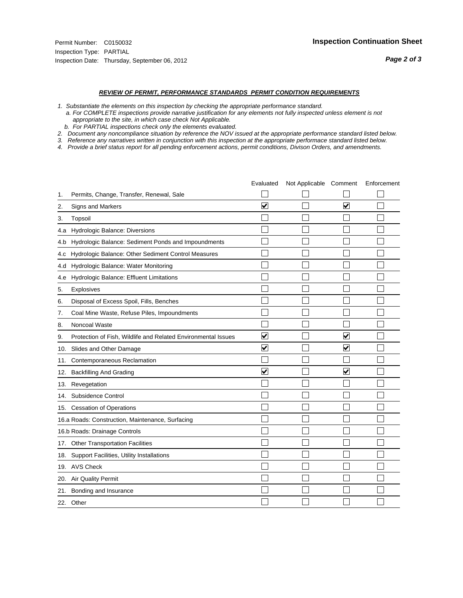#### *REVIEW OF PERMIT, PERFORMANCE STANDARDS PERMIT CONDITION REQUIREMENTS*

- *1. Substantiate the elements on this inspection by checking the appropriate performance standard.*
- *a. For COMPLETE inspections provide narrative justification for any elements not fully inspected unless element is not appropriate to the site, in which case check Not Applicable.*
- *b. For PARTIAL inspections check only the elements evaluated.*
- *2. Document any noncompliance situation by reference the NOV issued at the appropriate performance standard listed below.*
- *3. Reference any narratives written in conjunction with this inspection at the appropriate performace standard listed below.*
- *4. Provide a brief status report for all pending enforcement actions, permit conditions, Divison Orders, and amendments.*

|     |                                                               | Evaluated               | Not Applicable Comment |                         | Enforcement |
|-----|---------------------------------------------------------------|-------------------------|------------------------|-------------------------|-------------|
| 1.  | Permits, Change, Transfer, Renewal, Sale                      |                         |                        |                         |             |
| 2.  | <b>Signs and Markers</b>                                      | $\overline{\mathbf{v}}$ |                        | $\overline{\mathbf{v}}$ |             |
| 3.  | Topsoil                                                       |                         |                        |                         |             |
| 4.a | Hydrologic Balance: Diversions                                |                         |                        |                         |             |
| 4.b | Hydrologic Balance: Sediment Ponds and Impoundments           |                         |                        |                         |             |
| 4.C | Hydrologic Balance: Other Sediment Control Measures           |                         |                        |                         |             |
| 4.d | Hydrologic Balance: Water Monitoring                          |                         |                        |                         |             |
| 4.e | Hydrologic Balance: Effluent Limitations                      |                         |                        |                         |             |
| 5.  | <b>Explosives</b>                                             |                         |                        |                         |             |
| 6.  | Disposal of Excess Spoil, Fills, Benches                      |                         |                        |                         |             |
| 7.  | Coal Mine Waste, Refuse Piles, Impoundments                   |                         |                        |                         |             |
| 8.  | Noncoal Waste                                                 |                         |                        |                         |             |
| 9.  | Protection of Fish, Wildlife and Related Environmental Issues | $\blacktriangledown$    |                        | ✓                       |             |
| 10. | Slides and Other Damage                                       | ⊽                       |                        | $\overline{\mathbf{v}}$ |             |
| 11. | Contemporaneous Reclamation                                   |                         |                        |                         |             |
| 12. | <b>Backfilling And Grading</b>                                | $\overline{\mathbf{v}}$ |                        | $\blacktriangledown$    |             |
| 13. | Revegetation                                                  |                         |                        |                         |             |
| 14. | Subsidence Control                                            |                         |                        |                         |             |
|     | 15. Cessation of Operations                                   |                         |                        |                         |             |
|     | 16.a Roads: Construction, Maintenance, Surfacing              |                         |                        |                         |             |
|     | 16.b Roads: Drainage Controls                                 |                         |                        |                         |             |
|     | 17. Other Transportation Facilities                           |                         |                        |                         |             |
| 18. | Support Facilities, Utility Installations                     |                         |                        |                         |             |
|     | 19. AVS Check                                                 |                         |                        |                         |             |
| 20. | Air Quality Permit                                            |                         |                        |                         |             |
|     | 21. Bonding and Insurance                                     |                         |                        |                         |             |
|     | 22. Other                                                     |                         |                        |                         |             |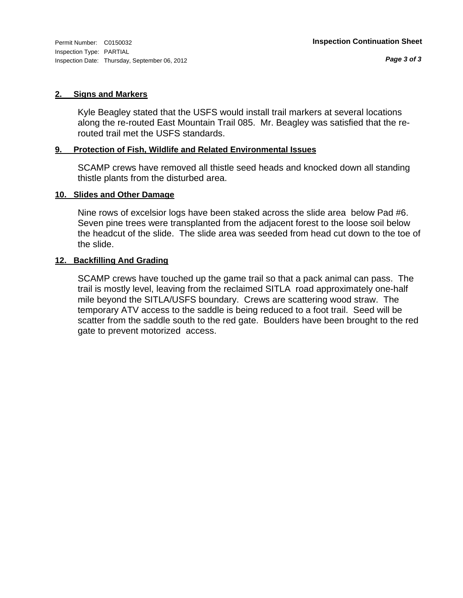### **2. Signs and Markers**

Kyle Beagley stated that the USFS would install trail markers at several locations along the re-routed East Mountain Trail 085. Mr. Beagley was satisfied that the rerouted trail met the USFS standards.

### **9. Protection of Fish, Wildlife and Related Environmental Issues**

SCAMP crews have removed all thistle seed heads and knocked down all standing thistle plants from the disturbed area.

### **10. Slides and Other Damage**

Nine rows of excelsior logs have been staked across the slide area below Pad #6. Seven pine trees were transplanted from the adjacent forest to the loose soil below the headcut of the slide. The slide area was seeded from head cut down to the toe of the slide.

### **12. Backfilling And Grading**

SCAMP crews have touched up the game trail so that a pack animal can pass. The trail is mostly level, leaving from the reclaimed SITLA road approximately one-half mile beyond the SITLA/USFS boundary. Crews are scattering wood straw. The temporary ATV access to the saddle is being reduced to a foot trail. Seed will be scatter from the saddle south to the red gate. Boulders have been brought to the red gate to prevent motorized access.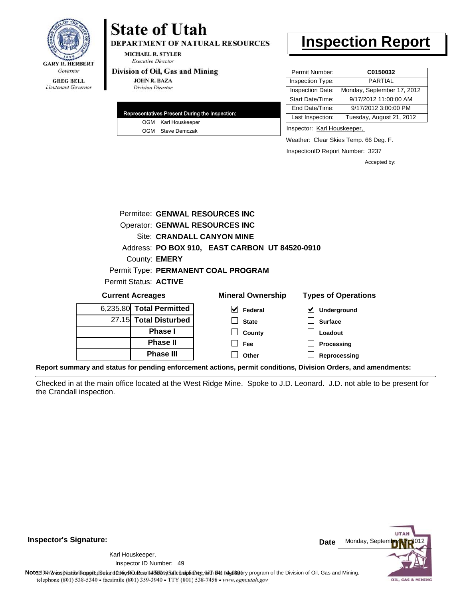

Lieutenant Governor

# **State of Utah**

**DEPARTMENT OF NATURAL RESOURCES** 

**MICHAEL R. STYLER Executive Director** 

### Division of Oil, Gas and Mining

**Phase II Phase III**

**JOHN R. BAZA Division Director** 

| Representatives Present During the Inspection: |
|------------------------------------------------|
| OGM Karl Houskeeper                            |
| OGM Steve Demczak                              |

### **Inspection Report**

| Permit Number:   | C0150032                   |
|------------------|----------------------------|
| Inspection Type: | <b>PARTIAL</b>             |
| Inspection Date: | Monday, September 17, 2012 |
| Start Date/Time: | 9/17/2012 11:00:00 AM      |
| End Date/Time:   | 9/17/2012 3:00:00 PM       |
| Last Inspection: | Tuesday, August 21, 2012   |

Inspector: Karl Houskeeper,

Weather: Clear Skies Temp. 66 Deg. F.

InspectionID Report Number: 3237

**Processing Reprocessing** Accepted by:

|                         |                              | Permitee: GENWAL RESOURCES INC                 |                            |
|-------------------------|------------------------------|------------------------------------------------|----------------------------|
|                         |                              | <b>Operator: GENWAL RESOURCES INC</b>          |                            |
|                         |                              | Site: CRANDALL CANYON MINE                     |                            |
|                         |                              | Address: PO BOX 910, EAST CARBON UT 84520-0910 |                            |
|                         | County: <b>EMERY</b>         |                                                |                            |
|                         |                              | Permit Type: PERMANENT COAL PROGRAM            |                            |
|                         | Permit Status: <b>ACTIVE</b> |                                                |                            |
| <b>Current Acreages</b> |                              | <b>Mineral Ownership</b>                       | <b>Types of Operations</b> |
|                         | 6.235.80 Total Permitted     | V<br><b>Federal</b>                            | V<br><b>Underground</b>    |
|                         | 27.15 Total Disturbed        | <b>State</b>                                   | <b>Surface</b>             |
|                         | <b>Phase I</b>               | County                                         | Loadout                    |

**Fee Other**

**Report summary and status for pending enforcement actions, permit conditions, Division Orders, and amendments:**

Checked in at the main office located at the West Ridge Mine. Spoke to J.D. Leonard. J.D. not able to be present for the Crandall inspection.

**Inspector's Signature:**

49 Inspector ID Number:Karl Houskeeper,

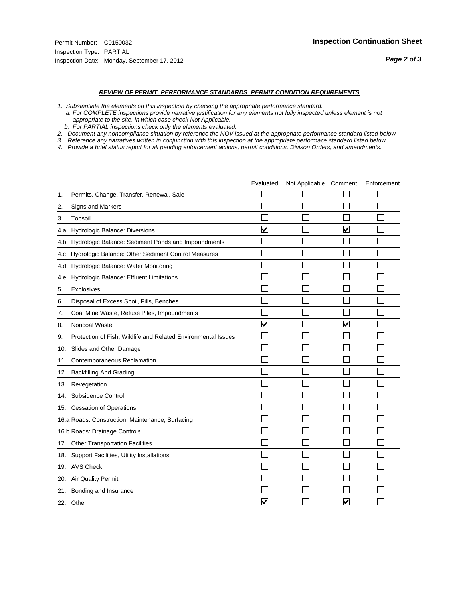#### *REVIEW OF PERMIT, PERFORMANCE STANDARDS PERMIT CONDITION REQUIREMENTS*

- *1. Substantiate the elements on this inspection by checking the appropriate performance standard.*
- *a. For COMPLETE inspections provide narrative justification for any elements not fully inspected unless element is not appropriate to the site, in which case check Not Applicable.*
- *b. For PARTIAL inspections check only the elements evaluated.*
- *2. Document any noncompliance situation by reference the NOV issued at the appropriate performance standard listed below.*
- *3. Reference any narratives written in conjunction with this inspection at the appropriate performace standard listed below.*
- *4. Provide a brief status report for all pending enforcement actions, permit conditions, Divison Orders, and amendments.*

|     |                                                               | Evaluated               | Not Applicable Comment |                         | Enforcement |
|-----|---------------------------------------------------------------|-------------------------|------------------------|-------------------------|-------------|
| 1.  | Permits, Change, Transfer, Renewal, Sale                      |                         |                        |                         |             |
| 2.  | <b>Signs and Markers</b>                                      |                         |                        |                         |             |
| 3.  | Topsoil                                                       |                         |                        |                         |             |
| 4.a | Hydrologic Balance: Diversions                                | $\overline{\mathsf{v}}$ |                        | $\blacktriangledown$    |             |
| 4.b | Hydrologic Balance: Sediment Ponds and Impoundments           |                         |                        |                         |             |
| 4.c | Hydrologic Balance: Other Sediment Control Measures           |                         |                        |                         |             |
| 4.d | Hydrologic Balance: Water Monitoring                          |                         |                        |                         |             |
| 4.e | Hydrologic Balance: Effluent Limitations                      |                         |                        |                         |             |
| 5.  | <b>Explosives</b>                                             |                         |                        |                         |             |
| 6.  | Disposal of Excess Spoil, Fills, Benches                      |                         |                        |                         |             |
| 7.  | Coal Mine Waste, Refuse Piles, Impoundments                   |                         |                        |                         |             |
| 8.  | Noncoal Waste                                                 | $\overline{\mathbf{v}}$ |                        | $\overline{\mathsf{v}}$ |             |
| 9.  | Protection of Fish, Wildlife and Related Environmental Issues |                         |                        |                         |             |
|     | 10. Slides and Other Damage                                   |                         |                        |                         |             |
| 11. | Contemporaneous Reclamation                                   |                         |                        |                         |             |
| 12. | <b>Backfilling And Grading</b>                                |                         |                        |                         |             |
| 13. | Revegetation                                                  |                         |                        |                         |             |
| 14. | Subsidence Control                                            |                         |                        |                         |             |
|     | 15. Cessation of Operations                                   |                         |                        |                         |             |
|     | 16.a Roads: Construction, Maintenance, Surfacing              |                         |                        |                         |             |
|     | 16.b Roads: Drainage Controls                                 |                         |                        |                         |             |
|     | 17. Other Transportation Facilities                           |                         |                        |                         |             |
| 18. | Support Facilities, Utility Installations                     |                         |                        |                         |             |
|     | 19. AVS Check                                                 |                         |                        |                         |             |
| 20. | Air Quality Permit                                            |                         |                        |                         |             |
| 21. | Bonding and Insurance                                         |                         |                        |                         |             |
|     | 22. Other                                                     | $\overline{\mathbf{v}}$ |                        | $\overline{\mathbf{v}}$ |             |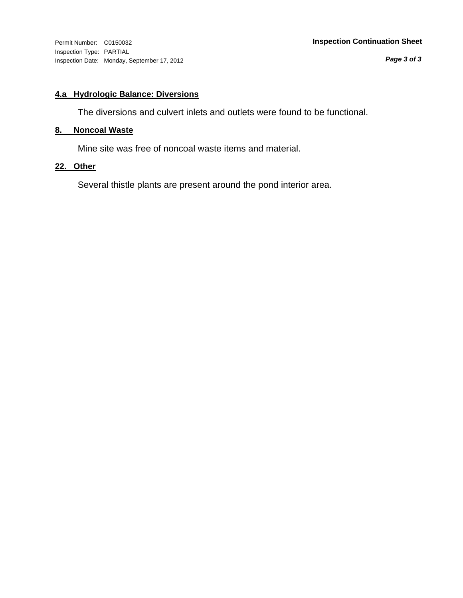Inspection Type: PARTIAL Inspection Date: Monday, September 17, 2012

*Page 3 of 3*

### **4.a Hydrologic Balance: Diversions**

The diversions and culvert inlets and outlets were found to be functional.

### **8. Noncoal Waste**

Mine site was free of noncoal waste items and material.

### **22. Other**

Several thistle plants are present around the pond interior area.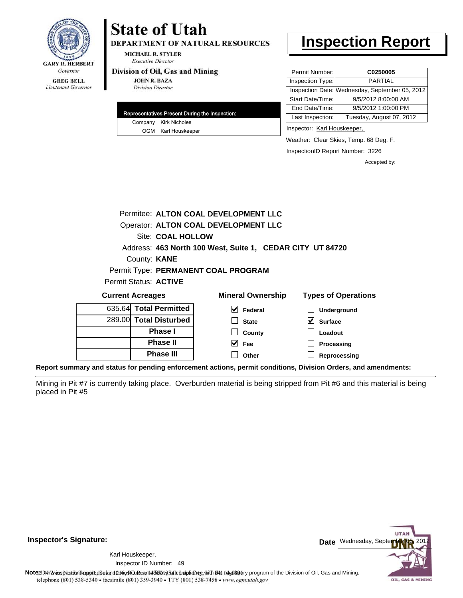

### **MICHAEL R. STYLER Executive Director**

### Division of Oil, Gas and Mining

**JOHN R. BAZA** 

**Division Director** 

**State of Utah** 

Lieutenant Governor

|  | Representatives Present During the Inspection: |
|--|------------------------------------------------|
|  | Company Kirk Nicholes                          |
|  | OGM Karl Houskeeper                            |

**DEPARTMENT OF NATURAL RESOURCES** 

### **Inspection Report**

| Permit Number:   | C0250005                                       |
|------------------|------------------------------------------------|
| Inspection Type: | PARTIAL                                        |
|                  | Inspection Date: Wednesday, September 05, 2012 |
| Start Date/Time: | 9/5/2012 8:00:00 AM                            |
| End Date/Time:   | 9/5/2012 1:00:00 PM                            |
| Last Inspection: | Tuesday, August 07, 2012                       |

Inspector: Karl Houskeeper,

Weather: Clear Skies, Temp. 68 Deg. F.

InspectionID Report Number: 3226

Accepted by:

|                         | Permitee: ALTON COAL DEVELOPMENT LLC                      |                            |  |
|-------------------------|-----------------------------------------------------------|----------------------------|--|
|                         | Operator: ALTON COAL DEVELOPMENT LLC                      |                            |  |
| Site: COAL HOLLOW       |                                                           |                            |  |
|                         | Address: 463 North 100 West, Suite 1, CEDAR CITY UT 84720 |                            |  |
| County: <b>KANE</b>     |                                                           |                            |  |
|                         | Permit Type: PERMANENT COAL PROGRAM                       |                            |  |
| Permit Status: ACTIVE   |                                                           |                            |  |
| <b>Current Acreages</b> | <b>Mineral Ownership</b>                                  | <b>Types of Operations</b> |  |
| 635.64 Total Permitted  | Federal                                                   | <b>Underground</b>         |  |

| 635.64 Total Permitted |  |
|------------------------|--|
| 289.00 Total Disturbed |  |
| <b>Phase I</b>         |  |
| <b>Phase II</b>        |  |
| <b>Phase III</b>       |  |

| $\Box$ Underground |
|--------------------|
| $\vee$ Surface     |
| Loadout            |
|                    |

**Processing**

**Reprocessing Other**

**Report summary and status for pending enforcement actions, permit conditions, Division Orders, and amendments:**

Mining in Pit #7 is currently taking place. Overburden material is being stripped from Pit #6 and this material is being placed in Pit #5

**State County Fee**

**Inspector's Signature:**

49 Inspector ID Number:Karl Houskeeper,

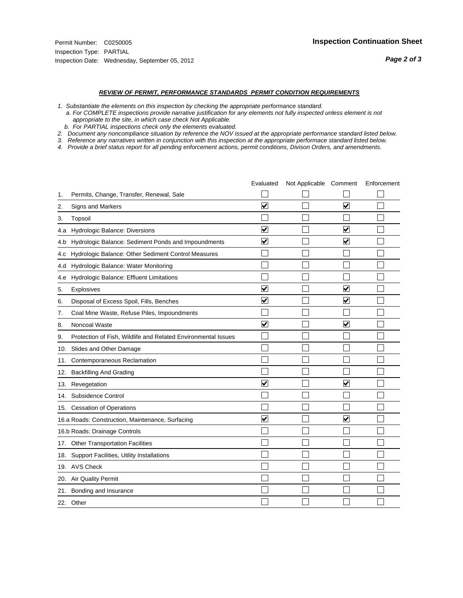#### *REVIEW OF PERMIT, PERFORMANCE STANDARDS PERMIT CONDITION REQUIREMENTS*

*1. Substantiate the elements on this inspection by checking the appropriate performance standard.*

 *a. For COMPLETE inspections provide narrative justification for any elements not fully inspected unless element is not appropriate to the site, in which case check Not Applicable.*

 *b. For PARTIAL inspections check only the elements evaluated.*

*2. Document any noncompliance situation by reference the NOV issued at the appropriate performance standard listed below.*

*3. Reference any narratives written in conjunction with this inspection at the appropriate performace standard listed below.*

*4. Provide a brief status report for all pending enforcement actions, permit conditions, Divison Orders, and amendments.*

|     |                                                               | Evaluated               | Not Applicable Comment |                         | Enforcement |
|-----|---------------------------------------------------------------|-------------------------|------------------------|-------------------------|-------------|
| 1.  | Permits, Change, Transfer, Renewal, Sale                      |                         |                        |                         |             |
| 2.  | Signs and Markers                                             | $\overline{\mathbf{v}}$ |                        | $\overline{\mathbf{v}}$ |             |
| 3.  | Topsoil                                                       |                         |                        |                         |             |
| 4.a | Hydrologic Balance: Diversions                                | $\blacktriangledown$    |                        | $\overline{\mathbf{v}}$ |             |
| 4.b | Hydrologic Balance: Sediment Ponds and Impoundments           | $\blacktriangledown$    |                        | V                       |             |
| 4.c | Hydrologic Balance: Other Sediment Control Measures           |                         |                        |                         |             |
| 4.d | Hydrologic Balance: Water Monitoring                          |                         |                        |                         |             |
| 4.e | Hydrologic Balance: Effluent Limitations                      |                         |                        |                         |             |
| 5.  | <b>Explosives</b>                                             | ⊽                       |                        | ⊽                       |             |
| 6.  | Disposal of Excess Spoil, Fills, Benches                      | $\overline{\mathbf{v}}$ |                        | $\blacktriangledown$    |             |
| 7.  | Coal Mine Waste, Refuse Piles, Impoundments                   |                         |                        |                         |             |
| 8.  | Noncoal Waste                                                 | $\overline{\mathsf{v}}$ |                        | $\overline{\mathbf{v}}$ |             |
| 9.  | Protection of Fish, Wildlife and Related Environmental Issues |                         |                        |                         |             |
|     | 10. Slides and Other Damage                                   |                         |                        |                         |             |
| 11. | Contemporaneous Reclamation                                   |                         |                        |                         |             |
| 12. | <b>Backfilling And Grading</b>                                |                         |                        |                         |             |
| 13. | Revegetation                                                  | $\overline{\mathbf{v}}$ |                        | $\overline{\mathsf{v}}$ |             |
| 14. | Subsidence Control                                            |                         |                        |                         |             |
|     | 15. Cessation of Operations                                   |                         |                        |                         |             |
|     | 16.a Roads: Construction, Maintenance, Surfacing              | ⊽                       |                        | $\overline{\mathbf{v}}$ |             |
|     | 16.b Roads: Drainage Controls                                 |                         |                        |                         |             |
|     | 17. Other Transportation Facilities                           |                         |                        |                         |             |
| 18. | Support Facilities, Utility Installations                     |                         |                        |                         |             |
|     | 19. AVS Check                                                 |                         |                        |                         |             |
| 20. | Air Quality Permit                                            |                         |                        |                         |             |
| 21. | Bonding and Insurance                                         |                         |                        |                         |             |
|     | 22. Other                                                     |                         |                        |                         |             |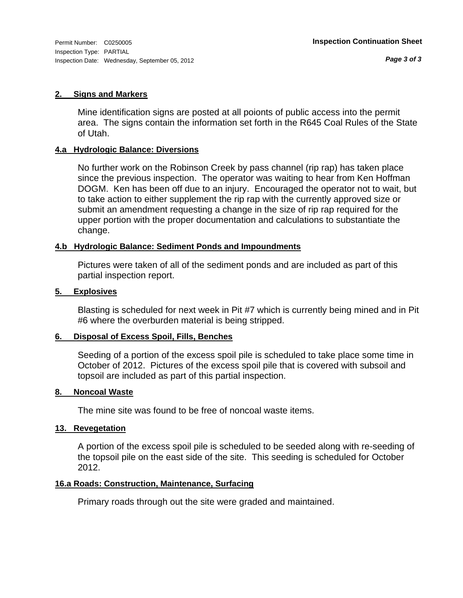### **2. Signs and Markers**

Mine identification signs are posted at all poionts of public access into the permit area. The signs contain the information set forth in the R645 Coal Rules of the State of Utah.

### **4.a Hydrologic Balance: Diversions**

No further work on the Robinson Creek by pass channel (rip rap) has taken place since the previous inspection. The operator was waiting to hear from Ken Hoffman DOGM. Ken has been off due to an injury. Encouraged the operator not to wait, but to take action to either supplement the rip rap with the currently approved size or submit an amendment requesting a change in the size of rip rap required for the upper portion with the proper documentation and calculations to substantiate the change.

### **4.b Hydrologic Balance: Sediment Ponds and Impoundments**

Pictures were taken of all of the sediment ponds and are included as part of this partial inspection report.

### **5. Explosives**

Blasting is scheduled for next week in Pit #7 which is currently being mined and in Pit #6 where the overburden material is being stripped.

### **6. Disposal of Excess Spoil, Fills, Benches**

Seeding of a portion of the excess spoil pile is scheduled to take place some time in October of 2012. Pictures of the excess spoil pile that is covered with subsoil and topsoil are included as part of this partial inspection.

### **8. Noncoal Waste**

The mine site was found to be free of noncoal waste items.

### **13. Revegetation**

A portion of the excess spoil pile is scheduled to be seeded along with re-seeding of the topsoil pile on the east side of the site. This seeding is scheduled for October 2012.

### **16.a Roads: Construction, Maintenance, Surfacing**

Primary roads through out the site were graded and maintained.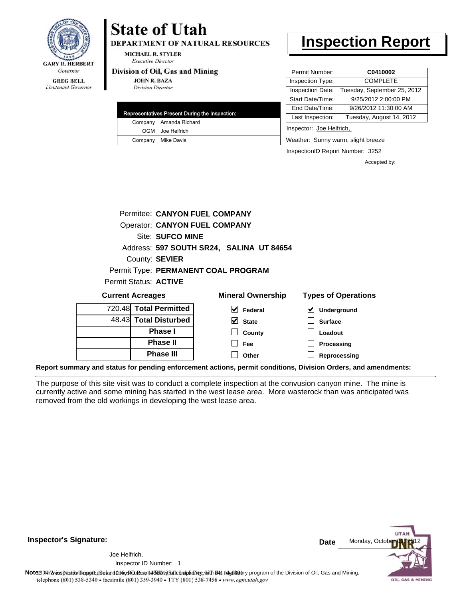

### **GREG BELL**

Lieutenant Governor

# **State of Utah**

**DEPARTMENT OF NATURAL RESOURCES** 

**MICHAEL R. STYLER Executive Director** 

### Division of Oil, Gas and Mining

**JOHN R. BAZA Division Director** 

| Representatives Present During the Inspection: |
|------------------------------------------------|
| Company Amanda Richard                         |
| OGM Joe Helfrich                               |
| Company Mike Davis                             |

## **Inspection Report**

| Permit Number:   | C0410002                    |
|------------------|-----------------------------|
| Inspection Type: | <b>COMPLETE</b>             |
| Inspection Date: | Tuesday, September 25, 2012 |
| Start Date/Time: | 9/25/2012 2:00:00 PM        |
| End Date/Time:   | 9/26/2012 11:30:00 AM       |
| Last Inspection: | Tuesday, August 14, 2012    |
|                  |                             |

Inspector: Joe Helfrich,

Weather: Sunny warm, slight breeze

InspectionID Report Number: 3252

Accepted by:

|                         |                  | Permitee: CANYON FUEL COMPANY            |                            |
|-------------------------|------------------|------------------------------------------|----------------------------|
|                         |                  | <b>Operator: CANYON FUEL COMPANY</b>     |                            |
|                         | Site: SUFCO MINE |                                          |                            |
|                         |                  | Address: 597 SOUTH SR24, SALINA UT 84654 |                            |
|                         | County: SEVIER   |                                          |                            |
|                         |                  | Permit Type: PERMANENT COAL PROGRAM      |                            |
| Permit Status: ACTIVE   |                  |                                          |                            |
| <b>Current Acreages</b> |                  | <b>Mineral Ownership</b>                 | <b>Types of Operations</b> |
| 720.48 Total Permitted  |                  | Federal                                  | <b>Underground</b>         |

| 720.48 Total Permitted |
|------------------------|
| 48.43 Total Disturbed  |
| <b>Phase I</b>         |
| <b>Phase II</b>        |
| <b>Phase III</b>       |

| eral Ownership    | <b>Types of Operat</b>       |  |  |
|-------------------|------------------------------|--|--|
| $\sqrt{}$ Federal | $\triangleright$ Underground |  |  |
| $\vee$ State      | $\Box$ Surface               |  |  |
| $\Box$ County     | $\Box$ Loadout               |  |  |
| $\Box$ Fee        | $\Box$ Processing            |  |  |
| Other             | $\Box$ Reprocessing          |  |  |

**Report summary and status for pending enforcement actions, permit conditions, Division Orders, and amendments:**

The purpose of this site visit was to conduct a complete inspection at the convusion canyon mine. The mine is currently active and some mining has started in the west lease area. More wasterock than was anticipated was removed from the old workings in developing the west lease area.

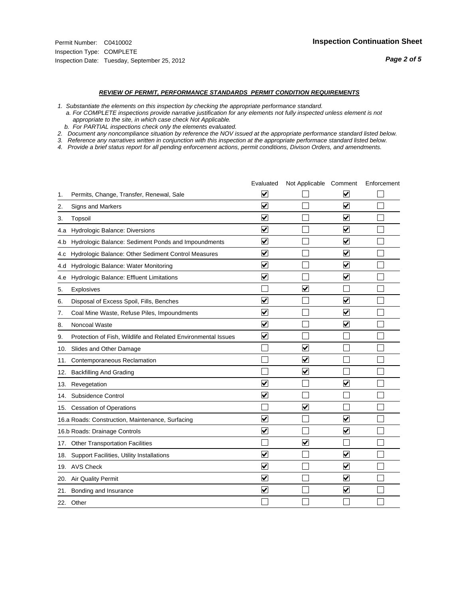#### *REVIEW OF PERMIT, PERFORMANCE STANDARDS PERMIT CONDITION REQUIREMENTS*

*1. Substantiate the elements on this inspection by checking the appropriate performance standard.*

 *a. For COMPLETE inspections provide narrative justification for any elements not fully inspected unless element is not appropriate to the site, in which case check Not Applicable.*

 *b. For PARTIAL inspections check only the elements evaluated.*

*2. Document any noncompliance situation by reference the NOV issued at the appropriate performance standard listed below.*

*3. Reference any narratives written in conjunction with this inspection at the appropriate performace standard listed below.*

*4. Provide a brief status report for all pending enforcement actions, permit conditions, Divison Orders, and amendments.*

|     |                                                               | Evaluated               | Not Applicable Comment  |                         | Enforcement |
|-----|---------------------------------------------------------------|-------------------------|-------------------------|-------------------------|-------------|
| 1.  | Permits, Change, Transfer, Renewal, Sale                      | $\overline{\mathbf{v}}$ |                         | V                       |             |
| 2.  | Signs and Markers                                             | $\overline{\mathbf{v}}$ |                         | $\blacktriangledown$    |             |
| 3.  | Topsoil                                                       | $\overline{\mathbf{v}}$ |                         | $\overline{\mathsf{v}}$ |             |
| 4.a | Hydrologic Balance: Diversions                                | $\overline{\mathbf{v}}$ |                         | $\blacktriangledown$    |             |
| 4.b | Hydrologic Balance: Sediment Ponds and Impoundments           | $\blacktriangledown$    |                         | V                       |             |
| 4.C | Hydrologic Balance: Other Sediment Control Measures           | $\overline{\mathbf{v}}$ |                         | $\blacktriangledown$    |             |
| 4.d | Hydrologic Balance: Water Monitoring                          | $\overline{\mathbf{v}}$ |                         | $\blacktriangledown$    |             |
| 4.e | Hydrologic Balance: Effluent Limitations                      | $\overline{\mathbf{v}}$ |                         | $\blacktriangledown$    |             |
| 5.  | <b>Explosives</b>                                             |                         | ⊽                       |                         |             |
| 6.  | Disposal of Excess Spoil, Fills, Benches                      | $\blacktriangledown$    |                         | $\blacktriangledown$    |             |
| 7.  | Coal Mine Waste, Refuse Piles, Impoundments                   | $\overline{\mathbf{v}}$ |                         | $\overline{\mathbf{v}}$ |             |
| 8.  | Noncoal Waste                                                 | $\overline{\mathbf{v}}$ |                         | $\overline{\mathbf{v}}$ |             |
| 9.  | Protection of Fish, Wildlife and Related Environmental Issues | $\blacktriangledown$    |                         |                         |             |
|     | 10. Slides and Other Damage                                   |                         | ⊽                       |                         |             |
| 11. | Contemporaneous Reclamation                                   |                         | ☑                       |                         |             |
| 12. | <b>Backfilling And Grading</b>                                |                         | $\overline{\mathbf{v}}$ |                         |             |
| 13. | Revegetation                                                  | $\overline{\mathbf{v}}$ |                         | $\overline{\mathsf{v}}$ |             |
| 14. | Subsidence Control                                            | $\overline{\mathbf{v}}$ |                         |                         |             |
|     | 15. Cessation of Operations                                   |                         | $\blacktriangledown$    |                         |             |
|     | 16.a Roads: Construction, Maintenance, Surfacing              | ⊽                       |                         | $\overline{\mathbf{v}}$ |             |
|     | 16.b Roads: Drainage Controls                                 | $\overline{\mathbf{v}}$ |                         | $\overline{\mathbf{v}}$ |             |
|     | 17. Other Transportation Facilities                           |                         | $\overline{\mathbf{v}}$ |                         |             |
| 18. | Support Facilities, Utility Installations                     | $\overline{\mathbf{v}}$ |                         | $\blacktriangledown$    |             |
|     | 19. AVS Check                                                 | $\overline{\mathbf{v}}$ |                         | $\blacktriangledown$    |             |
| 20. | <b>Air Quality Permit</b>                                     | $\checkmark$            |                         | $\blacktriangledown$    |             |
| 21. | Bonding and Insurance                                         | $\overline{\mathbf{v}}$ |                         | $\blacktriangledown$    |             |
|     | 22. Other                                                     |                         |                         |                         |             |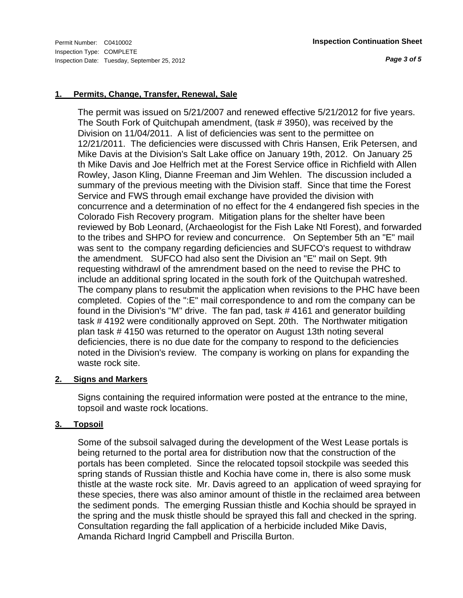### **1. Permits, Change, Transfer, Renewal, Sale**

The permit was issued on 5/21/2007 and renewed effective 5/21/2012 for five years. The South Fork of Quitchupah amendment, (task # 3950), was received by the Division on 11/04/2011. A list of deficiencies was sent to the permittee on 12/21/2011. The deficiencies were discussed with Chris Hansen, Erik Petersen, and Mike Davis at the Division's Salt Lake office on January 19th, 2012. On January 25 th Mike Davis and Joe Helfrich met at the Forest Service office in Richfield with Allen Rowley, Jason Kling, Dianne Freeman and Jim Wehlen. The discussion included a summary of the previous meeting with the Division staff. Since that time the Forest Service and FWS through email exchange have provided the division with concurrence and a determination of no effect for the 4 endangered fish species in the Colorado Fish Recovery program. Mitigation plans for the shelter have been reviewed by Bob Leonard, (Archaeologist for the Fish Lake Ntl Forest), and forwarded to the tribes and SHPO for review and concurrence. On September 5th an "E" mail was sent to the company regarding deficiencies and SUFCO's request to withdraw the amendment. SUFCO had also sent the Division an "E" mail on Sept. 9th requesting withdrawl of the amrendment based on the need to revise the PHC to include an additional spring located in the south fork of the Quitchupah watreshed. The company plans to resubmit the application when revisions to the PHC have been completed. Copies of the ":E" mail correspondence to and rom the company can be found in the Division's "M" drive. The fan pad, task # 4161 and generator building task # 4192 were conditionally approved on Sept. 20th. The Northwater mitigation plan task # 4150 was returned to the operator on August 13th noting several deficiencies, there is no due date for the company to respond to the deficiencies noted in the Division's review. The company is working on plans for expanding the waste rock site.

### **2. Signs and Markers**

Signs containing the required information were posted at the entrance to the mine, topsoil and waste rock locations.

### **3. Topsoil**

Some of the subsoil salvaged during the development of the West Lease portals is being returned to the portal area for distribution now that the construction of the portals has been completed. Since the relocated topsoil stockpile was seeded this spring stands of Russian thistle and Kochia have come in, there is also some musk thistle at the waste rock site. Mr. Davis agreed to an application of weed spraying for these species, there was also aminor amount of thistle in the reclaimed area between the sediment ponds. The emerging Russian thistle and Kochia should be sprayed in the spring and the musk thistle should be sprayed this fall and checked in the spring. Consultation regarding the fall application of a herbicide included Mike Davis, Amanda Richard Ingrid Campbell and Priscilla Burton.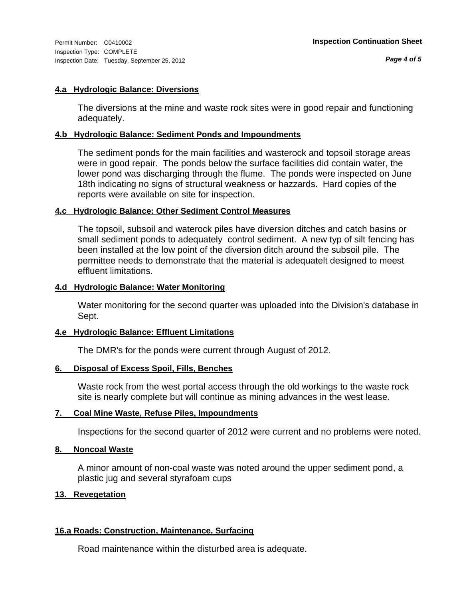### **4.a Hydrologic Balance: Diversions**

The diversions at the mine and waste rock sites were in good repair and functioning adequately.

### **4.b Hydrologic Balance: Sediment Ponds and Impoundments**

The sediment ponds for the main facilities and wasterock and topsoil storage areas were in good repair. The ponds below the surface facilities did contain water, the lower pond was discharging through the flume. The ponds were inspected on June 18th indicating no signs of structural weakness or hazzards. Hard copies of the reports were available on site for inspection.

### **4.c Hydrologic Balance: Other Sediment Control Measures**

The topsoil, subsoil and waterock piles have diversion ditches and catch basins or small sediment ponds to adequately control sediment. A new typ of silt fencing has been installed at the low point of the diversion ditch around the subsoil pile. The permittee needs to demonstrate that the material is adequatelt designed to meest effluent limitations.

### **4.d Hydrologic Balance: Water Monitoring**

Water monitoring for the second quarter was uploaded into the Division's database in Sept.

### **4.e Hydrologic Balance: Effluent Limitations**

The DMR's for the ponds were current through August of 2012.

### **6. Disposal of Excess Spoil, Fills, Benches**

Waste rock from the west portal access through the old workings to the waste rock site is nearly complete but will continue as mining advances in the west lease.

### **7. Coal Mine Waste, Refuse Piles, Impoundments**

Inspections for the second quarter of 2012 were current and no problems were noted.

### **8. Noncoal Waste**

A minor amount of non-coal waste was noted around the upper sediment pond, a plastic jug and several styrafoam cups

### **13. Revegetation**

### **16.a Roads: Construction, Maintenance, Surfacing**

Road maintenance within the disturbed area is adequate.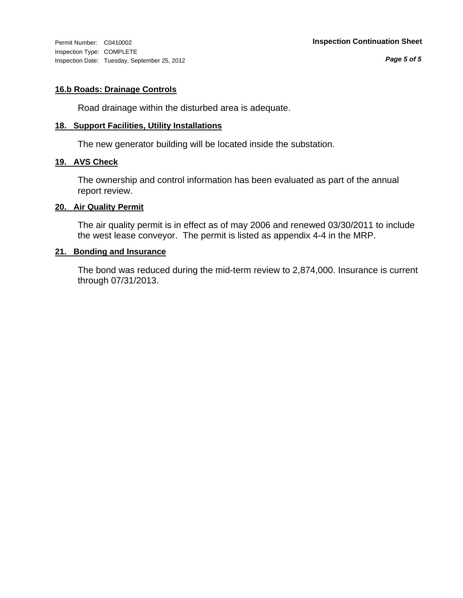Inspection Type: COMPLETE Inspection Date: Tuesday, September 25, 2012

### **16.b Roads: Drainage Controls**

Road drainage within the disturbed area is adequate.

### **18. Support Facilities, Utility Installations**

The new generator building will be located inside the substation.

### **19. AVS Check**

The ownership and control information has been evaluated as part of the annual report review.

### **20. Air Quality Permit**

The air quality permit is in effect as of may 2006 and renewed 03/30/2011 to include the west lease conveyor. The permit is listed as appendix 4-4 in the MRP.

### **21. Bonding and Insurance**

The bond was reduced during the mid-term review to 2,874,000. Insurance is current through 07/31/2013.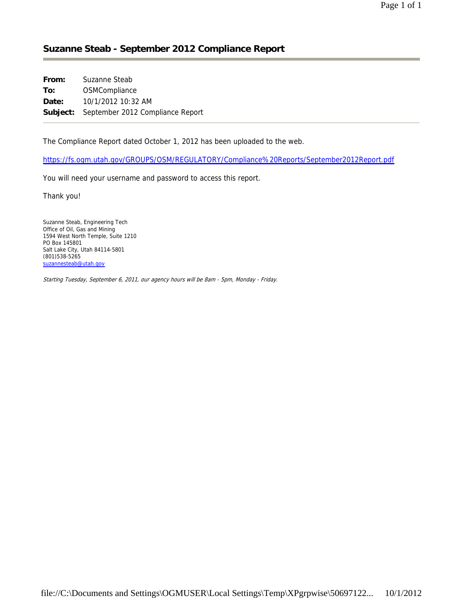### **Suzanne Steab - September 2012 Compliance Report**

| From: | Suzanne Steab                                    |
|-------|--------------------------------------------------|
| To:   | OSMCompliance                                    |
| Date: | 10/1/2012 10:32 AM                               |
|       | <b>Subject:</b> September 2012 Compliance Report |

The Compliance Report dated October 1, 2012 has been uploaded to the web.

https://fs.ogm.utah.gov/GROUPS/OSM/REGULATORY/Compliance%20Reports/September2012Report.pdf

You will need your username and password to access this report.

Thank you!

Suzanne Steab, Engineering Tech Office of Oil, Gas and Mining 1594 West North Temple, Suite 1210 PO Box 145801 Salt Lake City, Utah 84114-5801 (801)538-5265 suzannesteab@utah.gov

Starting Tuesday, September 6, 2011, our agency hours will be 8am - 5pm, Monday - Friday.